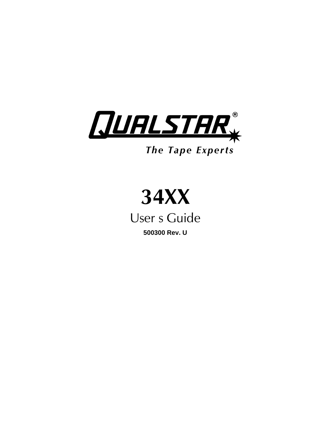

# *The Tape Experts*



User s Guide **500300 Rev. U**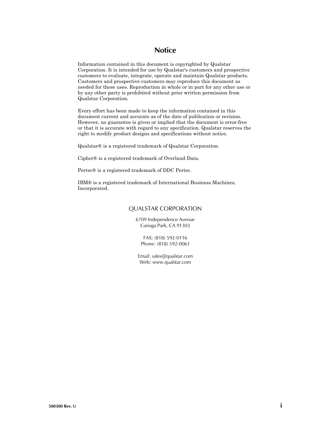# **Notice**

Information contained in this document is copyrighted by Qualstar Corporation. It is intended for use by Qualstar's customers and prospective customers to evaluate, integrate, operate and maintain Qualstar products. Customers and prospective customers may reproduce this document as needed for these uses. Reproduction in whole or in part for any other use or by any other party is prohibited without prior written permission from Qualstar Corporation.

Every effort has been made to keep the information contained in this document current and accurate as of the date of publication or revision. However, no guarantee is given or implied that the document is error-free or that it is accurate with regard to any specification. Qualstar reserves the right to modify product designs and specifications without notice.

Qualstar® is a registered trademark of Qualstar Corporation.

Cipher® is a registered trademark of Overland Data.

Pertec® is a registered trademark of DDC Pertec.

IBM® is a registered trademark of International Business Machines, Incorporated.

#### QUALSTAR CORPORATION

6709 Independence Avenue Canoga Park, CA 91303

FAX: (818) 592-0116 Phone: (818) 592-0061

Email: sales@qualstar.com Web: www.qualstar.com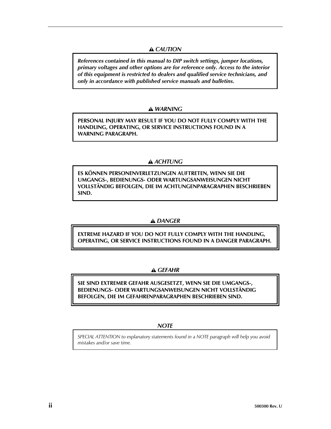# *CAUTION*

*References contained in this manual to DIP switch settings, jumper locations, primary voltages and other options are for reference only. Access to the interior of this equipment is restricted to dealers and qualified service technicians, and only in accordance with published service manuals and bulletins.*

### *WARNING*

**PERSONAL INJURY MAY RESULT IF YOU DO NOT FULLY COMPLY WITH THE HANDLING, OPERATING, OR SERVICE INSTRUCTIONS FOUND IN A WARNING PARAGRAPH.**

# *ACHTUNG*

**ES KÖNNEN PERSONENVERLETZUNGEN AUFTRETEN, WENN SIE DIE UMGANGS-, BEDIENUNGS- ODER WARTUNGSANWEISUNGEN NICHT VOLLSTÄNDIG BEFOLGEN, DIE IM ACHTUNGENPARAGRAPHEN BESCHRIEBEN SIND.**

# *DANGER*

**EXTREME HAZARD IF YOU DO NOT FULLY COMPLY WITH THE HANDLING, OPERATING, OR SERVICE INSTRUCTIONS FOUND IN A DANGER PARAGRAPH.**

# *GEFAHR*

**SIE SIND EXTREMER GEFAHR AUSGESETZT, WENN SIE DIE UMGANGS-, BEDIENUNGS- ODER WARTUNGSANWEISUNGEN NICHT VOLLSTÄNDIG BEFOLGEN, DIE IM GEFAHRENPARAGRAPHEN BESCHRIEBEN SIND.**

### *NOTE*

*SPECIAL ATTENTION to explanatory statements found in a NOTE paragraph will help you avoid mistakes and/or save time.*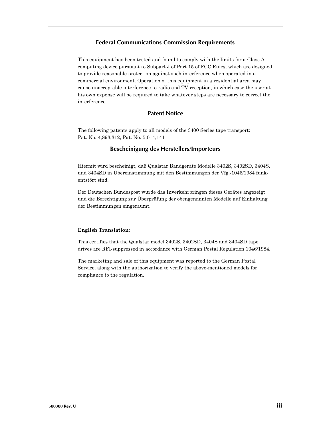#### **Federal Communications Commission Requirements**

This equipment has been tested and found to comply with the limits for a Class A computing device pursuant to Subpart J of Part 15 of FCC Rules, which are designed to provide reasonable protection against such interference when operated in a commercial environment. Operation of this equipment in a residential area may cause unacceptable interference to radio and TV reception, in which case the user at his own expense will be required to take whatever steps are necessary to correct the interference.

### **Patent Notice**

The following patents apply to all models of the 3400 Series tape transport: Pat. No. 4,893,312; Pat. No. 5,014,141

#### **Bescheinigung des Herstellers/Importeurs**

Hiermit wird bescheinigt, daß Qualstar Bandgeräte Modelle 3402S, 3402SD, 3404S, und 3404SD in Übereinstimmung mit den Bestimmungen der Vfg.-1046/1984 funkentstört sind.

Der Deutschen Bundespost wurde das Inverkehrbringen dieses Gerätes angezeigt und die Berechtigung zur Überprüfung der obengenannten Modelle auf Einhaltung der Bestimmungen eingeräumt.

#### **English Translation:**

This certifies that the Qualstar model 3402S, 3402SD, 3404S and 3404SD tape drives are RFI-suppressed in accordance with German Postal Regulation 1046/1984.

The marketing and sale of this equipment was reported to the German Postal Service, along with the authorization to verify the above-mentioned models for compliance to the regulation.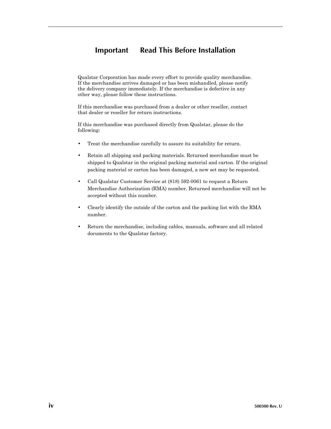# **Important — Read This Before Installation**

Qualstar Corporation has made every effort to provide quality merchandise. If the merchandise arrives damaged or has been mishandled, please notify the delivery company immediately. If the merchandise is defective in any other way, please follow these instructions.

If this merchandise was purchased from a dealer or other reseller, contact that dealer or reseller for return instructions.

If this merchandise was purchased directly from Qualstar, please do the following:

- Treat the merchandise carefully to assure its suitability for return.
- Retain all shipping and packing materials. Returned merchandise must be shipped to Qualstar in the original packing material and carton. If the original packing material or carton has been damaged, a new set may be requested.
- Call Qualstar Customer Service at (818) 592-0061 to request a Return Merchandise Authorization (RMA) number. Returned merchandise will not be accepted without this number.
- Clearly identify the outside of the carton and the packing list with the RMA number.
- Return the merchandise, including cables, manuals, software and all related documents to the Qualstar factory.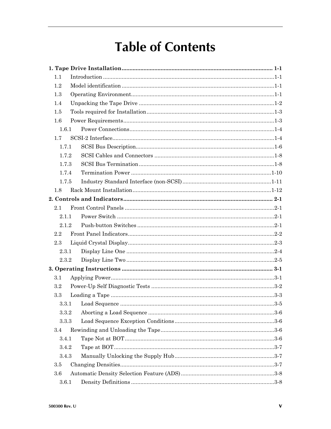# **Table of Contents**

| 1.1     |  |
|---------|--|
| 1.2     |  |
| 1.3     |  |
| 1.4     |  |
| 1.5     |  |
| $1.6\,$ |  |
| 1.6.1   |  |
| 1.7     |  |
| 1.7.1   |  |
| 1.7.2   |  |
| 1.7.3   |  |
| 1.7.4   |  |
| 1.7.5   |  |
| 1.8     |  |
|         |  |
| 2.1     |  |
| 2.1.1   |  |
| 2.1.2   |  |
| 2.2     |  |
| 2.3     |  |
| 2.3.1   |  |
| 2.3.2   |  |
|         |  |
| 3.1     |  |
| 3.2     |  |
| $3.3\,$ |  |
| 3.3.1   |  |
| 3.3.2   |  |
| 3.3.3   |  |
| 3.4     |  |
| 3.4.1   |  |
| 3.4.2   |  |
| 3.4.3   |  |
| 3.5     |  |
| 3.6     |  |
| 3.6.1   |  |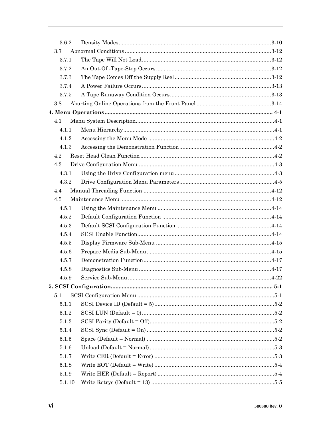| 3.6.2  |  |
|--------|--|
| 3.7    |  |
| 3.7.1  |  |
| 3.7.2  |  |
| 3.7.3  |  |
| 3.7.4  |  |
| 3.7.5  |  |
| 3.8    |  |
|        |  |
| 4.1    |  |
| 4.1.1  |  |
| 4.1.2  |  |
| 4.1.3  |  |
| 4.2    |  |
| 4.3    |  |
| 4.3.1  |  |
| 4.3.2  |  |
| 4.4    |  |
| 4.5    |  |
| 4.5.1  |  |
| 4.5.2  |  |
| 4.5.3  |  |
| 4.5.4  |  |
| 4.5.5  |  |
| 4.5.6  |  |
| 4.5.7  |  |
| 4.5.8  |  |
| 4.5.9  |  |
|        |  |
| 5.1    |  |
| 5.1.1  |  |
| 5.1.2  |  |
| 5.1.3  |  |
| 5.1.4  |  |
| 5.1.5  |  |
| 5.1.6  |  |
| 5.1.7  |  |
| 5.1.8  |  |
| 5.1.9  |  |
| 5.1.10 |  |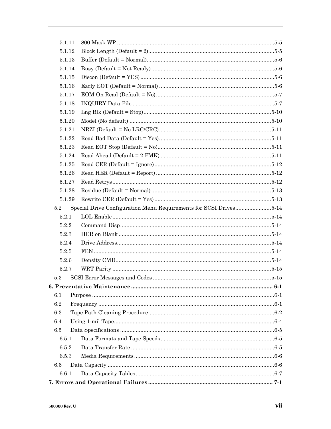| 5.1.11 |                                                                   |  |
|--------|-------------------------------------------------------------------|--|
| 5.1.12 |                                                                   |  |
| 5.1.13 |                                                                   |  |
| 5.1.14 |                                                                   |  |
| 5.1.15 |                                                                   |  |
| 5.1.16 |                                                                   |  |
| 5.1.17 |                                                                   |  |
| 5.1.18 |                                                                   |  |
| 5.1.19 |                                                                   |  |
| 5.1.20 |                                                                   |  |
| 5.1.21 |                                                                   |  |
| 5.1.22 |                                                                   |  |
| 5.1.23 |                                                                   |  |
| 5.1.24 |                                                                   |  |
| 5.1.25 |                                                                   |  |
| 5.1.26 |                                                                   |  |
| 5.1.27 |                                                                   |  |
| 5.1.28 |                                                                   |  |
| 5.1.29 |                                                                   |  |
| 5.2    | Special Drive Configuration Menu Requirements for SCSI Drives5-14 |  |
| 5.2.1  |                                                                   |  |
| 5.2.2  |                                                                   |  |
| 5.2.3  |                                                                   |  |
| 5.2.4  |                                                                   |  |
| 5.2.5  |                                                                   |  |
| 5.2.6  |                                                                   |  |
| 5.2.7  |                                                                   |  |
| 5.3    |                                                                   |  |
|        |                                                                   |  |
| 6.1    |                                                                   |  |
| 6.2    |                                                                   |  |
| 6.3    |                                                                   |  |
| 6.4    |                                                                   |  |
| 6.5    |                                                                   |  |
| 6.5.1  |                                                                   |  |
| 6.5.2  |                                                                   |  |
| 6.5.3  |                                                                   |  |
| 6.6    |                                                                   |  |
| 6.6.1  |                                                                   |  |
|        |                                                                   |  |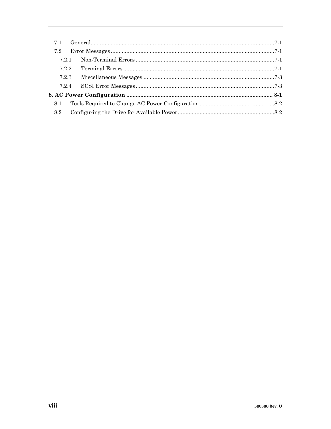| 71    |  |
|-------|--|
| 7.2   |  |
| 721   |  |
| 7.2.2 |  |
| 7.2.3 |  |
| 7.2.4 |  |
|       |  |
| 8.1   |  |
| 8.2   |  |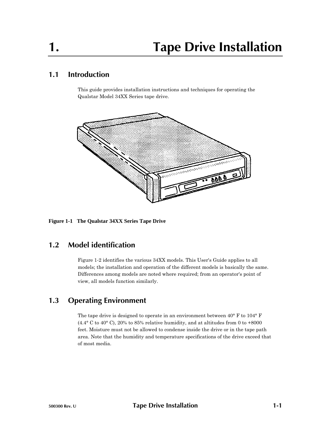# **1.1 Introduction**

This guide provides installation instructions and techniques for operating the Qualstar Model 34XX Series tape drive.



**Figure 1-1 The Qualstar 34XX Series Tape Drive**

# **1.2 Model identification**

Figure 1-2 identifies the various 34XX models. This User's Guide applies to all models; the installation and operation of the different models is basically the same. Differences among models are noted where required; from an operator's point of view, all models function similarly.

# **1.3 Operating Environment**

The tape drive is designed to operate in an environment between 40° F to 104° F  $(4.4^{\circ}$  C to  $40^{\circ}$  C),  $20\%$  to  $85\%$  relative humidity, and at altitudes from 0 to  $+8000$ feet. Moisture must not be allowed to condense inside the drive or in the tape path area. Note that the humidity and temperature specifications of the drive exceed that of most media.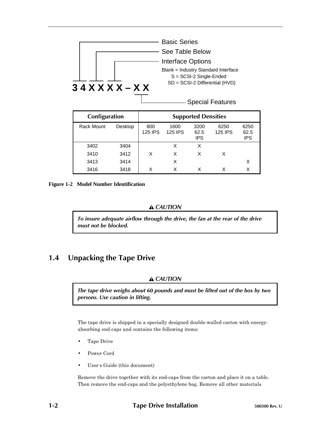

| Configuration     |         | <b>Supported Densities</b> |                        |                            |                        |                            |
|-------------------|---------|----------------------------|------------------------|----------------------------|------------------------|----------------------------|
| <b>Rack Mount</b> | Desktop | 800<br><b>125 IPS</b>      | 1600<br><b>125 IPS</b> | 3200<br>62.5<br><b>IPS</b> | 6250<br><b>125 IPS</b> | 6250<br>62.5<br><b>IPS</b> |
| 3402              | 3404    |                            | Χ                      | X                          |                        |                            |
| 3410              | 3412    | X                          | X                      | х                          | х                      |                            |
| 3413              | 3414    |                            | X                      |                            |                        | X                          |
| 3416              | 3418    | x                          | Χ                      |                            |                        | Χ                          |

**Figure 1-2 Model Number Identification**

#### *CAUTION*

*To insure adequate airflow through the drive, the fan at the rear of the drive must not be blocked.*

# **1.4 Unpacking the Tape Drive**

### *CAUTION*

*The tape drive weighs about 60 pounds and must be lifted out of the box by two persons. Use caution in lifting.*

The tape drive is shipped in a specially designed double-walled carton with energyabsorbing end caps and contains the following items:

- Tape Drive
- Power Cord
- User's Guide (this document)

Remove the drive together with its end-caps from the carton and place it on a table. Then remove the end-caps and the polyethylene bag. Remove all other materials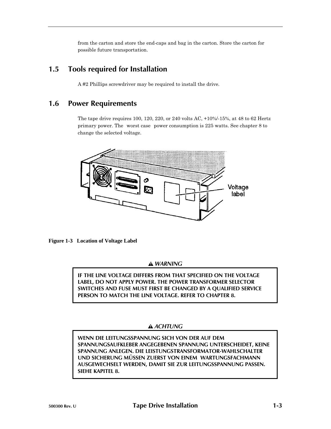from the carton and store the end-caps and bag in the carton. Store the carton for possible future transportation.

# **1.5 Tools required for Installation**

A #2 Phillips screwdriver may be required to install the drive.

# **1.6 Power Requirements**

The tape drive requires 100, 120, 220, or 240 volts AC, +10%/-15%, at 48 to 62 Hertz primary power. The worst case power consumption is 225 watts. See chapter 8 to change the selected voltage.



**Figure 1-3 Location of Voltage Label**

 *WARNING*

**IF THE LINE VOLTAGE DIFFERS FROM THAT SPECIFIED ON THE VOLTAGE LABEL, DO NOT APPLY POWER. THE POWER TRANSFORMER SELECTOR SWITCHES AND FUSE MUST FIRST BE CHANGED BY A QUALIFIED SERVICE PERSON TO MATCH THE LINE VOLTAGE. REFER TO CHAPTER 8.**

# *ACHTUNG*

**WENN DIE LEITUNGSSPANNUNG SICH VON DER AUF DEM SPANNUNGSAUFKLEBER ANGEGEBENEN SPANNUNG UNTERSCHEIDET, KEINE SPANNUNG ANLEGEN. DIE LEISTUNGSTRANSFORMATOR-WAHLSCHALTER UND SICHERUNG MÜSSEN ZUERST VON EINEM WARTUNGSFACHMANN AUSGEWECHSELT WERDEN, DAMIT SIE ZUR LEITUNGSSPANNUNG PASSEN. SIEHE KAPITEL 8.**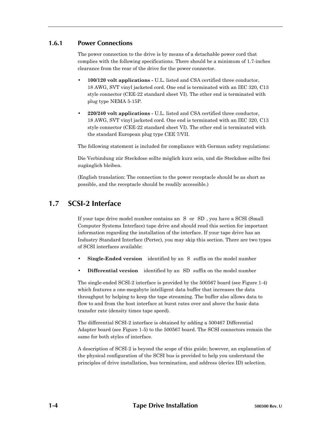### **1.6.1 Power Connections**

The power connection to the drive is by means of a detachable power cord that complies with the following specifications. There should be a minimum of 1.7-inches clearance from the rear of the drive for the power connector.

- **100/120 volt applications -** U.L. listed and CSA certified three conductor, 18 AWG, SVT vinyl jacketed cord. One end is terminated with an IEC 320, C13 style connector (CEE-22 standard sheet VI). The other end is terminated with plug type NEMA 5-15P.
- **220/240 volt applications -** U.L. listed and CSA certified three conductor, 18 AWG, SVT vinyl jacketed cord. One end is terminated with an IEC 320, C13 style connector (CEE-22 standard sheet VI). The other end is terminated with the standard European plug type CEE 7/VII.

The following statement is included for compliance with German safety regulations:

Die Verbindung zür Steckdose sollte möglich kurz sein, und die Steckdose sollte frei zugänglich bleiben.

(English translation: The connection to the power receptacle should be as short as possible, and the receptacle should be readily accessible.)

# **1.7 SCSI-2 Interface**

If your tape drive model number contains an S or SD, you have a SCSI (Small Computer Systems Interface) tape drive and should read this section for important information regarding the installation of the interface. If your tape drive has an Industry Standard Interface (Pertec), you may skip this section. There are two types of SCSI interfaces available:

- **Single-Ended version** identified by an S suffix on the model number
- **Differential version** identified by an SD suffix on the model number

The single-ended SCSI-2 interface is provided by the 500567 board (see Figure 1-4) which features a one-megabyte intelligent data buffer that increases the data throughput by helping to keep the tape streaming. The buffer also allows data to flow to and from the host interface at burst rates over and above the basic data transfer rate (density times tape speed).

The differential SCSI-2 interface is obtained by adding a 500467 Differential Adapter board (see Figure 1-5) to the 500567 board. The SCSI connectors remain the same for both styles of interface.

A description of SCSI-2 is beyond the scope of this guide; however, an explanation of the physical configuration of the SCSI bus is provided to help you understand the principles of drive installation, bus termination, and address (device ID) selection.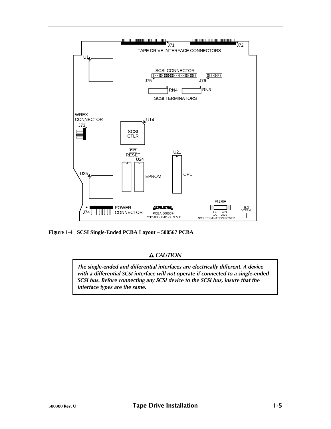

**Figure 1-4 SCSI Single-Ended PCBA Layout – 500567 PCBA**

### *CAUTION*

*The single-ended and differential interfaces are electrically different. A device with a differential SCSI interface will not operate if connected to a single-ended SCSI bus. Before connecting any SCSI device to the SCSI bus, insure that the interface types are the same.*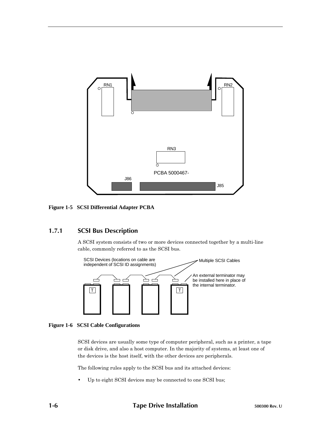

**Figure 1-5 SCSI Differential Adapter PCBA**

# **1.7.1 SCSI Bus Description**

A SCSI system consists of two or more devices connected together by a multi-line cable, commonly referred to as the SCSI bus.





SCSI devices are usually some type of computer peripheral, such as a printer, a tape or disk drive, and also a host computer. In the majority of systems, at least one of the devices is the host itself, with the other devices are peripherals.

The following rules apply to the SCSI bus and its attached devices:

Up to eight SCSI devices may be connected to one SCSI bus;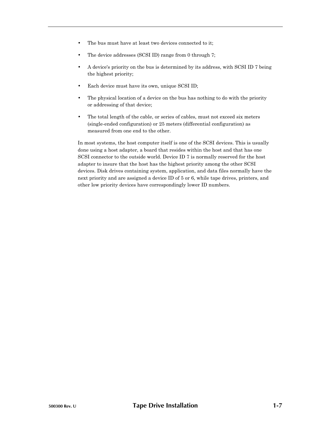- The bus must have at least two devices connected to it;
- The device addresses (SCSI ID) range from 0 through 7;
- A device's priority on the bus is determined by its address, with SCSI ID 7 being the highest priority;
- Each device must have its own, unique SCSI ID;
- The physical location of a device on the bus has nothing to do with the priority or addressing of that device;
- The total length of the cable, or series of cables, must not exceed six meters (single-ended configuration) or 25 meters (differential configuration) as measured from one end to the other.

In most systems, the host computer itself is one of the SCSI devices. This is usually done using a host adapter, a board that resides within the host and that has one SCSI connector to the outside world. Device ID 7 is normally reserved for the host adapter to insure that the host has the highest priority among the other SCSI devices. Disk drives containing system, application, and data files normally have the next priority and are assigned a device ID of 5 or 6, while tape drives, printers, and other low priority devices have correspondingly lower ID numbers.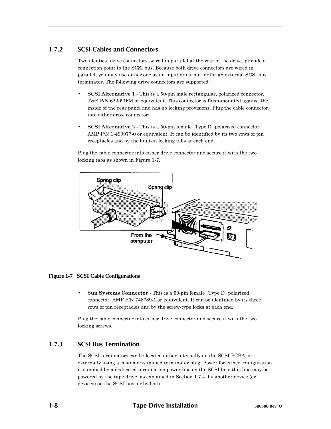# **1.7.2 SCSI Cables and Connectors**

Two identical drive connectors, wired in parallel at the rear of the drive, provide a connection point to the SCSI bus. Because both drive connectors are wired in parallel, you may use either one as an input or output, or for an external SCSI bus terminator. The following drive connectors are supported:

- **SCSI Alternative 1** This is a 50-pin male rectangular, polarized connector, T&B P/N 622-50FM or equivalent. This connector is flush-mounted against the inside of the rear panel and has no locking provisions. Plug the cable connector into either drive connector;
- **SCSI Alternative 2** This is a 50-pin female Type D polarized connector, AMP P/N 1-499977-0 or equivalent. It can be identified by its two rows of pin receptacles and by the built-in locking tabs at each end.

Plug the cable connector into either drive connector and secure it with the two locking tabs as shown in Figure 1-7.



### **Figure 1-7 SCSI Cable Configurations**

**Sun Systems Connector** - This is a 50-pin female Type D polarized connector, AMP P/N 746789-1 or equivalent. It can be identified by its three rows of pin receptacles and by the screw-type locks at each end.

Plug the cable connector into either drive connector and secure it with the two locking screws.

# **1.7.3 SCSI Bus Termination**

The SCSI terminators can be located either internally on the SCSI PCBA, or externally using a customer-supplied terminator plug. Power for either configuration is supplied by a dedicated termination power line on the SCSI bus; this line may be powered by the tape drive, as explained in Section 1.7.4, by another device (or devices) on the SCSI bus, or by both.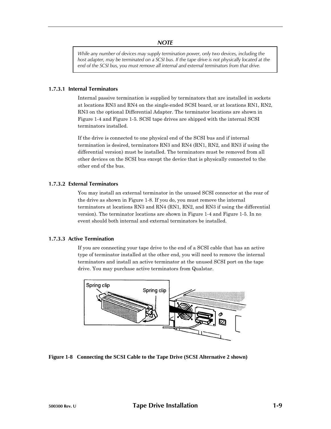#### *NOTE*

*While any number of devices may supply termination power, only two devices, including the host adapter, may be terminated on a SCSI bus. If the tape drive is not physically located at the end of the SCSI bus, you must remove all internal and external terminators from that drive.*

#### **1.7.3.1 Internal Terminators**

Internal passive termination is supplied by terminators that are installed in sockets at locations RN3 and RN4 on the single-ended SCSI board, or at locations RN1, RN2, RN3 on the optional Differential Adapter. The terminator locations are shown in Figure 1-4 and Figure 1-5. SCSI tape drives are shipped with the internal SCSI terminators installed.

If the drive is connected to one physical end of the SCSI bus and if internal termination is desired, terminators RN3 and RN4 (RN1, RN2, and RN3 if using the differential version) must be installed. The terminators must be removed from all other devices on the SCSI bus except the device that is physically connected to the other end of the bus.

#### **1.7.3.2 External Terminators**

You may install an external terminator in the unused SCSI connector at the rear of the drive as shown in Figure 1-8. If you do, you must remove the internal terminators at locations RN3 and RN4 (RN1, RN2, and RN3 if using the differential version). The terminator locations are shown in Figure 1-4 and Figure 1-5. In no event should both internal and external terminators be installed.

### **1.7.3.3 Active Termination**

If you are connecting your tape drive to the end of a SCSI cable that has an active type of terminator installed at the other end, you will need to remove the internal terminators and install an active terminator at the unused SCSI port on the tape drive. You may purchase active terminators from Qualstar.



**Figure 1-8 Connecting the SCSI Cable to the Tape Drive (SCSI Alternative 2 shown)**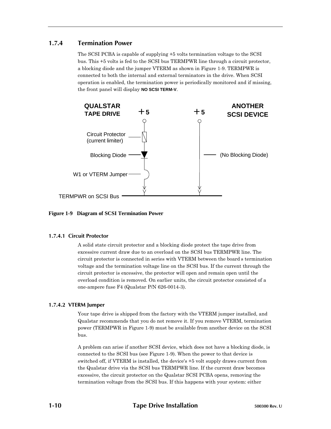### **1.7.4 Termination Power**

The SCSI PCBA is capable of supplying +5 volts termination voltage to the SCSI bus. This +5 volts is fed to the SCSI bus TERMPWR line through a circuit protector, a blocking diode and the jumper VTERM as shown in Figure 1-9. TERMPWR is connected to both the internal and external terminators in the drive. When SCSI operation is enabled, the termination power is periodically monitored and if missing, the front panel will display **NO SCSI TERM-V**.



**Figure 1-9 Diagram of SCSI Termination Power**

### **1.7.4.1 Circuit Protector**

A solid state circuit protector and a blocking diode protect the tape drive from excessive current draw due to an overload on the SCSI bus TERMPWR line. The circuit protector is connected in series with VTERM between the board's termination voltage and the termination voltage line on the SCSI bus. If the current through the circuit protector is excessive, the protector will open and remain open until the overload condition is removed. On earlier units, the circuit protector consisted of a one-ampere fuse F4 (Qualstar P/N 626-0014-3).

### **1.7.4.2 VTERM Jumper**

Your tape drive is shipped from the factory with the VTERM jumper installed, and Qualstar recommends that you do not remove it. If you remove VTERM, termination power (TERMPWR in Figure 1-9) must be available from another device on the SCSI bus.

A problem can arise if another SCSI device, which does not have a blocking diode, is connected to the SCSI bus (see Figure 1-9). When the power to that device is switched off, if VTERM is installed, the device's +5 volt supply draws current from the Qualstar drive via the SCSI bus TERMPWR line. If the current draw becomes excessive, the circuit protector on the Qualstar SCSI PCBA opens, removing the termination voltage from the SCSI bus. If this happens with your system: either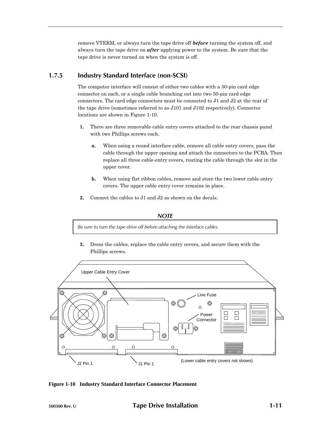remove VTERM, or always turn the tape drive off *before* turning the system off, and always turn the tape drive on *after* applying power to the system. Be sure that the tape drive is never turned on when the system is off.

# **1.7.5 Industry Standard Interface (non-SCSI)**

The computer interface will consist of either two cables with a 50-pin card edge connector on each, or a single cable branching out into two 50-pin card edge connectors. The card edge connectors must be connected to J1 and J2 at the rear of the tape drive (sometimes referred to as J101 and J102 respectively). Connector locations are shown in Figure 1-10.

- **1.** There are three removable cable entry covers attached to the rear chassis panel with two Phillips screws each.
	- **a.** When using a round interface cable, remove all cable entry covers, pass the cable through the upper opening and attach the connectors to the PCBA. Then replace all three cable-entry covers, routing the cable through the slot in the upper cover.
	- **b.** When using flat ribbon cables, remove and store the two lower cable entry covers. The upper cable entry cover remains in place.
- **2.** Connect the cables to J1 and J2 as shown on the decals.

### *NOTE*

*Be sure to turn the tape drive off before attaching the interface cables.*

**3.** Dress the cables, replace the cable entry covers, and secure them with the Phillips screws.



**Figure 1-10 Industry Standard Interface Connector Placement**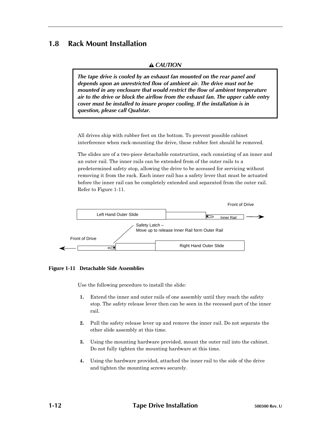# **1.8 Rack Mount Installation**

### *CAUTION*

*The tape drive is cooled by an exhaust fan mounted on the rear panel and depends upon an unrestricted flow of ambient air. The drive must not be mounted in any enclosure that would restrict the flow of ambient temperature air to the drive or block the airflow from the exhaust fan. The upper cable entry cover must be installed to insure proper cooling. If the installation is in question, please call Qualstar.*

All drives ship with rubber feet on the bottom. To prevent possible cabinet interference when rack-mounting the drive, these rubber feet should be removed.

The slides are of a two-piece detachable construction, each consisting of an inner and an outer rail. The inner rails can be extended from of the outer rails to a predetermined safety stop, allowing the drive to be accessed for servicing without removing it from the rack. Each inner rail has a safety lever that must be actuated before the inner rail can be completely extended and separated from the outer rail. Refer to Figure 1-11.



**Figure 1-11 Detachable Side Assemblies**

Use the following procedure to install the slide:

- **1.** Extend the inner and outer rails of one assembly until they reach the safety stop. The safety release lever then can be seen in the recessed part of the inner rail.
- **2.** Pull the safety release lever up and remove the inner rail. Do not separate the other slide assembly at this time.
- **3.** Using the mounting hardware provided, mount the outer rail into the cabinet. Do not fully tighten the mounting hardware at this time.
- **4.** Using the hardware provided, attached the inner rail to the side of the drive and tighten the mounting screws securely.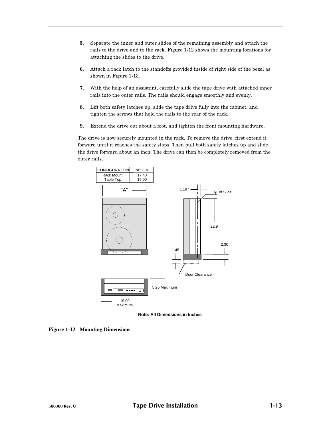- **5.** Separate the inner and outer slides of the remaining assembly and attach the rails to the drive and to the rack. Figure 1-12 shows the mounting locations for attaching the slides to the drive.
- **6.** Attach a rack latch to the standoffs provided inside of right side of the bezel as shown in Figure 1-13.
- **7.** With the help of an assistant, carefully slide the tape drive with attached inner rails into the outer rails. The rails should engage smoothly and evenly.
- **8.** Lift both safety latches up, slide the tape drive fully into the cabinet, and tighten the screws that hold the rails to the rear of the rack.
- **9.** Extend the drive out about a foot, and tighten the front mounting hardware.

The drive is now securely mounted in the rack. To remove the drive, first extend it forward until it reaches the safety stops. Then pull both safety latches up and slide the drive forward about an inch. The drive can then be completely removed from the outer rails.



**Note: All Dimensions in Inches**

**Figure 1-12 Mounting Dimensions**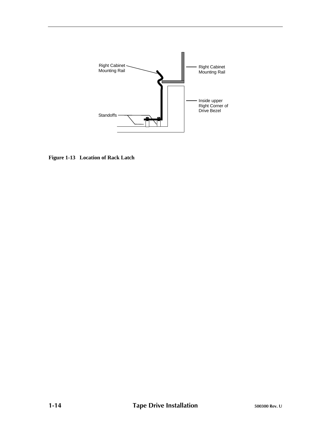

**Figure 1-13 Location of Rack Latch**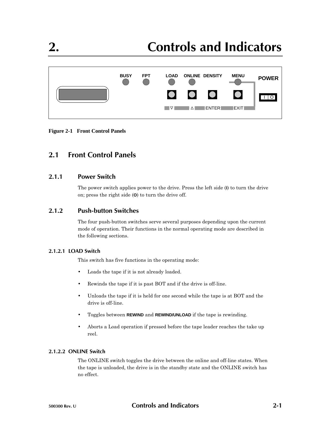

**Figure 2-1 Front Control Panels**

# **2.1 Front Control Panels**

### **2.1.1 Power Switch**

The power switch applies power to the drive. Press the left side (**I**) to turn the drive on; press the right side (**O**) to turn the drive off.

# **2.1.2 Push-button Switches**

The four push-button switches serve several purposes depending upon the current mode of operation. Their functions in the normal operating mode are described in the following sections.

### **2.1.2.1 LOAD Switch**

This switch has five functions in the operating mode:

- Loads the tape if it is not already loaded.
- Rewinds the tape if it is past BOT and if the drive is off-line.
- Unloads the tape if it is held for one second while the tape is at BOT and the drive is off-line.
- Toggles between **REWIND** and **REWIND/UNLOAD** if the tape is rewinding.
- Aborts a Load operation if pressed before the tape leader reaches the take up reel.

### **2.1.2.2 ONLINE Switch**

The ONLINE switch toggles the drive between the online and off-line states. When the tape is unloaded, the drive is in the standby state and the ONLINE switch has no effect.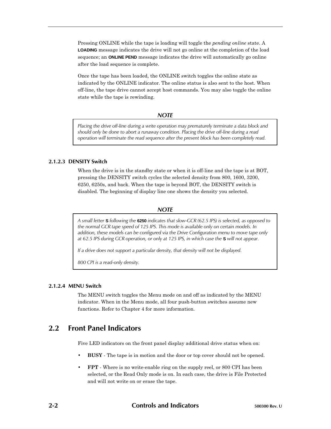Pressing ONLINE while the tape is loading will toggle the *pending online* state. A **LOADING** message indicates the drive will not go online at the completion of the load sequence; an **ONLINE PEND** message indicates the drive will automatically go online after the load sequence is complete.

Once the tape has been loaded, the ONLINE switch toggles the online state as indicated by the ONLINE indicator. The online status is also sent to the host. When off-line, the tape drive cannot accept host commands. You may also toggle the online state while the tape is rewinding.

#### *NOTE*

*Placing the drive off-line during a write operation may prematurely terminate a data block and should only be done to abort a runaway condition. Placing the drive off-line during a read operation will terminate the read sequence after the present block has been completely read.*

#### **2.1.2.3 DENSITY Switch**

When the drive is in the standby state or when it is off-line and the tape is at BOT, pressing the DENSITY switch cycles the selected density from 800, 1600, 3200, 6250, 6250s, and back. When the tape is beyond BOT, the DENSITY switch is disabled. The beginning of display line one shows the density you selected.

#### *NOTE*

*A small letter* **S** *following the* **6250** *indicates that slow-GCR (62.5 IPS) is selected, as opposed to the normal GCR tape speed of 125 IPS. This mode is available only on certain models. In addition, these models can be configured via the Drive Configuration menu to move tape only at 62.5 IPS during GCR operation, or only at 125 IPS, in which case the* **S** *will not appear.*

*If a drive does not support a particular density, that density will not be displayed.*

*800 CPI is a read-only density.*

#### **2.1.2.4 MENU Switch**

The MENU switch toggles the Menu mode on and off as indicated by the MENU indicator. When in the Menu mode, all four push-button switches assume new functions. Refer to Chapter 4 for more information.

# **2.2 Front Panel Indicators**

Five LED indicators on the front panel display additional drive status when on:

- **BUSY** The tape is in motion and the door or top cover should not be opened.
- **FPT** Where is no write-enable ring on the supply reel, or 800 CPI has been selected, or the Read Only mode is on. In each case, the drive is File Protected and will not write on or erase the tape.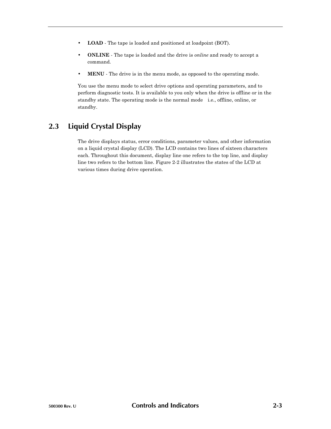- **LOAD** The tape is loaded and positioned at loadpoint (BOT).
- **ONLINE** The tape is loaded and the drive is *online* and ready to accept a command.
- **MENU** The drive is in the menu mode, as opposed to the operating mode.

You use the menu mode to select drive options and operating parameters, and to perform diagnostic tests. It is available to you only when the drive is offline or in the standby state. The operating mode is the normal mode—i.e., offline, online, or standby.

# **2.3 Liquid Crystal Display**

The drive displays status, error conditions, parameter values, and other information on a liquid crystal display (LCD). The LCD contains two lines of sixteen characters each. Throughout this document, display line one refers to the top line, and display line two refers to the bottom line. Figure 2-2 illustrates the states of the LCD at various times during drive operation.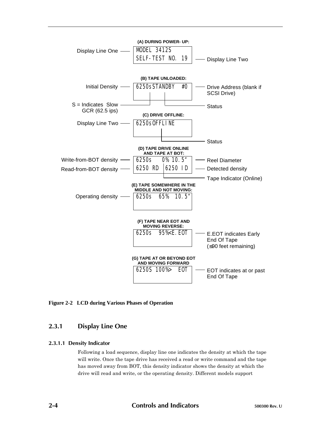

**Figure 2-2 LCD during Various Phases of Operation**

# **2.3.1 Display Line One**

### **2.3.1.1 Density Indicator**

Following a load sequence, display line one indicates the density at which the tape will write. Once the tape drive has received a read or write command and the tape has moved away from BOT, this density indicator shows the density at which the drive will read and write, or the operating density. Different models support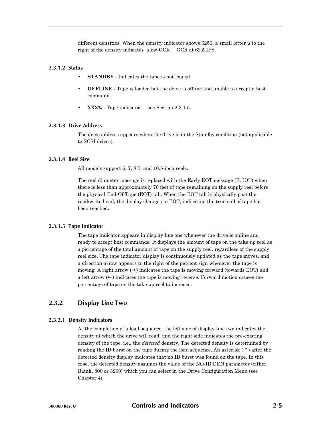different densities. When the density indicator shows 6250, a small letter **S** to the right of the density indicates slow-GCR GCR at 62.5 IPS.

#### **2.3.1.2 Status**

- **STANDBY** Indicates the tape is not loaded.
- **OFFLINE** Tape is loaded but the drive is offline and unable to accept a host command.
- **XXX%** Tape indicator see Section 2.3.1.5.

#### **2.3.1.3 Drive Address**

The drive address appears when the drive is in the Standby condition (not applicable to SCSI drives).

#### **2.3.1.4 Reel Size**

All models support 6, 7, 8.5, and 10.5-inch reels.

The reel diameter message is replaced with the Early EOT message (E.EOT) when there is less than approximately 70 feet of tape remaining on the supply reel before the physical End-Of-Tape (EOT) tab. When the EOT tab is physically past the read/write head, the display changes to EOT, indicating the true end of tape has been reached.

#### **2.3.1.5 Tape Indicator**

The tape indicator appears in display line one whenever the drive is online and ready to accept host commands. It displays the amount of tape on the take up reel as a percentage of the total amount of tape on the supply reel, regardless of the supply reel size. The tape indicator display is continuously updated as the tape moves, and a direction arrow appears to the right of the percent sign whenever the tape is moving. A right arrow  $\leftrightarrow$ ) indicates the tape is moving forward (towards EOT) and a left arrow  $(\leftarrow)$  indicates the tape is moving reverse. Forward motion causes the percentage of tape on the take up reel to increase.

### **2.3.2 Display Line Two**

#### **2.3.2.1 Density Indicators**

At the completion of a load sequence, the left side of display line two indicates the density at which the drive will read, and the right side indicates the pre-existing density of the tape, i.e., the *detected* density. The detected density is determined by reading the ID burst on the tape during the load sequence. An asterisk ( \* ) after the detected density display indicates that no ID burst was found on the tape. In this case, the detected density assumes the value of the NO-ID DEN parameter (either Blank, 800 or 3200) which you can select in the Drive Configuration Menu (see Chapter 4).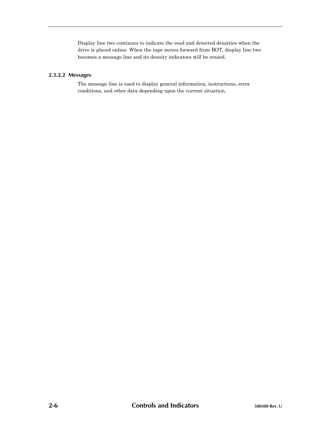Display line two continues to indicate the read and detected densities when the drive is placed online. When the tape moves forward from BOT, display line two becomes a message line and its density indicators will be erased.

### **2.3.2.2 Messages**

The message line is used to display general information, instructions, error conditions, and other data depending upon the current situation.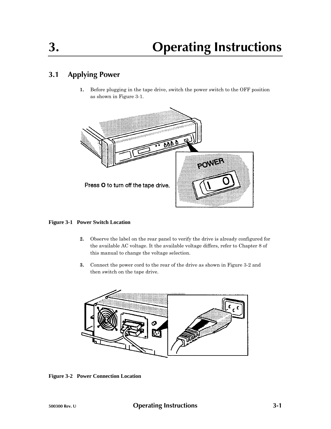# **3.1 Applying Power**

**1.** Before plugging in the tape drive, switch the power switch to the OFF position as shown in Figure 3-1.



### **Figure 3-1 Power Switch Location**

- **2.** Observe the label on the rear panel to verify the drive is already configured for the available AC voltage. It the available voltage differs, refer to Chapter 8 of this manual to change the voltage selection.
- **3.** Connect the power cord to the rear of the drive as shown in Figure 3-2 and then switch on the tape drive.



**Figure 3-2 Power Connection Location**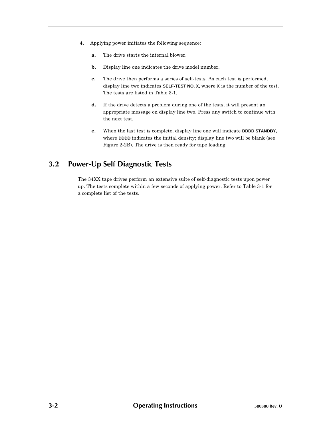- **4.** Applying power initiates the following sequence:
	- **a.** The drive starts the internal blower.
	- **b.** Display line one indicates the drive model number.
	- **c.** The drive then performs a series of self-tests. As each test is performed, display line two indicates **SELF-TEST NO. X,** where **X** is the number of the test. The tests are listed in Table 3-1.
	- **d.** If the drive detects a problem during one of the tests, it will present an appropriate message on display line two. Press any switch to continue with the next test.
	- **e.** When the last test is complete, display line one will indicate **DDDD STANDBY,** where **DDDD** indicates the initial density; display line two will be blank (see Figure 2-2B). The drive is then ready for tape loading.

# **3.2 Power-Up Self Diagnostic Tests**

The 34XX tape drives perform an extensive suite of self-diagnostic tests upon power up. The tests complete within a few seconds of applying power. Refer to Table 3-1 for a complete list of the tests.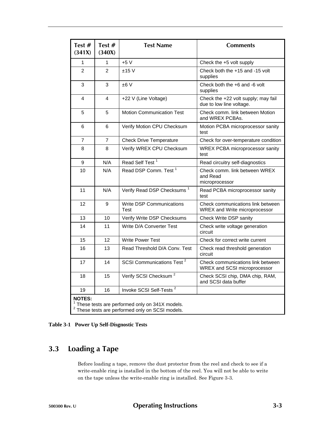| Test $#$<br>(341X)                                                                                                    | Test $#$<br>(340X) | <b>Test Name</b>                        | <b>Comments</b>                                                           |  |  |
|-----------------------------------------------------------------------------------------------------------------------|--------------------|-----------------------------------------|---------------------------------------------------------------------------|--|--|
| 1                                                                                                                     | 1                  | $+5V$                                   | Check the +5 volt supply                                                  |  |  |
| $\overline{2}$                                                                                                        | $\overline{2}$     | ±15V                                    | Check both the +15 and -15 volt<br>supplies                               |  |  |
| 3                                                                                                                     | 3                  | ±6V                                     | Check both the +6 and -6 volt<br>supplies                                 |  |  |
| 4                                                                                                                     | $\overline{4}$     | +22 V (Line Voltage)                    | Check the +22 volt supply; may fail<br>due to low line voltage.           |  |  |
| 5                                                                                                                     | 5                  | <b>Motion Communication Test</b>        | Check comm. link between Motion<br>and WREX PCBAs.                        |  |  |
| 6                                                                                                                     | 6                  | Verify Motion CPU Checksum              | Motion PCBA microprocessor sanity<br>test                                 |  |  |
| $\overline{7}$                                                                                                        | $\overline{7}$     | <b>Check Drive Temperature</b>          | Check for over-temperature condition                                      |  |  |
| 8                                                                                                                     | 8                  | Verify WREX CPU Checksum                | WREX PCBA microprocessor sanity<br>test                                   |  |  |
| 9                                                                                                                     | N/A                | Read Self Test <sup>1</sup>             | Read circuitry self-diagnostics                                           |  |  |
| 10                                                                                                                    | N/A                | Read DSP Comm. Test <sup>1</sup>        | Check comm. link between WREX<br>and Read<br>microprocessor               |  |  |
| 11                                                                                                                    | N/A                | Verify Read DSP Checksums <sup>1</sup>  | Read PCBA microprocessor sanity<br>test                                   |  |  |
| 12                                                                                                                    | 9                  | <b>Write DSP Communications</b><br>Test | Check communications link between<br><b>WREX and Write microprocessor</b> |  |  |
| 13                                                                                                                    | 10                 | Verify Write DSP Checksums              | Check Write DSP sanity                                                    |  |  |
| 14                                                                                                                    | 11                 | Write D/A Converter Test                | Check write voltage generation<br>circuit                                 |  |  |
| 15                                                                                                                    | 12                 | <b>Write Power Test</b>                 | Check for correct write current                                           |  |  |
| 16                                                                                                                    | 13                 | Read Threshold D/A Conv. Test           | Check read threshold generation<br>circuit                                |  |  |
| 17                                                                                                                    | 14                 | SCSI Communications Test <sup>2</sup>   | Check communications link between<br>WREX and SCSI microprocessor         |  |  |
| 18                                                                                                                    | 15                 | Verify SCSI Checksum <sup>2</sup>       | Check SCSI chip, DMA chip, RAM,<br>and SCSI data buffer                   |  |  |
| 19                                                                                                                    | 16                 | Invoke SCSI Self-Tests <sup>2</sup>     |                                                                           |  |  |
| <b>NOTES:</b><br>These tests are performed only on 341X models.<br>$2$ These tests are performed only on SCSI models. |                    |                                         |                                                                           |  |  |

| Table 3-1 Power Up Self-Disgnostic Tests |  |  |  |  |  |
|------------------------------------------|--|--|--|--|--|
|------------------------------------------|--|--|--|--|--|

# **3.3 Loading a Tape**

Before loading a tape, remove the dust protector from the reel and check to see if a write-enable ring is installed in the bottom of the reel. You will not be able to write on the tape unless the write-enable ring is installed. See Figure 3-3.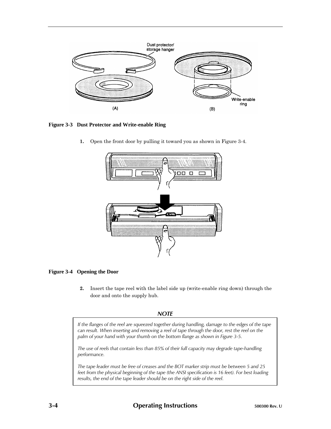

**Figure 3-3 Dust Protector and Write-enable Ring**

**1.** Open the front door by pulling it toward you as shown in Figure 3-4.





**2.** Insert the tape reel with the label side up (write-enable ring down) through the door and onto the supply hub.

### *NOTE*

*If the flanges of the reel are squeezed together during handling, damage to the edges of the tape can result. When inserting and removing a reel of tape through the door, rest the reel on the palm of your hand with your thumb on the bottom flange as shown in Figure 3-5.*

*The use of reels that contain less than 85% of their full capacity may degrade tape-handling performance.*

*The tape leader must be free of creases and the BOT marker strip must be between 5 and 25 feet from the physical beginning of the tape (the ANSI specification is 16 feet). For best loading results, the end of the tape leader should be on the right side of the reel.*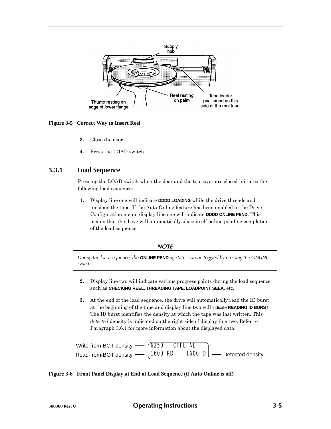

**Figure 3-5 Correct Way to Insert Reel**

- **3.** Close the door.
- **4.** Press the LOAD switch.

### **3.3.1 Load Sequence**

Pressing the LOAD switch when the door and the top cover are closed initiates the following load sequence:

**1.** Display line one will indicate **DDDD LOADING** while the drive threads and tensions the tape. If the Auto-Online feature has been enabled in the Drive Configuration menu, display line one will indicate **DDDD ONLINE PEND**. This means that the drive will automatically place itself online pending completion of the load sequence.

#### *NOTE*

*During the load sequence, the* **ONLINE PEND***ing status can be toggled by pressing the ONLINE switch.*

- **2.** Display line two will indicate various progress points during the load sequence, such as **CHECKING REEL, THREADING TAPE, LOADPOINT SEEK,** etc.
- **3.** At the end of the load sequence, the drive will automatically read the ID burst at the beginning of the tape and display line two will indicate **READING ID BURST.** The ID burst identifies the density at which the tape was last written. This *detected* density is indicated on the right side of display line two. Refer to Paragraph 3.6.1 for more information about the displayed data.



### **Figure 3-6 Front Panel Display at End of Load Sequence (if Auto Online is off)**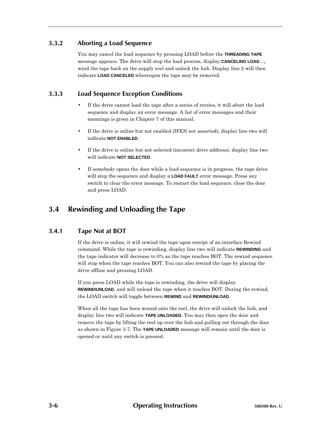# **3.3.2 Aborting a Load Sequence**

You may cancel the load sequence by pressing LOAD before the **THREADING TAPE** message appears. The drive will stop the load process, display **CANCELING LOAD . .,** wind the tape back on the supply reel and unlock the hub. Display line 2 will then indicate **LOAD CANCELED** whereupon the tape may be removed.

# **3.3.3 Load Sequence Exception Conditions**

- If the drive cannot load the tape after a series of retries, it will abort the load sequence and display an error message. A list of error messages and their meanings is given in Chapter 7 of this manual.
- If the drive is online but not enabled (IFEN not asserted), display line two will indicate **NOT ENABLED**.
- If the drive is online but not selected (incorrect drive address), display line two will indicate **NOT SELECTED**.
- If somebody opens the door while a load sequence is in progress, the tape drive will stop the sequence and display a **LOAD FAULT** error message. Press any switch to clear the error message. To restart the load sequence, close the door and press LOAD.

# **3.4 Rewinding and Unloading the Tape**

# **3.4.1 Tape Not at BOT**

If the drive is online, it will rewind the tape upon receipt of an interface Rewind command. While the tape is rewinding, display line two will indicate **REWINDING** and the tape indicator will decrease to 0% as the tape reaches BOT. The rewind sequence will stop when the tape reaches BOT. You can also rewind the tape by placing the drive offline and pressing LOAD.

If you press LOAD while the tape is rewinding, the drive will display **REWIND/UNLOAD**, and will unload the tape when it reaches BOT. During the rewind, the LOAD switch will toggle between **REWIND** and **REWIND/UNLOAD**.

When all the tape has been wound onto the reel, the drive will unlock the hub, and display line two will indicate **TAPE UNLOADED**. You may then open the door and remove the tape by lifting the reel up over the hub and pulling out through the door as shown in Figure 3-7. The **TAPE UNLOADED** message will remain until the door is opened or until any switch is pressed.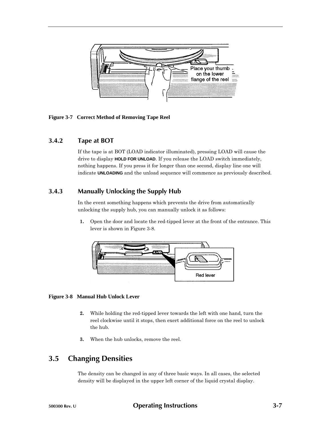

**Figure 3-7 Correct Method of Removing Tape Reel**

# **3.4.2 Tape at BOT**

If the tape is at BOT (LOAD indicator illuminated), pressing LOAD will cause the drive to display **HOLD FOR UNLOAD**. If you release the LOAD switch immediately, nothing happens. If you press it for longer than one second, display line one will indicate **UNLOADING** and the unload sequence will commence as previously described.

### **3.4.3 Manually Unlocking the Supply Hub**

In the event something happens which prevents the drive from automatically unlocking the supply hub, you can manually unlock it as follows:

**1.** Open the door and locate the red-tipped lever at the front of the entrance. This lever is shown in Figure 3-8.



### **Figure 3-8 Manual Hub Unlock Lever**

- **2.** While holding the red-tipped lever towards the left with one hand, turn the reel clockwise until it stops, then exert additional force on the reel to unlock the hub.
- **3.** When the hub unlocks, remove the reel.

# **3.5 Changing Densities**

The density can be changed in any of three basic ways. In all cases, the selected density will be displayed in the upper left corner of the liquid crystal display.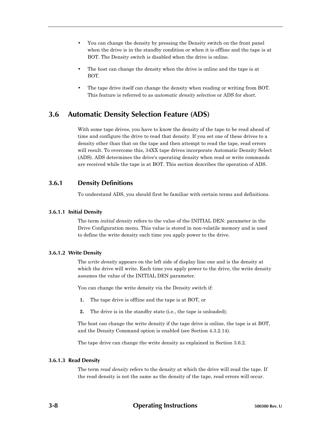- You can change the density by pressing the Density switch on the front panel when the drive is in the standby condition or when it is offline and the tape is at BOT. The Density switch is disabled when the drive is online.
- The host can change the density when the drive is online and the tape is at BOT.
- The tape drive itself can change the density when reading or writing from BOT. This feature is referred to as *automatic density selection* or ADS for short.

# **3.6 Automatic Density Selection Feature (ADS)**

With some tape drives, you have to know the density of the tape to be read ahead of time and configure the drive to read that density. If you set one of these drives to a density other than that on the tape and then attempt to read the tape, read errors will result. To overcome this, 34XX tape drives incorporate Automatic Density Select (ADS). ADS determines the drive's operating density when read or write commands are received while the tape is at BOT. This section describes the operation of ADS.

# **3.6.1 Density Definitions**

To understand ADS, you should first be familiar with certain terms and definitions.

# **3.6.1.1 Initial Density**

The term *initial density* refers to the value of the INITIAL DEN: parameter in the Drive Configuration menu. This value is stored in non-volatile memory and is used to define the write density each time you apply power to the drive.

# **3.6.1.2 Write Density**

The *write density* appears on the left side of display line one and is the density at which the drive will write. Each time you apply power to the drive, the write density assumes the value of the INITIAL DEN parameter.

You can change the write density via the Density switch if:

- **1.** The tape drive is offline and the tape is at BOT, or
- **2.** The drive is in the standby state (i.e., the tape is unloaded);

The host can change the write density if the tape drive is online, the tape is at BOT, and the Density Command option is enabled (see Section 4.3.2.14).

The tape drive can change the write density as explained in Section 3.6.2.

# **3.6.1.3 Read Density**

The term *read density* refers to the density at which the drive will read the tape. If the read density is not the same as the density of the tape, read errors will occur.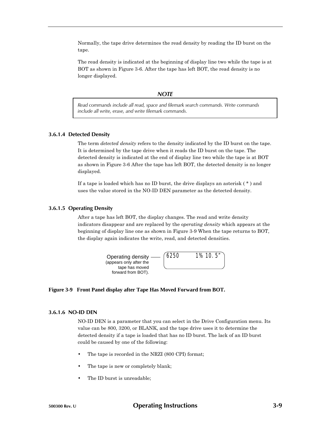Normally, the tape drive determines the read density by reading the ID burst on the tape.

The read density is indicated at the beginning of display line two while the tape is at BOT as shown in Figure 3-6. After the tape has left BOT, the read density is no longer displayed.

#### *NOTE*

*Read commands include all read, space and filemark search commands. Write commands include all write, erase, and write filemark commands.*

### **3.6.1.4 Detected Density**

The term *detected density* refers to the density indicated by the ID burst on the tape. It is determined by the tape drive when it reads the ID burst on the tape. The detected density is indicated at the end of display line two while the tape is at BOT as shown in Figure 3-6 After the tape has left BOT, the detected density is no longer displayed.

If a tape is loaded which has no ID burst, the drive displays an asterisk ( \* ) and uses the value stored in the NO-ID DEN parameter as the detected density.

#### **3.6.1.5 Operating Density**

After a tape has left BOT, the display changes. The read and write density indicators disappear and are replaced by the *operating density* which appears at the beginning of display line one as shown in Figure 3-9 When the tape returns to BOT, the display again indicates the write, read, and detected densities.



#### **Figure 3-9 Front Panel display after Tape Has Moved Forward from BOT.**

### **3.6.1.6 NO-ID DEN**

NO-ID DEN is a parameter that you can select in the Drive Configuration menu. Its value can be 800, 3200, or BLANK, and the tape drive uses it to determine the detected density if a tape is loaded that has no ID burst. The lack of an ID burst could be caused by one of the following:

- The tape is recorded in the NRZI (800 CPI) format;
- The tape is new or completely blank;
- The ID burst is unreadable;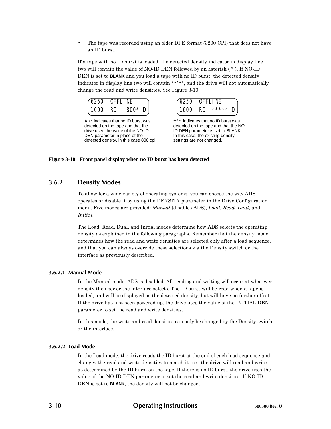• The tape was recorded using an older DPE format (3200 CPI) that does not have an ID burst.

If a tape with no ID burst is loaded, the detected density indicator in display line two will contain the value of NO-ID DEN followed by an asterisk ( \* ). If NO-ID DEN is set to **BLANK** and you load a tape with no ID burst, the detected density indicator in display line two will contain \*\*\*\*\*, and the drive will not automatically change the read and write densities. See Figure 3-10.



An \* indicates that no ID burst was detected on the tape and that the drive used the value of the NO-ID DEN parameter in place of the detected density, in this case 800 cpi.



\*\*\*\*\* indicates that no ID burst was detected on the tape and that the NO-ID DEN parameter is set to BLANK. In this case, the existing density settings are not changed.

# **Figure 3-10 Front panel display when no ID burst has been detected**

# **3.6.2 Density Modes**

To allow for a wide variety of operating systems, you can choose the way ADS operates or disable it by using the DENSITY parameter in the Drive Configuration menu. Five modes are provided: *Manual* (disables ADS), *Load, Read, Dual*, and *Initial*.

The Load, Read, Dual, and Initial modes determine how ADS selects the operating density as explained in the following paragraphs. Remember that the density mode determines how the read and write densities are selected only after a load sequence, and that you can always override these selections via the Density switch or the interface as previously described.

#### **3.6.2.1 Manual Mode**

In the Manual mode, ADS is disabled. All reading and writing will occur at whatever density the user or the interface selects. The ID burst will be read when a tape is loaded, and will be displayed as the detected density, but will have no further effect. If the drive has just been powered up, the drive uses the value of the INITIAL DEN parameter to set the read and write densities.

In this mode, the write and read densities can only be changed by the Density switch or the interface.

#### **3.6.2.2 Load Mode**

In the Load mode, the drive reads the ID burst at the end of each load sequence and changes the read and write densities to match it; i.e., the drive will read and write as determined by the ID burst on the tape. If there is no ID burst, the drive uses the value of the NO-ID DEN parameter to set the read and write densities. If NO-ID DEN is set to **BLANK**, the density will not be changed.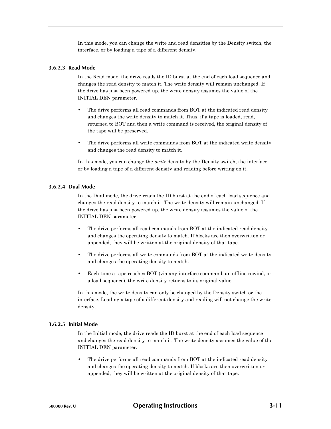In this mode, you can change the write and read densities by the Density switch, the interface, or by loading a tape of a different density.

#### **3.6.2.3 Read Mode**

In the Read mode, the drive reads the ID burst at the end of each load sequence and changes the read density to match it. The write density will remain unchanged. If the drive has just been powered up, the write density assumes the value of the INITIAL DEN parameter.

- The drive performs all read commands from BOT at the indicated read density and changes the write density to match it. Thus, if a tape is loaded, read, returned to BOT and then a write command is received, the original density of the tape will be preserved.
- The drive performs all write commands from BOT at the indicated write density and changes the read density to match it.

In this mode, you can change the *write* density by the Density switch, the interface or by loading a tape of a different density and reading before writing on it.

### **3.6.2.4 Dual Mode**

In the Dual mode, the drive reads the ID burst at the end of each load sequence and changes the read density to match it. The write density will remain unchanged. If the drive has just been powered up, the write density assumes the value of the INITIAL DEN parameter.

- The drive performs all read commands from BOT at the indicated read density and changes the operating density to match. If blocks are then overwritten or appended, they will be written at the original density of that tape.
- The drive performs all write commands from BOT at the indicated write density and changes the operating density to match.
- Each time a tape reaches BOT (via any interface command, an offline rewind, or a load sequence), the write density returns to its original value.

In this mode, the write density can only be changed by the Density switch or the interface. Loading a tape of a different density and reading will not change the write density.

### **3.6.2.5 Initial Mode**

In the Initial mode, the drive reads the ID burst at the end of each load sequence and changes the read density to match it. The write density assumes the value of the INITIAL DEN parameter.

The drive performs all read commands from BOT at the indicated read density and changes the operating density to match. If blocks are then overwritten or appended, they will be written at the original density of that tape.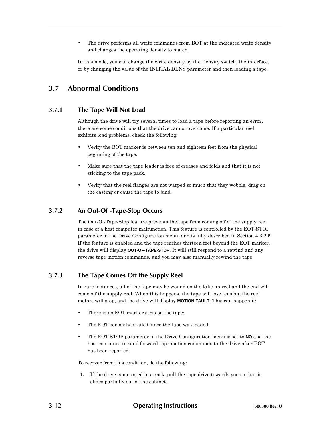The drive performs all write commands from BOT at the indicated write density and changes the operating density to match.

In this mode, you can change the write density by the Density switch, the interface, or by changing the value of the INITIAL DENS parameter and then loading a tape.

# **3.7 Abnormal Conditions**

# **3.7.1 The Tape Will Not Load**

Although the drive will try several times to load a tape before reporting an error, there are some conditions that the drive cannot overcome. If a particular reel exhibits load problems, check the following:

- Verify the BOT marker is between ten and eighteen feet from the physical beginning of the tape.
- Make sure that the tape leader is free of creases and folds and that it is not sticking to the tape pack.
- Verify that the reel flanges are not warped so much that they wobble, drag on the casting or cause the tape to bind.

# **3.7.2 An Out-Of -Tape-Stop Occurs**

The Out-Of-Tape-Stop feature prevents the tape from coming off of the supply reel in case of a host computer malfunction. This feature is controlled by the EOT-STOP parameter in the Drive Configuration menu, and is fully described in Section 4.3.2.5. If the feature is enabled and the tape reaches thirteen feet beyond the EOT marker, the drive will display **OUT-OF-TAPE-STOP**. It will still respond to a rewind and any reverse tape motion commands, and you may also manually rewind the tape.

# **3.7.3 The Tape Comes Off the Supply Reel**

In rare instances, all of the tape may be wound on the take up reel and the end will come off the supply reel. When this happens, the tape will lose tension, the reel motors will stop, and the drive will display **MOTION FAULT**. This can happen if:

- There is no EOT marker strip on the tape;
- The EOT sensor has failed since the tape was loaded;
- The EOT STOP parameter in the Drive Configuration menu is set to **NO** and the host continues to send forward tape motion commands to the drive after EOT has been reported.

To recover from this condition, do the following:

**1.** If the drive is mounted in a rack, pull the tape drive towards you so that it slides partially out of the cabinet.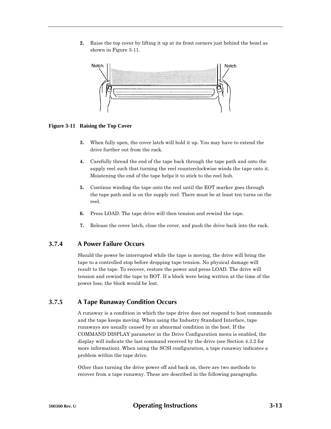**2.** Raise the top cover by lifting it up at its front corners just behind the bezel as shown in Figure 3-11.



#### **Figure 3-11 Raising the Top Cover**

- **3.** When fully open, the cover latch will hold it up. You may have to extend the drive further out from the rack.
- **4.** Carefully thread the end of the tape back through the tape path and onto the supply reel such that turning the reel counterclockwise winds the tape onto it. Moistening the end of the tape helps it to stick to the reel hub.
- **5.** Continue winding the tape onto the reel until the EOT marker goes through the tape path and is on the supply reel. There must be at least ten turns on the reel.
- **6.** Press LOAD. The tape drive will then tension and rewind the tape.
- **7.** Release the cover latch, close the cover, and push the drive back into the rack.

# **3.7.4 A Power Failure Occurs**

Should the power be interrupted while the tape is moving, the drive will bring the tape to a controlled stop before dropping tape tension. No physical damage will result to the tape. To recover, restore the power and press LOAD. The drive will tension and rewind the tape to BOT. If a block were being written at the time of the power loss, the block would be lost.

# **3.7.5 A Tape Runaway Condition Occurs**

A runaway is a condition in which the tape drive does not respond to host commands and the tape keeps moving. When using the Industry Standard Interface, tape runaways are usually caused by an abnormal condition in the host. If the COMMAND DISPLAY parameter in the Drive Configuration menu is enabled, the display will indicate the last command received by the drive (see Section 4.3.2 for more information). When using the SCSI configuration, a tape runaway indicates a problem within the tape drive.

Other than turning the drive power off and back on, there are two methods to recover from a tape runaway. These are described in the following paragraphs.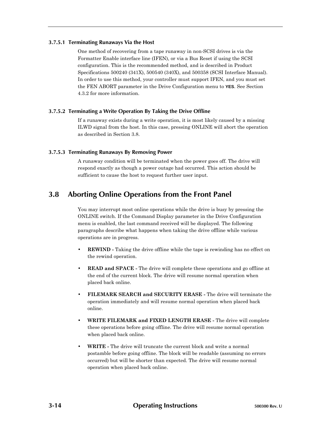#### **3.7.5.1 Terminating Runaways Via the Host**

One method of recovering from a tape runaway in non-SCSI drives is via the Formatter Enable interface line (IFEN), or via a Bus Reset if using the SCSI configuration. This is the recommended method, and is described in Product Specifications 500240 (341X), 500540 (340X), and 500358 (SCSI Interface Manual). In order to use this method, your controller must support IFEN, and you must set the FEN ABORT parameter in the Drive Configuration menu to **YES**. See Section 4.3.2 for more information.

# **3.7.5.2 Terminating a Write Operation By Taking the Drive Offline**

If a runaway exists during a write operation, it is most likely caused by a missing ILWD signal from the host. In this case, pressing ONLINE will abort the operation as described in Section 3.8.

### **3.7.5.3 Terminating Runaways By Removing Power**

A runaway condition will be terminated when the power goes off. The drive will respond exactly as though a power outage had occurred. This action should be sufficient to cause the host to request further user input.

# **3.8 Aborting Online Operations from the Front Panel**

You may interrupt most online operations while the drive is busy by pressing the ONLINE switch. If the Command Display parameter in the Drive Configuration menu is enabled, the last command received will be displayed. The following paragraphs describe what happens when taking the drive offline while various operations are in progress.

- **REWIND -** Taking the drive offline while the tape is rewinding has no effect on the rewind operation.
- **READ and SPACE -** The drive will complete these operations and go offline at the end of the current block. The drive will resume normal operation when placed back online.
- **FILEMARK SEARCH and SECURITY ERASE -** The drive will terminate the operation immediately and will resume normal operation when placed back online.
- **WRITE FILEMARK and FIXED LENGTH ERASE -** The drive will complete these operations before going offline. The drive will resume normal operation when placed back online.
- **WRITE -** The drive will truncate the current block and write a normal postamble before going offline. The block will be readable (assuming no errors occurred) but will be shorter than expected. The drive will resume normal operation when placed back online.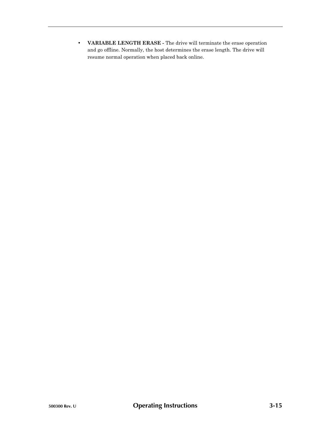• **VARIABLE LENGTH ERASE -** The drive will terminate the erase operation and go offline. Normally, the host determines the erase length. The drive will resume normal operation when placed back online.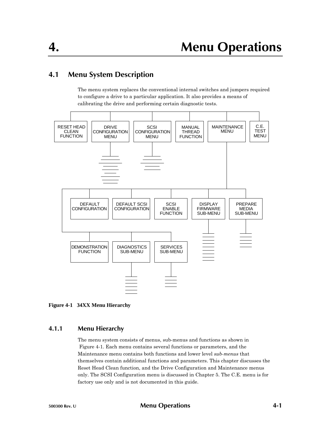# **4.1 Menu System Description**

The menu system replaces the conventional internal switches and jumpers required to configure a drive to a particular application. It also provides a means of calibrating the drive and performing certain diagnostic tests.





# **4.1.1 Menu Hierarchy**

The menu system consists of menus, sub-menus and functions as shown in Figure 4-1. Each menu contains several functions or parameters, and the Maintenance menu contains both functions and lower level *sub-menus* that themselves contain additional functions and parameters. This chapter discusses the Reset Head Clean function, and the Drive Configuration and Maintenance menus only. The SCSI Configuration menu is discussed in Chapter 5. The C.E. menu is for factory use only and is not documented in this guide.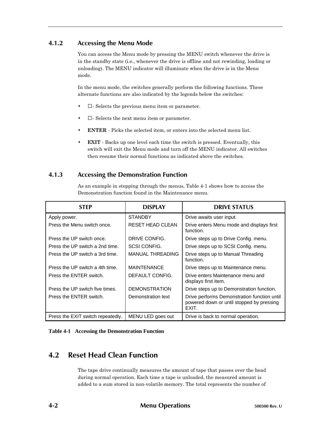# **4.1.2 Accessing the Menu Mode**

You can access the Menu mode by pressing the MENU switch whenever the drive is in the standby state (i.e., whenever the drive is offline and not rewinding, loading or unloading). The MENU indicator will illuminate when the drive is in the Menu mode.

In the menu mode, the switches generally perform the following functions. These alternate functions are also indicated by the legends below the switches:

- - Selects the previous menu item or parameter.
- - Selects the next menu item or parameter.
- **ENTER** Picks the selected item, or enters into the selected menu list.
- **EXIT** Backs up one level each time the switch is pressed. Eventually, this switch will exit the Menu mode and turn off the MENU indicator. All switches then resume their normal functions as indicated above the switches.

# **4.1.3 Accessing the Demonstration Function**

As an example in stepping through the menus, Table 4-1 shows how to access the Demonstration function found in the Maintenance menu.

| <b>STEP</b>                       | <b>DISPIAY</b>          | <b>DRIVE STATUS</b>                                                                               |
|-----------------------------------|-------------------------|---------------------------------------------------------------------------------------------------|
| Apply power.                      | <b>STANDBY</b>          | Drive awaits user input.                                                                          |
| Press the Menu switch once.       | <b>RESET HEAD CLEAN</b> | Drive enters Menu mode and displays first<br>function.                                            |
| Press the UP switch once.         | DRIVE CONFIG.           | Drive steps up to Drive Config. menu.                                                             |
| Press the UP switch a 2nd time.   | <b>SCSI CONFIG.</b>     | Drive steps up to SCSI Config. menu.                                                              |
| Press the UP switch a 3rd time.   | <b>MANUAL THREADING</b> | Drive steps up to Manual Threading<br>function.                                                   |
| Press the UP switch a 4th time.   | <b>MAINTENANCE</b>      | Drive steps up to Maintenance menu.                                                               |
| Press the ENTER switch.           | DEFAULT CONFIG.         | Drive enters Maintenance menu and<br>displays first item.                                         |
| Press the UP switch five times.   | <b>DEMONSTRATION</b>    | Drive steps up to Demonstration function.                                                         |
| Press the ENTER switch.           | Demonstration text      | Drive performs Demonstration function until<br>powered down or until stopped by pressing<br>EXIT. |
| Press the EXIT switch repeatedly. | MENU LED goes out       | Drive is back to normal operation.                                                                |

**Table 4-1 Accessing the Demonstration Function**

# **4.2 Reset Head Clean Function**

The tape drive continually measures the amount of tape that passes over the head during normal operation. Each time a tape is unloaded, the measured amount is added to a sum stored in non-volatile memory. The total represents the number of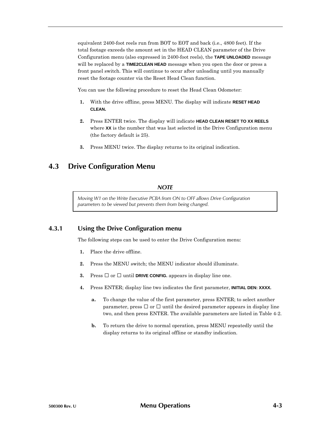equivalent 2400-foot reels run from BOT to EOT and back (i.e., 4800 feet). If the total footage exceeds the amount set in the HEAD CLEAN parameter of the Drive Configuration menu (also expressed in 2400-foot reels), the **TAPE UNLOADED** message will be replaced by a **TIME2CLEAN HEAD** message when you open the door or press a front panel switch. This will continue to occur after unloading until you manually reset the footage counter via the Reset Head Clean function.

You can use the following procedure to reset the Head Clean Odometer:

- **1.** With the drive offline, press MENU. The display will indicate **RESET HEAD CLEAN.**
- **2.** Press ENTER twice. The display will indicate **HEAD CLEAN RESET TO XX REELS** where **XX** is the number that was last selected in the Drive Configuration menu (the factory default is 25).
- **3.** Press MENU twice. The display returns to its original indication.

# **4.3 Drive Configuration Menu**

# *NOTE*

*Moving W1 on the Write Executive PCBA from ON to OFF allows Drive Configuration parameters to be viewed but prevents them from being changed.*

# **4.3.1 Using the Drive Configuration menu**

The following steps can be used to enter the Drive Configuration menu:

- **1.** Place the drive offline.
- **2.** Press the MENU switch; the MENU indicator should illuminate.
- **3.** Press or until **DRIVE CONFIG.** appears in display line one.
- **4.** Press ENTER; display line two indicates the first parameter, **INITIAL DEN: XXXX.**
	- **a.** To change the value of the first parameter, press ENTER; to select another parameter, press or until the desired parameter appears in display line two, and then press ENTER. The available parameters are listed in Table 4-2.
	- **b.** To return the drive to normal operation, press MENU repeatedly until the display returns to its original offline or standby indication.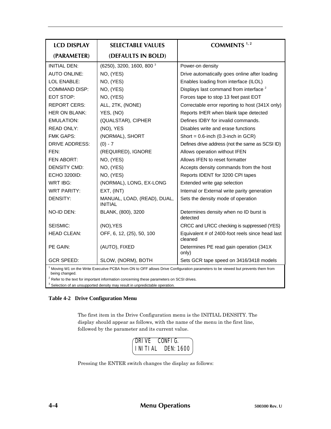| <b>LCD DISPLAY</b>                                                                                                                               | <b>SELECTABLE VALUES</b>                      | COMMENTS <sup>1,2</sup>                                    |
|--------------------------------------------------------------------------------------------------------------------------------------------------|-----------------------------------------------|------------------------------------------------------------|
| (PARAMETER)                                                                                                                                      | (DEFAULTS IN BOLD)                            |                                                            |
| <b>INITIAL DEN:</b>                                                                                                                              | $(6250)$ , 3200, 1600, 800 $3$                | Power-on density                                           |
| <b>AUTO ONLINE:</b>                                                                                                                              | NO, (YES)                                     | Drive automatically goes online after loading              |
| LOL ENABLE:                                                                                                                                      | NO, (YES)                                     | Enables loading from interface (ILOL)                      |
| <b>COMMAND DISP:</b>                                                                                                                             | NO, (YES)                                     | Displays last command from interface <sup>2</sup>          |
| EOT STOP:                                                                                                                                        | NO, (YES)                                     | Forces tape to stop 13 feet past EOT                       |
| <b>REPORT CERS:</b>                                                                                                                              | ALL, 2TK, (NONE)                              | Correctable error reporting to host (341X only)            |
| <b>HER ON BLANK:</b>                                                                                                                             | YES, (NO)                                     | Reports IHER when blank tape detected                      |
| <b>EMULATION:</b>                                                                                                                                | (QUALSTAR), CIPHER                            | Defines IDBY for invalid commands.                         |
| <b>READ ONLY:</b>                                                                                                                                | (NO), YES                                     | Disables write and erase functions                         |
| <b>FMK GAPS:</b>                                                                                                                                 | (NORMAL), SHORT                               | Short = $0.6$ -inch (0.3-inch in GCR)                      |
| <b>DRIVE ADDRESS:</b>                                                                                                                            | $(0) - 7$                                     | Defines drive address (not the same as SCSI ID)            |
| FEN:                                                                                                                                             | (REQUIRED), IGNORE                            | Allows operation without IFEN                              |
| FEN ABORT:                                                                                                                                       | NO, (YES)                                     | Allows IFEN to reset formatter                             |
| <b>DENSITY CMD:</b>                                                                                                                              | NO, (YES)                                     | Accepts density commands from the host                     |
| ECHO 3200ID:                                                                                                                                     | NO, (YES)                                     | Reports IDENT for 3200 CPI tapes                           |
| WRT IBG:                                                                                                                                         | (NORMAL), LONG, EX-LONG                       | Extended write gap selection                               |
| <b>WRT PARITY:</b>                                                                                                                               | EXT, (INT)                                    | Internal or External write parity generation               |
| DENSITY:                                                                                                                                         | MANUAL, LOAD, (READ), DUAL,<br><b>INITIAL</b> | Sets the density mode of operation                         |
| NO-ID DEN:                                                                                                                                       | BLANK, (800), 3200                            | Determines density when no ID burst is<br>detected         |
| SEISMIC:                                                                                                                                         | (NO), YES                                     | CRCC and LRCC checking is suppressed (YES)                 |
| <b>HEAD CLEAN:</b>                                                                                                                               | OFF, 6, 12, (25), 50, 100                     | Equivalent # of 2400-foot reels since head last<br>cleaned |
| PE GAIN:                                                                                                                                         | (AUTO), FIXED                                 | Determines PE read gain operation (341X<br>only)           |
| <b>GCR SPEED:</b>                                                                                                                                | SLOW, (NORM), BOTH                            | Sets GCR tape speed on 3416/3418 models                    |
| Moving W1 on the Write Executive PCBA from ON to OFF allows Drive Configuration parameters to be viewed but prevents them from<br>being changed. |                                               |                                                            |

 $2$  Refer to the text for important information concerning these parameters on SCSI drives.

 $3$  Selection of an unsupported density may result in unpredictable operation.

# **Table 4-2 Drive Configuration Menu**

The first item in the Drive Configuration menu is the INITIAL DENSITY. The display should appear as follows, with the name of the menu in the first line, followed by the parameter and its current value.

| DRIVE CONFIG. |                                   |
|---------------|-----------------------------------|
|               | $\vert$ INITIAL DEN: 1600 $\vert$ |

Pressing the ENTER switch changes the display as follows: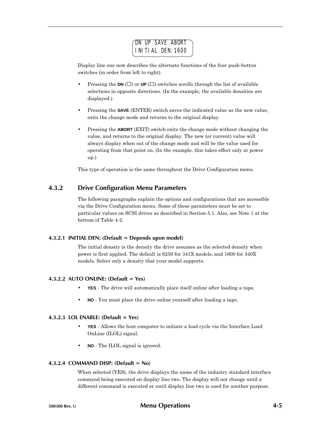# DN UP SAVE ABORT INITIAL DEN:1600

Display line one now describes the alternate functions of the four push-button switches (in order from left to right).

- Pressing the **DN** () or **UP** () switches scrolls through the list of available selections in opposite directions. (In the example, the available densities are displayed.)
- Pressing the **SAVE** (ENTER) switch saves the indicated value as the new value, exits the change mode and returns to the original display.
- Pressing the **ABORT** (EXIT) switch exits the change mode without changing the value, and returns to the original display. The new (or current) value will always display when out of the change mode and will be the value used for operating from that point on. (In the example, this takes effect only at power up.)

This type of operation is the same throughout the Drive Configuration menu.

# **4.3.2 Drive Configuration Menu Parameters**

The following paragraphs explain the options and configurations that are accessible via the Drive Configuration menu. Some of these parameters must be set to particular values on SCSI drives as described in Section 5.1. Also, see Note 1 at the bottom of Table 4-2.

# **4.3.2.1 INITIAL DEN: (Default = Depends upon model)**

The initial density is the density the drive assumes as the selected density when power is first applied. The default is 6250 for 341X models, and 1600 for 340X models. Select only a density that your model supports.

# **4.3.2.2 AUTO ONLINE: (Default = Yes)**

- **YES** The drive will automatically place itself online after loading a tape.
- **NO** You must place the drive online yourself after loading a tape.

# **4.3.2.3 LOL ENABLE: (Default = Yes)**

- **YES** Allows the host computer to initiate a load cycle via the Interface Load OnLine (ILOL) signal.
- **NO** The ILOL signal is ignored.

### **4.3.2.4 COMMAND DISP: (Default = No)**

When selected (YES), the drive displays the name of the industry standard interface command being executed on display line two. The display will not change until a different command is executed or until display line two is used for another purpose.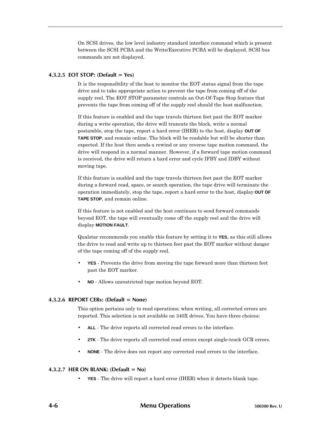On SCSI drives, the low level industry standard interface command which is present between the SCSI PCBA and the Write/Executive PCBA will be displayed. SCSI bus commands are not displayed.

### **4.3.2.5 EOT STOP: (Default = Yes)**

It is the responsibility of the host to monitor the EOT status signal from the tape drive and to take appropriate action to prevent the tape from coming off of the supply reel. The EOT STOP parameter controls an Out-Of-Tape Stop feature that prevents the tape from coming off of the supply reel should the host malfunction.

If this feature is enabled and the tape travels thirteen feet past the EOT marker during a write operation, the drive will truncate the block, write a normal postamble, stop the tape, report a hard error (IHER) to the host, display **OUT OF TAPE STOP**, and remain online. The block will be readable but will be shorter than expected. If the host then sends a rewind or any reverse tape motion command, the drive will respond in a normal manner. However, if a forward tape motion command is received, the drive will return a hard error and cycle IFBY and IDBY without moving tape.

If this feature is enabled and the tape travels thirteen feet past the EOT marker during a forward read, space, or search operation, the tape drive will terminate the operation immediately, stop the tape, report a hard error to the host, display **OUT OF TAPE STOP**, and remain online.

If this feature is not enabled and the host continues to send forward commands beyond EOT, the tape will eventually come off the supply reel and the drive will display **MOTION FAULT**.

Qualstar recommends you enable this feature by setting it to **YES**, as this still allows the drive to read and write up to thirteen feet past the EOT marker without danger of the tape coming off of the supply reel.

- **YES** Prevents the drive from moving the tape forward more than thirteen feet past the EOT marker.
- **NO** Allows unrestricted tape motion beyond EOT.

#### **4.3.2.6 REPORT CERs: (Default = None)**

This option pertains only to read operations; when writing, all corrected errors are reported. This selection is not available on 340X drives. You have three choices:

- **ALL** The drive reports all corrected read errors to the interface.
- **2TK** The drive reports all corrected read errors except single-track GCR errors.
- **NONE** The drive does not report any corrected read errors to the interface.

### **4.3.2.7 HER ON BLANK: (Default = No)**

• **YES** - The drive will report a hard error (IHER) when it detects blank tape.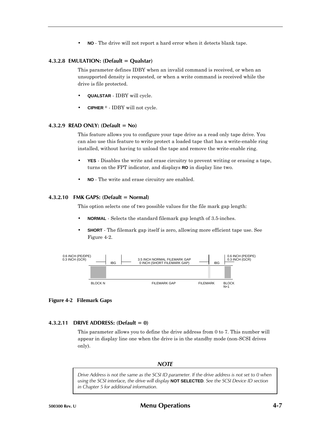• **NO** - The drive will not report a hard error when it detects blank tape.

### **4.3.2.8 EMULATION: (Default = Qualstar)**

This parameter defines IDBY when an invalid command is received, or when an unsupported density is requested, or when a write command is received while the drive is file protected.

- **QUALSTAR** IDBY will cycle.
- **CIPHER** ® IDBY will not cycle.

### **4.3.2.9 READ ONLY: (Default = No)**

This feature allows you to configure your tape drive as a read only tape drive. You can also use this feature to write protect a loaded tape that has a write-enable ring installed, without having to unload the tape and remove the write-enable ring.

- **YES** Disables the write and erase circuitry to prevent writing or erasing a tape, turns on the FPT indicator, and displays **RO** in display line two.
- **NO** The write and erase circuitry are enabled.

### **4.3.2.10 FMK GAPS: (Default = Normal)**

This option selects one of two possible values for the file mark gap length:

- **NORMAL** Selects the standard filemark gap length of 3.5-inches.
- **SHORT** The filemark gap itself is zero, allowing more efficient tape use. See Figure 4-2.



### **Figure 4-2 Filemark Gaps**

### **4.3.2.11 DRIVE ADDRESS: (Default = 0)**

This parameter allows you to define the drive address from 0 to 7. This number will appear in display line one when the drive is in the standby mode (non-SCSI drives only).

# *NOTE*

*Drive Address is not the same as the SCSI ID parameter. If the drive address is not set to 0 when using the SCSI interface, the drive will display* **NOT SELECTED***. See the SCSI Device ID section in Chapter 5 for additional information.*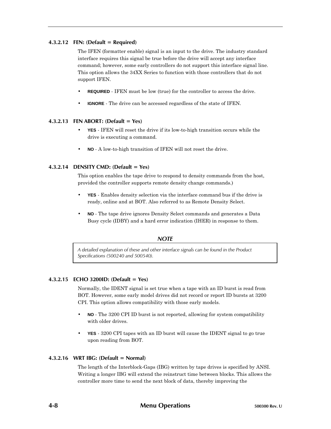### **4.3.2.12 FEN: (Default = Required)**

The IFEN (formatter enable) signal is an input to the drive. The industry standard interface requires this signal be true before the drive will accept any interface command; however, some early controllers do not support this interface signal line. This option allows the 34XX Series to function with those controllers that do not support IFEN.

- **REQUIRED** IFEN must be low (true) for the controller to access the drive.
- **IGNORE** The drive can be accessed regardless of the state of IFEN.

### **4.3.2.13 FEN ABORT: (Default = Yes)**

- **YES** IFEN will reset the drive if its low-to-high transition occurs while the drive is executing a command.
- **NO** A low-to-high transition of IFEN will not reset the drive.

### **4.3.2.14 DENSITY CMD: (Default = Yes)**

This option enables the tape drive to respond to density commands from the host, provided the controller supports remote density change commands.)

- **YES** Enables density selection via the interface command bus if the drive is ready, online and at BOT. Also referred to as Remote Density Select.
- **NO** The tape drive ignores Density Select commands and generates a Data Busy cycle (IDBY) and a hard error indication (IHER) in response to them.

# *NOTE*

*A detailed explanation of these and other interface signals can be found in the Product Specifications (500240 and 500540).*

#### **4.3.2.15 ECHO 3200ID: (Default = Yes)**

Normally, the IDENT signal is set true when a tape with an ID burst is read from BOT. However, some early model drives did not record or report ID bursts at 3200 CPI. This option allows compatibility with those early models.

- **NO** The 3200 CPI ID burst is not reported, allowing for system compatibility with older drives.
- **YES** 3200 CPI tapes with an ID burst will cause the IDENT signal to go true upon reading from BOT.

#### **4.3.2.16 WRT IBG: (Default = Normal)**

The length of the Interblock-Gaps (IBG) written by tape drives is specified by ANSI. Writing a longer IBG will extend the reinstruct time between blocks. This allows the controller more time to send the next block of data, thereby improving the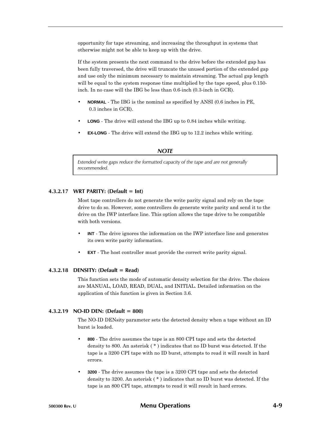opportunity for tape streaming, and increasing the throughput in systems that otherwise might not be able to keep up with the drive.

If the system presents the next command to the drive before the extended gap has been fully traversed, the drive will truncate the unused portion of the extended gap and use only the minimum necessary to maintain streaming. The actual gap length will be equal to the system response time multiplied by the tape speed, plus 0.150inch. In no case will the IBG be less than 0.6-inch (0.3-inch in GCR).

- **NORMAL** The IBG is the nominal as specified by ANSI (0.6 inches in PE, 0.3 inches in GCR).
- **LONG** The drive will extend the IBG up to 0.84 inches while writing.
- **EX-LONG** The drive will extend the IBG up to 12.2 inches while writing.

#### *NOTE*

*Extended write gaps reduce the formatted capacity of the tape and are not generally recommended.*

#### **4.3.2.17 WRT PARITY: (Default = Int)**

Most tape controllers do not generate the write parity signal and rely on the tape drive to do so. However, some controllers do generate write parity and send it to the drive on the IWP interface line. This option allows the tape drive to be compatible with both versions.

- **INT** The drive ignores the information on the IWP interface line and generates its own write parity information.
- **EXT** The host controller must provide the correct write parity signal.

#### **4.3.2.18 DENSITY: (Default = Read)**

This function sets the mode of automatic density selection for the drive. The choices are MANUAL, LOAD, READ, DUAL, and INITIAL. Detailed information on the application of this function is given in Section 3.6.

### **4.3.2.19 NO-ID DEN: (Default = 800)**

The NO-ID DENsity parameter sets the detected density when a tape without an ID burst is loaded.

- **800** The drive assumes the tape is an 800 CPI tape and sets the detected density to 800. An asterisk ( \* ) indicates that no ID burst was detected. If the tape is a 3200 CPI tape with no ID burst, attempts to read it will result in hard errors.
- **3200** The drive assumes the tape is a 3200 CPI tape and sets the detected density to 3200. An asterisk ( \* ) indicates that no ID burst was detected. If the tape is an 800 CPI tape, attempts to read it will result in hard errors.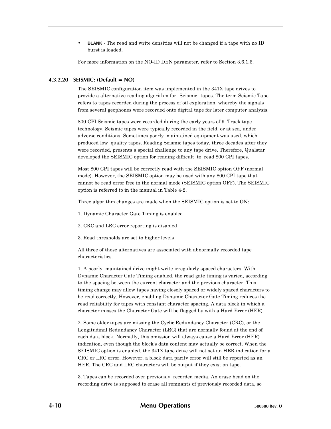• **BLANK** - The read and write densities will not be changed if a tape with no ID burst is loaded.

For more information on the NO-ID DEN parameter, refer to Section 3.6.1.6.

# **4.3.2.20 SEISMIC: (Default = NO)**

The SEISMIC configuration item was implemented in the 341X tape drives to provide a alternative reading algorithm for Seismic tapes. The term Seismic Tape refers to tapes recorded during the process of oil exploration, whereby the signals from several geophones were recorded onto digital tape for later computer analysis.

800 CPI Seismic tapes were recorded during the early years of 9–Track tape technology. Seismic tapes were typically recorded in the field, or at sea, under adverse conditions. Sometimes poorly–maintained equipment was used, which produced low–quality tapes. Reading Seismic tapes today, three decades after they were recorded, presents a special challenge to any tape drive. Therefore, Qualstar developed the SEISMIC option for reading difficult–to–read 800 CPI tapes.

Most 800 CPI tapes will be correctly read with the SEISMIC option OFF (normal mode). However, the SEISMIC option may be used with any 800 CPI tape that cannot be read error free in the normal mode (SEISMIC option OFF). The SEISMIC option is referred to in the manual in Table 4-2.

Three algorithm changes are made when the SEISMIC option is set to ON:

- 1. Dynamic Character Gate Timing is enabled
- 2. CRC and LRC error reporting is disabled
- 3. Read thresholds are set to higher levels

All three of these alternatives are associated with abnormally recorded tape characteristics.

1. A poorly–maintained drive might write irregularly spaced characters. With Dynamic Character Gate Timing enabled, the read gate timing is varied, according to the spacing between the current character and the previous character. This timing change may allow tapes having closely spaced or widely spaced characters to be read correctly. However, enabling Dynamic Character Gate Timing reduces the read reliability for tapes with constant character spacing. A data block in which a character misses the Character Gate will be flagged by with a Hard Error (HER).

2. Some older tapes are missing the Cyclic Redundancy Character (CRC), or the Longitudinal Redundancy Character (LRC) that are normally found at the end of each data block. Normally, this omission will always cause a Hard Error (HER) indication, even though the block's data content may actually be correct. When the SEISMIC option is enabled, the 341X tape drive will not set an HER indication for a CRC or LRC error. However, a block data parity error will still be reported as an HER. The CRC and LRC characters will be output if they exist on tape.

3. Tapes can be recorded over previously–recorded media. An erase head on the recording drive is supposed to erase all remnants of previously recorded data, so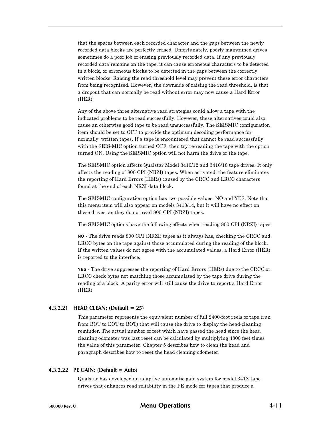that the spaces between each recorded character and the gaps between the newly recorded data blocks are perfectly erased. Unfortunately, poorly maintained drives sometimes do a poor job of erasing previously recorded data. If any previously recorded data remains on the tape, it can cause erroneous characters to be detected in a block, or erroneous blocks to be detected in the gaps between the correctly written blocks. Raising the read threshold level may prevent these error characters from being recognized. However, the downside of raising the read threshold, is that a dropout that can normally be read without error may now cause a Hard Error (HER).

Any of the above three alternative read strategies could allow a tape with the indicated problems to be read successfully. However, these alternatives could also cause an otherwise good tape to be read unsuccessfully. The SEISMIC configuration item should be set to OFF to provide the optimum decoding performance for normally–written tapes. If a tape is encountered that cannot be read successfully with the SEIS-MIC option turned OFF, then try re-reading the tape with the option turned ON. Using the SEISMIC option will not harm the drive or the tape.

The SEISMIC option affects Qualstar Model 3410/12 and 3416/18 tape drives. It only affects the reading of 800 CPI (NRZI) tapes. When activated, the feature eliminates the reporting of Hard Errors (HERs) caused by the CRCC and LRCC characters found at the end of each NRZI data block.

The SEISMIC configuration option has two possible values: NO and YES. Note that this menu item will also appear on models 3413/14, but it will have no effect on these drives, as they do not read 800 CPI (NRZI) tapes.

The SEISMIC options have the following effects when reading 800 CPI (NRZI) tapes:

**NO** - The drive reads 800 CPI (NRZI) tapes as it always has, checking the CRCC and LRCC bytes on the tape against those accumulated during the reading of the block. If the written values do not agree with the accumulated values, a Hard Error (HER) is reported to the interface.

**YES** - The drive suppresses the reporting of Hard Errors (HERs) due to the CRCC or LRCC check bytes not matching those accumulated by the tape drive during the reading of a block. A parity error will still cause the drive to report a Hard Error (HER).

#### **4.3.2.21 HEAD CLEAN: (Default = 25)**

This parameter represents the equivalent number of full 2400-foot reels of tape (run from BOT to EOT to BOT) that will cause the drive to display the head-cleaning reminder. The actual number of feet which have passed the head since the head cleaning odometer was last reset can be calculated by multiplying 4800 feet times the value of this parameter. Chapter 5 describes how to clean the head and paragraph describes how to reset the head cleaning odometer.

#### **4.3.2.22 PE GAIN: (Default = Auto)**

Qualstar has developed an adaptive automatic gain system for model 341X tape drives that enhances read reliability in the PE mode for tapes that produce a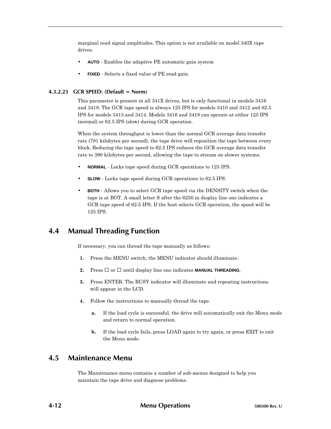marginal read signal amplitudes. This option is not available on model 340X tape drives.

- **AUTO** Enables the adaptive PE automatic gain system
- **FIXED** Selects a fixed value of PE read gain.

### **4.3.2.23 GCR SPEED: (Default = Norm)**

This parameter is present in all 341X drives, but is only functional in models 3416 and 3418. The GCR tape speed is always 125 IPS for models 3410 and 3412 and 62.5 IPS for models 3413 and 3414. Models 3416 and 3418 can operate at either 125 IPS (normal) or 62.5 IPS (slow) during GCR operation.

When the system throughput is lower than the normal GCR average data transfer rate (781 kilobytes per second), the tape drive will reposition the tape between every block. Reducing the tape speed to 62.5 IPS reduces the GCR average data transfer rate to 390 kilobytes per second, allowing the tape to stream on slower systems.

- **NORMAL** Locks tape speed during GCR operations to 125 IPS.
- **SLOW** Locks tape speed during GCR operations to 62.5 IPS.
- **BOTH** Allows you to select GCR tape speed via the DENSITY switch when the tape is at BOT. A small letter S after the 6250 in display line one indicates a GCR tape speed of 62.5 IPS. If the host selects GCR operation, the speed will be 125 IPS.

# **4.4 Manual Threading Function**

If necessary, you can thread the tape manually as follows:

- **1.** Press the MENU switch; the MENU indicator should illuminate.
- **2.** Press or until display line one indicates **MANUAL THREADING**.
- **3.** Press ENTER. The BUSY indicator will illuminate and repeating instructions will appear in the LCD.
- **4.** Follow the instructions to manually thread the tape.
	- **a.** If the load cycle is successful, the drive will automatically exit the Menu mode and return to normal operation.
	- **b.** If the load cycle fails, press LOAD again to try again, or press EXIT to exit the Menu mode.

# **4.5 Maintenance Menu**

The Maintenance menu contains a number of sub-menus designed to help you maintain the tape drive and diagnose problems.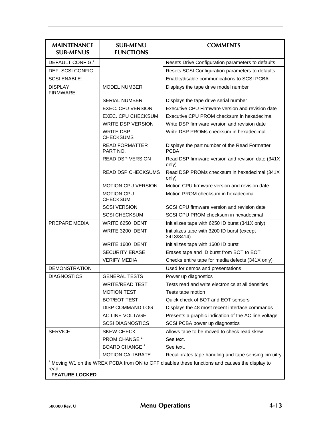| <b>MAINTENANCE</b><br><b>SUB-MENUS</b>                                                                    | <b>SUB-MENU</b><br><b>FUNCTIONS</b>  | <b>COMMENTS</b>                                               |  |
|-----------------------------------------------------------------------------------------------------------|--------------------------------------|---------------------------------------------------------------|--|
| DEFAULT CONFIG. <sup>1</sup>                                                                              |                                      | Resets Drive Configuration parameters to defaults             |  |
| DEF. SCSI CONFIG.                                                                                         |                                      | Resets SCSI Configuration parameters to defaults              |  |
| <b>SCSI ENABLE:</b>                                                                                       |                                      | Enable/disable communications to SCSI PCBA                    |  |
| <b>DISPLAY</b><br><b>FIRMWARE</b>                                                                         | <b>MODEL NUMBER</b>                  | Displays the tape drive model number                          |  |
|                                                                                                           | <b>SERIAL NUMBER</b>                 | Displays the tape drive serial number                         |  |
|                                                                                                           | EXEC. CPU VERSION                    | Executive CPU Firmware version and revision date              |  |
|                                                                                                           | <b>EXEC. CPU CHECKSUM</b>            | Executive CPU PROM checksum in hexadecimal                    |  |
|                                                                                                           | <b>WRITE DSP VERSION</b>             | Write DSP firmware version and revision date                  |  |
|                                                                                                           | <b>WRITE DSP</b><br><b>CHECKSUMS</b> | Write DSP PROMs checksum in hexadecimal                       |  |
|                                                                                                           | <b>READ FORMATTER</b><br>PART NO.    | Displays the part number of the Read Formatter<br><b>PCBA</b> |  |
|                                                                                                           | <b>READ DSP VERSION</b>              | Read DSP firmware version and revision date (341X)<br>only)   |  |
|                                                                                                           | <b>READ DSP CHECKSUMS</b>            | Read DSP PROMs checksum in hexadecimal (341X)<br>only)        |  |
|                                                                                                           | <b>MOTION CPU VERSION</b>            | Motion CPU firmware version and revision date                 |  |
|                                                                                                           | <b>MOTION CPU</b><br><b>CHECKSUM</b> | Motion PROM checksum in hexadecimal                           |  |
|                                                                                                           | <b>SCSI VERSION</b>                  | SCSI CPU firmware version and revision date                   |  |
|                                                                                                           | <b>SCSI CHECKSUM</b>                 | SCSI CPU PROM checksum in hexadecimal                         |  |
| PREPARE MEDIA                                                                                             | WRITE 6250 IDENT                     | Initializes tape with 6250 ID burst (341X only)               |  |
|                                                                                                           | WRITE 3200 IDENT                     | Initializes tape with 3200 ID burst (except<br>3413/3414)     |  |
|                                                                                                           | WRITE 1600 IDENT                     | Initializes tape with 1600 ID burst                           |  |
|                                                                                                           | <b>SECURITY ERASE</b>                | Erases tape and ID burst from BOT to EOT                      |  |
|                                                                                                           | <b>VERIFY MEDIA</b>                  | Checks entire tape for media defects (341X only)              |  |
| <b>DEMONSTRATION</b>                                                                                      |                                      | Used for demos and presentations                              |  |
| <b>DIAGNOSTICS</b>                                                                                        | <b>GENERAL TESTS</b>                 | Power up diagnostics                                          |  |
|                                                                                                           | <b>WRITE/READ TEST</b>               | Tests read and write electronics at all densities             |  |
|                                                                                                           | <b>MOTION TEST</b>                   | Tests tape motion                                             |  |
|                                                                                                           | <b>BOT/EOT TEST</b>                  | Quick check of BOT and EOT sensors                            |  |
|                                                                                                           | DISP COMMAND LOG                     | Displays the 48 most recent interface commands                |  |
|                                                                                                           | AC LINE VOLTAGE                      | Presents a graphic indication of the AC line voltage          |  |
|                                                                                                           | <b>SCSI DIAGNOSTICS</b>              | SCSI PCBA power up diagnostics                                |  |
| <b>SERVICE</b>                                                                                            | <b>SKEW CHECK</b>                    | Allows tape to be moved to check read skew                    |  |
|                                                                                                           | PROM CHANGE <sup>1</sup>             | See text.                                                     |  |
|                                                                                                           | <b>BOARD CHANGE<sup>1</sup></b>      | See text.                                                     |  |
|                                                                                                           | <b>MOTION CALIBRATE</b>              | Recalibrates tape handling and tape sensing circuitry         |  |
| <sup>1</sup> Moving W1 on the WREX PCBA from ON to OFF disables these functions and causes the display to |                                      |                                                               |  |
| read<br><b>FEATURE LOCKED.</b>                                                                            |                                      |                                                               |  |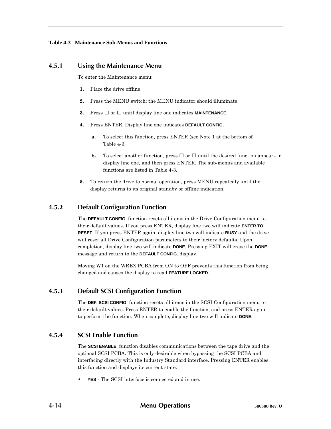# **4.5.1 Using the Maintenance Menu**

To enter the Maintenance menu:

- **1.** Place the drive offline.
- **2.** Press the MENU switch; the MENU indicator should illuminate.
- **3.** Press or until display line one indicates **MAINTENANCE**.
- **4.** Press ENTER. Display line one indicates **DEFAULT CONFIG**.
	- **a.** To select this function, press ENTER (see Note 1 at the bottom of Table 4-3.
	- **b.** To select another function, press or until the desired function appears in display line one, and then press ENTER. The sub-menus and available functions are listed in Table 4-3.
- **5.** To return the drive to normal operation, press MENU repeatedly until the display returns to its original standby or offline indication.

# **4.5.2 Default Configuration Function**

The **DEFAULT CONFIG**. function resets all items in the Drive Configuration menu to their default values. If you press ENTER, display line two will indicate **ENTER TO RESET**. If you press ENTER again, display line two will indicate **BUSY** and the drive will reset all Drive Configuration parameters to their factory defaults. Upon completion, display line two will indicate **DONE**. Pressing EXIT will erase the **DONE** message and return to the **DEFAULT CONFIG**. display.

Moving W1 on the WREX PCBA from ON to OFF prevents this function from being changed and causes the display to read **FEATURE LOCKED**.

# **4.5.3 Default SCSI Configuration Function**

The **DEF. SCSI CONFIG**. function resets all items in the SCSI Configuration menu to their default values. Press ENTER to enable the function, and press ENTER again to perform the function. When complete, display line two will indicate **DONE**.

# **4.5.4 SCSI Enable Function**

The **SCSI ENABLE**: function disables communications between the tape drive and the optional SCSI PCBA. This is only desirable when bypassing the SCSI PCBA and interfacing directly with the Industry Standard interface. Pressing ENTER enables this function and displays its current state:

• **YES** - The SCSI interface is connected and in use.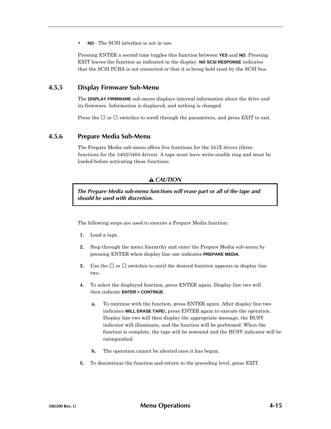• **NO** - The SCSI interface is not in use.

Pressing ENTER a second time toggles this function between **YES** and **NO**. Pressing EXIT leaves the function as indicated in the display. **NO SCSI RESPONSE** indicates that the SCSI PCBA is not connected or that it is being held reset by the SCSI bus.

# **4.5.5 Display Firmware Sub-Menu**

The **DISPLAY FIRMWARE** sub-menu displays internal information about the drive and its firmware. Information is displayed, and nothing is changed.

Press the or switches to scroll through the parameters, and press EXIT to exit.

# **4.5.6 Prepare Media Sub-Menu**

The Prepare Media sub-menu offers five functions for the 341X drives (three functions for the 3402/3404 drives). A tape must have write-enable ring and must be loaded before activating these functions.

# *CAUTION*

*The Prepare Media sub-menu functions will erase part or all of the tape and should be used with discretion.*

The following steps are used to execute a Prepare Media function:

- **1.** Load a tape.
- **2.** Step through the menu hierarchy and enter the Prepare Media sub-menu by pressing ENTER when display line one indicates **PREPARE MEDIA**.
- **3.** Use the or switches to until the desired function appears in display line two.
- **4.** To select the displayed function, press ENTER again. Display line two will then indicate **ENTER = CONTINUE**.
	- **a.** To continue with the function, press ENTER again. After display line two indicates **WILL ERASE TAPE!,** press ENTER again to execute the operation. Display line two will then display the appropriate message, the BUSY indicator will illuminate, and the function will be performed. When the function is complete, the tape will be rewound and the BUSY indicator will be extinguished.
	- **b.** The operation cannot be aborted once it has begun.
- **5.** To discontinue the function and return to the preceding level, press EXIT.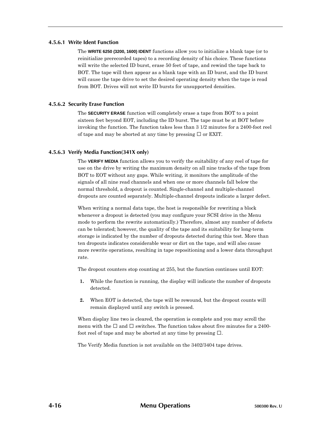#### **4.5.6.1 Write Ident Function**

The **WRITE 6250 (3200, 1600) IDENT** functions allow you to initialize a blank tape (or to reinitialize prerecorded tapes) to a recording density of his choice. These functions will write the selected ID burst, erase 50 feet of tape, and rewind the tape back to BOT. The tape will then appear as a blank tape with an ID burst, and the ID burst will cause the tape drive to set the desired operating density when the tape is read from BOT. Drives will not write ID bursts for unsupported densities.

#### **4.5.6.2 Security Erase Function**

The **SECURITY ERASE** function will completely erase a tape from BOT to a point sixteen feet beyond EOT, including the ID burst. The tape must be at BOT before invoking the function. The function takes less than 3 1/2 minutes for a 2400-foot reel of tape and may be aborted at any time by pressing or EXIT.

#### **4.5.6.3 Verify Media Function(341X only)**

The **VERIFY MEDIA** function allows you to verify the suitability of any reel of tape for use on the drive by writing the maximum density on all nine tracks of the tape from BOT to EOT without any gaps. While writing, it monitors the amplitude of the signals of all nine read channels and when one or more channels fall below the normal threshold, a dropout is counted. Single-channel and multiple-channel dropouts are counted separately. Multiple-channel dropouts indicate a larger defect.

When writing a normal data tape, the host is responsible for rewriting a block whenever a dropout is detected (you may configure your SCSI drive in the Menu mode to perform the rewrite automatically.) Therefore, almost any number of defects can be tolerated; however, the quality of the tape and its suitability for long-term storage is indicated by the number of dropouts detected during this test. More than ten dropouts indicates considerable wear or dirt on the tape, and will also cause more rewrite operations, resulting in tape repositioning and a lower data throughput rate.

The dropout counters stop counting at 255, but the function continues until EOT:

- **1.** While the function is running, the display will indicate the number of dropouts detected.
- **2.** When EOT is detected, the tape will be rewound, but the dropout counts will remain displayed until any switch is pressed.

When display line two is cleared, the operation is complete and you may scroll the menu with the and switches. The function takes about five minutes for a 2400 foot reel of tape and may be aborted at any time by pressing .

The Verify Media function is not available on the 3402/3404 tape drives.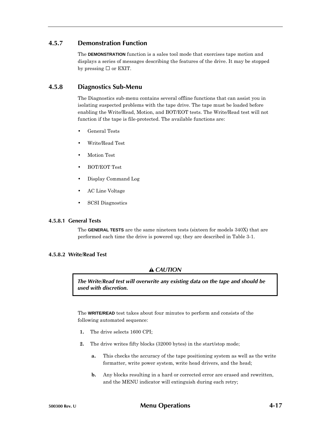# **4.5.7 Demonstration Function**

The **DEMONSTRATION** function is a sales tool mode that exercises tape motion and displays a series of messages describing the features of the drive. It may be stopped by pressing or EXIT.

# **4.5.8 Diagnostics Sub-Menu**

The Diagnostics sub-menu contains several offline functions that can assist you in isolating suspected problems with the tape drive. The tape must be loaded before enabling the Write/Read, Motion, and BOT/EOT tests. The Write/Read test will not function if the tape is file-protected. The available functions are:

- General Tests
- Write/Read Test
- Motion Test
- BOT/EOT Test
- Display Command Log
- AC Line Voltage
- SCSI Diagnostics

# **4.5.8.1 General Tests**

The **GENERAL TESTS** are the same nineteen tests (sixteen for models 340X) that are performed each time the drive is powered up; they are described in Table 3-1.

# **4.5.8.2 Write/Read Test**

# *CAUTION*

*The Write/Read test will overwrite any existing data on the tape and should be used with discretion.*

The **WRITE/READ** test takes about four minutes to perform and consists of the following automated sequence:

- **1.** The drive selects 1600 CPI;
- **2.** The drive writes fifty blocks (32000 bytes) in the start/stop mode;
	- **a.** This checks the accuracy of the tape positioning system as well as the write formatter, write power system, write head drivers, and the head;
	- **b.** Any blocks resulting in a hard or corrected error are erased and rewritten, and the MENU indicator will extinguish during each retry;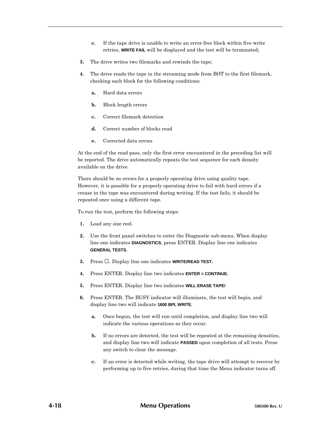- **c.** If the tape drive is unable to write an error-free block within five write retries, **WRITE FAIL** will be displayed and the test will be terminated;
- **3.** The drive writes two filemarks and rewinds the tape;
- **4.** The drive reads the tape in the streaming mode from BOT to the first filemark, checking each block for the following conditions:
	- **a.** Hard data errors
	- **b.** Block length errors
	- **c.** Correct filemark detection
	- **d.** Correct number of blocks read
	- **e.** Corrected data errors

At the end of the read pass, only the first error encountered in the preceding list will be reported. The drive automatically repeats the test sequence for each density available on the drive.

There should be no errors for a properly operating drive using quality tape. However, it is possible for a properly operating drive to fail with hard errors if a crease in the tape was encountered during writing. If the test fails, it should be repeated once using a different tape.

To run the test, perform the following steps:

- **1.** Load any size reel.
- **2.** Use the front panel switches to enter the Diagnostic sub-menu. When display line one indicates **DIAGNOSTICS**, press ENTER. Display line one indicates **GENERAL TESTS**.
- **3.** Press . Display line one indicates **WRITE/READ TEST.**
- **4.** Press ENTER. Display line two indicates **ENTER = CONTINUE.**
- **5.** Press ENTER. Display line two indicates **WILL ERASE TAPE!**
- **6.** Press ENTER. The BUSY indicator will illuminate, the test will begin, and display line two will indicate **1600 BPI, WRITE.**
	- **a.** Once begun, the test will run until completion, and display line two will indicate the various operations as they occur.
	- **b.** If no errors are detected, the test will be repeated at the remaining densities, and display line two will indicate **PASSED** upon completion of all tests. Press any switch to clear the message.
	- **c.** If an error is detected while writing, the tape drive will attempt to recover by performing up to five retries, during that time the Menu indicator turns off.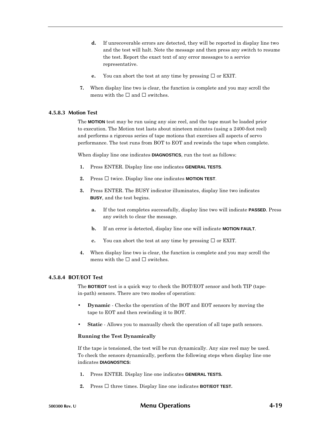- **d.** If unrecoverable errors are detected, they will be reported in display line two and the test will halt. Note the message and then press any switch to resume the test. Report the exact text of any error messages to a service representative.
- **e.** You can abort the test at any time by pressing or EXIT.
- **7.** When display line two is clear, the function is complete and you may scroll the menu with the and switches.

#### **4.5.8.3 Motion Test**

The **MOTION** test may be run using any size reel, and the tape must be loaded prior to execution. The Motion test lasts about nineteen minutes (using a 2400-foot reel) and performs a rigorous series of tape motions that exercises all aspects of servo performance. The test runs from BOT to EOT and rewinds the tape when complete.

When display line one indicates **DIAGNOSTICS**, run the test as follows:

- **1.** Press ENTER. Display line one indicates **GENERAL TESTS**.
- **2.** Press twice. Display line one indicates **MOTION TEST**.
- **3.** Press ENTER. The BUSY indicator illuminates, display line two indicates **BUSY**, and the test begins.
	- **a.** If the test completes successfully, display line two will indicate **PASSED**. Press any switch to clear the message.
	- **b.** If an error is detected, display line one will indicate **MOTION FAULT**.
	- **c.** You can abort the test at any time by pressing or EXIT.
- **4.** When display line two is clear, the function is complete and you may scroll the menu with the and switches.

### **4.5.8.4 BOT/EOT Test**

The **BOT/EOT** test is a quick way to check the BOT/EOT sensor and both TIP (tapein-path) sensors. There are two modes of operation:

- **Dynamic** Checks the operation of the BOT and EOT sensors by moving the tape to EOT and then rewinding it to BOT.
- **Static** Allows you to manually check the operation of all tape path sensors.

#### **Running the Test Dynamically**

If the tape is tensioned, the test will be run dynamically. Any size reel may be used. To check the sensors dynamically, perform the following steps when display line one indicates **DIAGNOSTICS:**

- **1.** Press ENTER. Display line one indicates **GENERAL TESTS.**
- **2.** Press three times. Display line one indicates **BOT/EOT TEST.**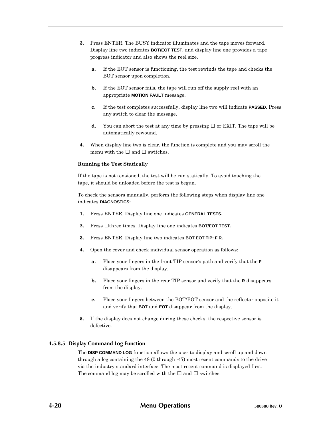- **3.** Press ENTER. The BUSY indicator illuminates and the tape moves forward. Display line two indicates **BOT/EOT TEST**, and display line one provides a tape progress indicator and also shows the reel size.
	- **a.** If the EOT sensor is functioning, the test rewinds the tape and checks the BOT sensor upon completion.
	- **b.** If the EOT sensor fails, the tape will run off the supply reel with an appropriate **MOTION FAULT** message.
	- **c.** If the test completes successfully, display line two will indicate **PASSED**. Press any switch to clear the message.
	- **d.** You can abort the test at any time by pressing or EXIT. The tape will be automatically rewound.
- **4.** When display line two is clear, the function is complete and you may scroll the menu with the and switches.

#### **Running the Test Statically**

If the tape is not tensioned, the test will be run statically. To avoid touching the tape, it should be unloaded before the test is begun.

To check the sensors manually, perform the following steps when display line one indicates **DIAGNOSTICS:**

- **1.** Press ENTER. Display line one indicates **GENERAL TESTS.**
- **2.** Press three times. Display line one indicates **BOT/EOT TEST.**
- **3.** Press ENTER. Display line two indicates **BOT EOT TIP: F R.**
- **4.** Open the cover and check individual sensor operation as follows:
	- **a.** Place your fingers in the front TIP sensor's path and verify that the **F** disappears from the display.
	- **b.** Place your fingers in the rear TIP sensor and verify that the **R** disappears from the display.
	- **c.** Place your fingers between the BOT/EOT sensor and the reflector opposite it and verify that **BOT** and **EOT** disappear from the display.
- **5.** If the display does not change during these checks, the respective sensor is defective.

# **4.5.8.5 Display Command Log Function**

The **DISP COMMAND LOG** function allows the user to display and scroll up and down through a log containing the 48 (0 through -47) most recent commands to the drive via the industry standard interface. The most recent command is displayed first. The command log may be scrolled with the and switches.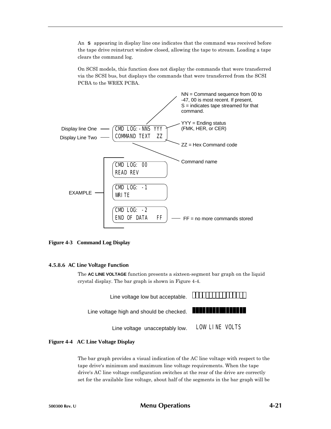An **S** appearing in display line one indicates that the command was received before the tape drive reinstruct window closed, allowing the tape to stream. Loading a tape clears the command log.

On SCSI models, this function does not display the commands that were transferred via the SCSI bus, but displays the commands that were transferred from the SCSI PCBA to the WREX PCBA.



#### **Figure 4-3 Command Log Display**

#### **4.5.8.6 AC Line Voltage Function**

The **AC LINE VOLTAGE** function presents a sixteen-segment bar graph on the liquid crystal display. The bar graph is shown in Figure 4-4.



#### **Figure 4-4 AC Line Voltage Display**

The bar graph provides a visual indication of the AC line voltage with respect to the tape drive's minimum and maximum line voltage requirements. When the tape drive's AC line voltage configuration switches at the rear of the drive are correctly set for the available line voltage, about half of the segments in the bar graph will be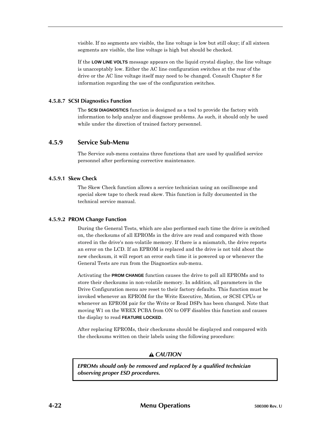visible. If no segments are visible, the line voltage is low but still okay; if all sixteen segments are visible, the line voltage is high but should be checked.

If the **LOW LINE VOLTS** message appears on the liquid crystal display, the line voltage is unacceptably low. Either the AC line configuration switches at the rear of the drive or the AC line voltage itself may need to be changed. Consult Chapter 8 for information regarding the use of the configuration switches.

### **4.5.8.7 SCSI Diagnostics Function**

The **SCSI DIAGNOSTICS** function is designed as a tool to provide the factory with information to help analyze and diagnose problems. As such, it should only be used while under the direction of trained factory personnel.

# **4.5.9 Service Sub-Menu**

The Service sub-menu contains three functions that are used by qualified service personnel after performing corrective maintenance.

#### **4.5.9.1 Skew Check**

The Skew Check function allows a service technician using an oscilloscope and special skew tape to check read skew. This function is fully documented in the technical service manual.

#### **4.5.9.2 PROM Change Function**

During the General Tests, which are also performed each time the drive is switched on, the checksums of all EPROMs in the drive are read and compared with those stored in the drive's non-volatile memory. If there is a mismatch, the drive reports an error on the LCD. If an EPROM is replaced and the drive is not told about the new checksum, it will report an error each time it is powered up or whenever the General Tests are run from the Diagnostics sub-menu.

Activating the **PROM CHANGE** function causes the drive to poll all EPROMs and to store their checksums in non-volatile memory. In addition, all parameters in the Drive Configuration menu are reset to their factory defaults. This function must be invoked whenever an EPROM for the Write Executive, Motion, or SCSI CPUs or whenever an EPROM pair for the Write or Read DSPs has been changed. Note that moving W1 on the WREX PCBA from ON to OFF disables this function and causes the display to read **FEATURE LOCKED**.

After replacing EPROMs, their checksums should be displayed and compared with the checksums written on their labels using the following procedure:

# *CAUTION*

*EPROMs should only be removed and replaced by a qualified technician observing proper ESD procedures.*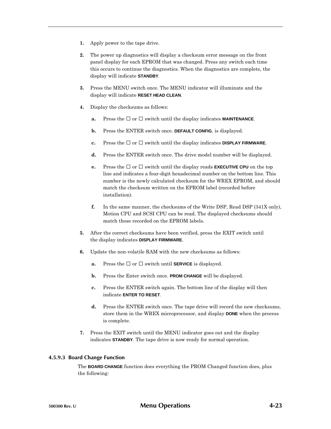- **1.** Apply power to the tape drive.
- **2.** The power up diagnostics will display a checksum error message on the front panel display for each EPROM that was changed. Press any switch each time this occurs to continue the diagnostics. When the diagnostics are complete, the display will indicate **STANDBY**.
- **3.** Press the MENU switch once. The MENU indicator will illuminate and the display will indicate **RESET HEAD CLEAN**.
- **4.** Display the checksums as follows:
	- **a.** Press the or switch until the display indicates **MAINTENANCE**.
	- **b.** Press the ENTER switch once. **DEFAULT CONFIG**. is displayed.
	- **c.** Press the or switch until the display indicates **DISPLAY FIRMWARE**.
	- **d.** Press the ENTER switch once. The drive model number will be displayed.
	- **e.** Press the or switch until the display reads **EXECUTIVE CPU** on the top line and indicates a four-digit hexadecimal number on the bottom line. This number is the newly calculated checksum for the WREX EPROM, and should match the checksum written on the EPROM label (recorded before installation).
	- **f.** In the same manner, the checksums of the Write DSP, Read DSP (341X only), Motion CPU and SCSI CPU can be read. The displayed checksums should match those recorded on the EPROM labels.
- **5.** After the correct checksums have been verified, press the EXIT switch until the display indicates **DISPLAY FIRMWARE**.
- **6.** Update the non-volatile RAM with the new checksums as follows:
	- **a.** Press the or switch until **SERVICE** is displayed.
	- **b.** Press the Enter switch once. **PROM CHANGE** will be displayed.
	- **c.** Press the ENTER switch again. The bottom line of the display will then indicate **ENTER TO RESET**.
	- **d.** Press the ENTER switch once. The tape drive will record the new checksums, store them in the WREX microprocessor, and display **DONE** when the process is complete.
- **7.** Press the EXIT switch until the MENU indicator goes out and the display indicates **STANDBY**. The tape drive is now ready for normal operation.

# **4.5.9.3 Board Change Function**

The **BOARD CHANGE** function does everything the PROM Changed function does, plus the following: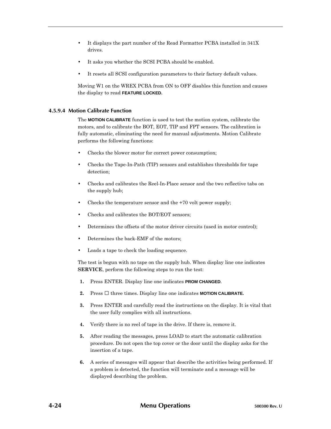- It displays the part number of the Read Formatter PCBA installed in 341X drives.
- It asks you whether the SCSI PCBA should be enabled.
- It resets all SCSI configuration parameters to their factory default values.

Moving W1 on the WREX PCBA from ON to OFF disables this function and causes the display to read **FEATURE LOCKED.**

### **4.5.9.4 Motion Calibrate Function**

The **MOTION CALIBRATE** function is used to test the motion system, calibrate the motors, and to calibrate the BOT, EOT, TIP and FPT sensors. The calibration is fully automatic, eliminating the need for manual adjustments. Motion Calibrate performs the following functions:

- Checks the blower motor for correct power consumption;
- Checks the Tape-In-Path (TIP) sensors and establishes thresholds for tape detection;
- Checks and calibrates the Reel-In-Place sensor and the two reflective tabs on the supply hub;
- Checks the temperature sensor and the +70 volt power supply;
- Checks and calibrates the BOT/EOT sensors;
- Determines the offsets of the motor driver circuits (used in motor control);
- Determines the back-EMF of the motors;
- Loads a tape to check the loading sequence.

The test is begun with no tape on the supply hub. When display line one indicates **SERVICE**, perform the following steps to run the test:

- **1.** Press ENTER. Display line one indicates **PROM CHANGED**.
- **2.** Press three times. Display line one indicates **MOTION CALIBRATE.**
- **3.** Press ENTER and carefully read the instructions on the display. It is vital that the user fully complies with all instructions.
- **4.** Verify there is no reel of tape in the drive. If there is, remove it.
- **5.** After reading the messages, press LOAD to start the automatic calibration procedure. Do not open the top cover or the door until the display asks for the insertion of a tape.
- **6.** A series of messages will appear that describe the activities being performed. If a problem is detected, the function will terminate and a message will be displayed describing the problem.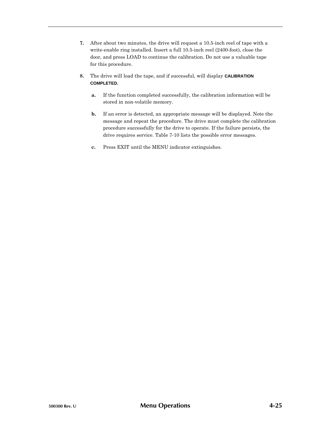- **7.** After about two minutes, the drive will request a 10.5-inch reel of tape with a write-enable ring installed. Insert a full 10.5-inch reel (2400-foot), close the door, and press LOAD to continue the calibration. Do not use a valuable tape for this procedure.
- **8.** The drive will load the tape, and if successful, will display **CALIBRATION COMPLETED.**
	- **a.** If the function completed successfully, the calibration information will be stored in non-volatile memory.
	- **b.** If an error is detected, an appropriate message will be displayed. Note the message and repeat the procedure. The drive must complete the calibration procedure successfully for the drive to operate. If the failure persists, the drive requires service. Table 7-10 lists the possible error messages.
	- **c.** Press EXIT until the MENU indicator extinguishes.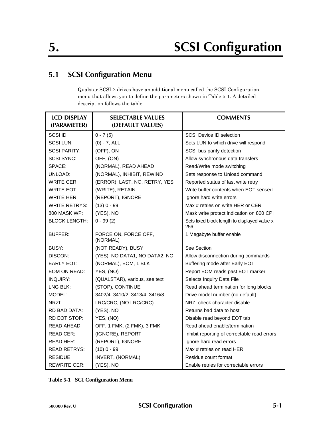# **5.1 SCSI Configuration Menu**

Qualstar SCSI-2 drives have an additional menu called the SCSI Configuration menu that allows you to define the parameters shown in Table 5-1. A detailed description follows the table.

| <b>LCD DISPLAY</b><br>(PARAMETER) | <b>SELECTABLE VALUES</b><br>(DEFAULT VALUES) | <b>COMMENTS</b>                                     |
|-----------------------------------|----------------------------------------------|-----------------------------------------------------|
| SCSI ID:                          | $0 - 7(5)$                                   | <b>SCSI Device ID selection</b>                     |
| <b>SCSILUN:</b>                   | $(0) - 7$ , ALL                              | Sets LUN to which drive will respond                |
| <b>SCSI PARITY:</b>               | (OFF), ON                                    | SCSI bus parity detection                           |
| <b>SCSI SYNC:</b>                 | OFF, (ON)                                    | Allow synchronous data transfers                    |
| SPACE:                            | (NORMAL), READ AHEAD                         | Read/Write mode switching                           |
| UNLOAD:                           | (NORMAL), INHIBIT, REWIND                    | Sets response to Unload command                     |
| <b>WRITE CER:</b>                 | (ERROR), LAST, NO, RETRY, YES                | Reported status of last write retry                 |
| <b>WRITE EOT:</b>                 | (WRITE), RETAIN                              | Write buffer contents when EOT sensed               |
| <b>WRITE HER:</b>                 | (REPORT), IGNORE                             | Ignore hard write errors                            |
| <b>WRITE RETRYS:</b>              | $(13)$ 0 - 99                                | Max # retries on write HER or CER                   |
| 800 MASK WP:                      | (YES), NO                                    | Mask write protect indication on 800 CPI            |
| <b>BLOCK LENGTH:</b>              | $0 - 99(2)$                                  | Sets fixed block length to displayed value x<br>256 |
| BUFFER:                           | FORCE ON, FORCE OFF,<br>(NORMAL)             | 1 Megabyte buffer enable                            |
| BUSY:                             | (NOT READY), BUSY                            | See Section                                         |
| DISCON:                           | (YES), NO DATA1, NO DATA2, NO                | Allow disconnection during commands                 |
| <b>EARLY EOT:</b>                 | (NORMAL), EOM, 1 BLK                         | Buffering mode after Early EOT                      |
| EOM ON READ:                      | YES, (NO)                                    | Report EOM reads past EOT marker                    |
| <b>INQUIRY:</b>                   | (QUALSTAR), various, see text                | Selects Inquiry Data File                           |
| LNG BLK:                          | (STOP), CONTINUE                             | Read ahead termination for long blocks              |
| MODEL:                            | 3402/4, 3410/2, 3413/4, 3416/8               | Drive model number (no default)                     |
| NRZI:                             | LRC/CRC, (NO LRC/CRC)                        | NRZI check character disable                        |
| RD BAD DATA:                      | (YES), NO                                    | Returns bad data to host                            |
| RD EOT STOP:                      | YES, (NO)                                    | Disable read beyond EOT tab                         |
| <b>READ AHEAD:</b>                | OFF, 1 FMK, (2 FMK), 3 FMK                   | Read ahead enable/termination                       |
| <b>READ CER:</b>                  | (IGNORE), REPORT                             | Inhibit reporting of correctable read errors        |
| <b>READ HER:</b>                  | (REPORT), IGNORE                             | Ignore hard read errors                             |
| <b>READ RETRYS:</b>               | $(10)$ 0 - 99                                | Max # retries on read HER                           |
| <b>RESIDUE:</b>                   | INVERT, (NORMAL)                             | Residue count format                                |
| <b>REWRITE CER:</b>               | (YES), NO                                    | Enable retries for correctable errors               |

**Table 5-1 SCI Configuration Menu**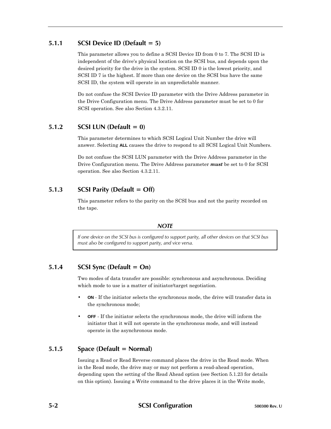# **5.1.1 SCSI Device ID (Default = 5)**

This parameter allows you to define a SCSI Device ID from 0 to 7. The SCSI ID is independent of the drive's physical location on the SCSI bus, and depends upon the desired priority for the drive in the system. SCSI ID 0 is the lowest priority, and SCSI ID 7 is the highest. If more than one device on the SCSI bus have the same SCSI ID, the system will operate in an unpredictable manner.

Do not confuse the SCSI Device ID parameter with the Drive Address parameter in the Drive Configuration menu. The Drive Address parameter must be set to 0 for SCSI operation. See also Section 4.3.2.11.

# **5.1.2 SCSI LUN (Default = 0)**

This parameter determines to which SCSI Logical Unit Number the drive will answer. Selecting **ALL** causes the drive to respond to all SCSI Logical Unit Numbers.

Do not confuse the SCSI LUN parameter with the Drive Address parameter in the Drive Configuration menu. The Drive Address parameter *must* be set to 0 for SCSI operation. See also Section 4.3.2.11.

# **5.1.3 SCSI Parity (Default = Off)**

This parameter refers to the parity on the SCSI bus and not the parity recorded on the tape.

# *NOTE*

*If one device on the SCSI bus is configured to support parity, all other devices on that SCSI bus must also be configured to support parity, and vice versa.*

# **5.1.4 SCSI Sync (Default = On)**

Two modes of data transfer are possible: synchronous and asynchronous. Deciding which mode to use is a matter of initiator/target negotiation.

- **ON** If the initiator selects the synchronous mode, the drive will transfer data in the synchronous mode;
- **OFF** If the initiator selects the synchronous mode, the drive will inform the initiator that it will not operate in the synchronous mode, and will instead operate in the asynchronous mode.

# **5.1.5 Space (Default = Normal)**

Issuing a Read or Read Reverse command places the drive in the Read mode. When in the Read mode, the drive may or may not perform a read-ahead operation, depending upon the setting of the Read Ahead option (see Section 5.1.23 for details on this option). Issuing a Write command to the drive places it in the Write mode,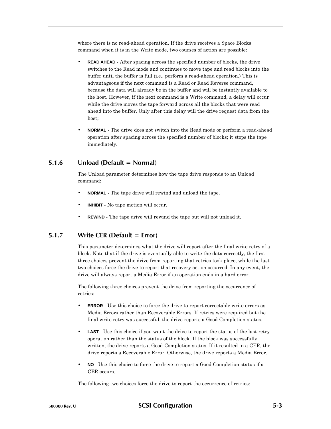where there is no read-ahead operation. If the drive receives a Space Blocks command when it is in the Write mode, two courses of action are possible:

- **READ AHEAD** After spacing across the specified number of blocks, the drive switches to the Read mode and continues to move tape and read blocks into the buffer until the buffer is full (i.e., perform a read-ahead operation.) This is advantageous if the next command is a Read or Read Reverse command, because the data will already be in the buffer and will be instantly available to the host. However, if the next command is a Write command, a delay will occur while the drive moves the tape forward across all the blocks that were read ahead into the buffer. Only after this delay will the drive request data from the host;
- **NORMAL** The drive does not switch into the Read mode or perform a read-ahead operation after spacing across the specified number of blocks; it stops the tape immediately.

# **5.1.6 Unload (Default = Normal)**

The Unload parameter determines how the tape drive responds to an Unload command:

- **NORMAL** The tape drive will rewind and unload the tape.
- **INHIBIT** No tape motion will occur.
- **REWIND** The tape drive will rewind the tape but will not unload it.

# **5.1.7 Write CER (Default = Error)**

This parameter determines what the drive will report after the final write retry of a block. Note that if the drive is eventually able to write the data correctly, the first three choices prevent the drive from reporting that retries took place, while the last two choices force the drive to report that recovery action occurred. In any event, the drive will always report a Media Error if an operation ends in a hard error.

The following three choices prevent the drive from reporting the occurrence of retries:

- **ERROR** Use this choice to force the drive to report correctable write errors as Media Errors rather than Recoverable Errors. If retries were required but the final write retry was successful, the drive reports a Good Completion status.
- **LAST** Use this choice if you want the drive to report the status of the last retry operation rather than the status of the block. If the block was successfully written, the drive reports a Good Completion status. If it resulted in a CER, the drive reports a Recoverable Error. Otherwise, the drive reports a Media Error.
- **NO** Use this choice to force the drive to report a Good Completion status if a CER occurs.

The following two choices force the drive to report the occurrence of retries: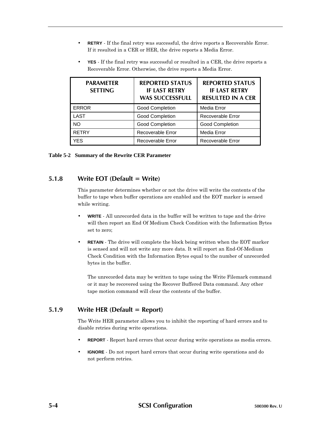• **RETRY** - If the final retry was successful, the drive reports a Recoverable Error. If it resulted in a CER or HER, the drive reports a Media Error.

|                                    | http://www.milor.com/critics.com/critics/critics/and/milor.com/          |                                                                            |
|------------------------------------|--------------------------------------------------------------------------|----------------------------------------------------------------------------|
| <b>PARAMETER</b><br><b>SETTING</b> | <b>REPORTED STATUS</b><br><b>IF LAST RETRY</b><br><b>WAS SUCCESSFULL</b> | <b>REPORTED STATUS</b><br><b>IF LAST RETRY</b><br><b>RESULTED IN A CER</b> |
| <b>ERROR</b>                       | <b>Good Completion</b>                                                   | <b>Media Error</b>                                                         |
| LAST                               | <b>Good Completion</b>                                                   | Recoverable Error                                                          |

NO Cood Completion Good Completion RETRY RETRY Recoverable Error Media Error

YES Recoverable Error Recoverable Error

• **YES** - If the final retry was successful or resulted in a CER, the drive reports a Recoverable Error. Otherwise, the drive reports a Media Error.

**Table 5-2 Summary of the Rewrite CER Parameter**

## **5.1.8 Write EOT (Default = Write)**

This parameter determines whether or not the drive will write the contents of the buffer to tape when buffer operations are enabled and the EOT marker is sensed while writing.

- **WRITE** All unrecorded data in the buffer will be written to tape and the drive will then report an End Of Medium Check Condition with the Information Bytes set to zero;
- **RETAIN** The drive will complete the block being written when the EOT marker is sensed and will not write any more data. It will report an End-Of-Medium Check Condition with the Information Bytes equal to the number of unrecorded bytes in the buffer.

The unrecorded data may be written to tape using the Write Filemark command or it may be recovered using the Recover Buffered Data command. Any other tape motion command will clear the contents of the buffer.

# **5.1.9 Write HER (Default = Report)**

The Write HER parameter allows you to inhibit the reporting of hard errors and to disable retries during write operations.

- **REPORT** Report hard errors that occur during write operations as media errors.
- **IGNORE** Do not report hard errors that occur during write operations and do not perform retries.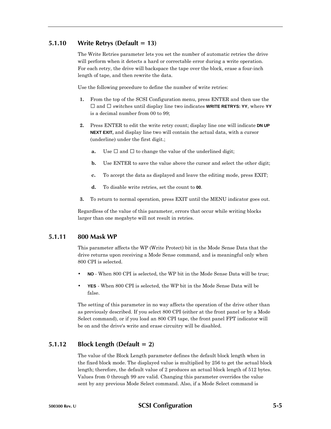# **5.1.10 Write Retrys (Default = 13)**

The Write Retries parameter lets you set the number of automatic retries the drive will perform when it detects a hard or correctable error during a write operation. For each retry, the drive will backspace the tape over the block, erase a four-inch length of tape, and then rewrite the data.

Use the following procedure to define the number of write retries:

- **1.** From the top of the SCSI Configuration menu, press ENTER and then use the and switches until display line two indicates **WRITE RETRYS: YY**, where **YY** is a decimal number from 00 to 99;
- **2.** Press ENTER to edit the write retry count; display line one will indicate **DN UP NEXT EXIT,** and display line two will contain the actual data, with a cursor (underline) under the first digit.;
	- **a.** Use and to change the value of the underlined digit;
	- **b.** Use ENTER to save the value above the cursor and select the other digit;
	- **c.** To accept the data as displayed and leave the editing mode, press EXIT;
	- **d.** To disable write retries, set the count to **00**.
- **3.** To return to normal operation, press EXIT until the MENU indicator goes out.

Regardless of the value of this parameter, errors that occur while writing blocks larger than one megabyte will not result in retries.

## **5.1.11 800 Mask WP**

This parameter affects the WP (Write Protect) bit in the Mode Sense Data that the drive returns upon receiving a Mode Sense command, and is meaningful only when 800 CPI is selected.

- **NO** When 800 CPI is selected, the WP bit in the Mode Sense Data will be true;
- **YES** When 800 CPI is selected, the WP bit in the Mode Sense Data will be false.

The setting of this parameter in no way affects the operation of the drive other than as previously described. If you select 800 CPI (either at the front panel or by a Mode Select command), or if you load an 800 CPI tape, the front panel FPT indicator will be on and the drive's write and erase circuitry will be disabled.

# **5.1.12 Block Length (Default = 2)**

The value of the Block Length parameter defines the default block length when in the fixed block mode. The displayed value is multiplied by 256 to get the actual block length; therefore, the default value of 2 produces an actual block length of 512 bytes. Values from 0 through 99 are valid. Changing this parameter overrides the value sent by any previous Mode Select command. Also, if a Mode Select command is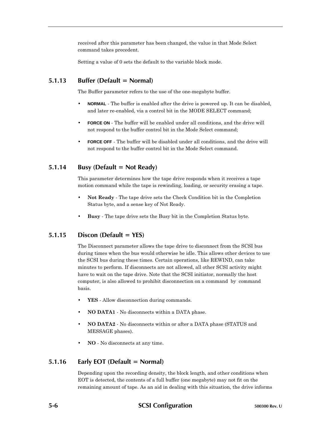received after this parameter has been changed, the value in that Mode Select command takes precedent.

Setting a value of 0 sets the default to the variable block mode.

# **5.1.13 Buffer (Default = Normal)**

The Buffer parameter refers to the use of the one-megabyte buffer.

- **NORMAL** The buffer is enabled after the drive is powered up. It can be disabled, and later re-enabled, via a control bit in the MODE SELECT command;
- **FORCE ON** The buffer will be enabled under all conditions, and the drive will not respond to the buffer control bit in the Mode Select command;
- **FORCE OFF** The buffer will be disabled under all conditions, and the drive will not respond to the buffer control bit in the Mode Select command.

# **5.1.14 Busy (Default = Not Ready)**

This parameter determines how the tape drive responds when it receives a tape motion command while the tape is rewinding, loading, or security erasing a tape.

- **Not Ready** The tape drive sets the Check Condition bit in the Completion Status byte, and a sense key of Not Ready.
- **Busy** The tape drive sets the Busy bit in the Completion Status byte.

# **5.1.15 Discon (Default = YES)**

The Disconnect parameter allows the tape drive to disconnect from the SCSI bus during times when the bus would otherwise be idle. This allows other devices to use the SCSI bus during these times. Certain operations, like REWIND, can take minutes to perform. If disconnects are not allowed, all other SCSI activity might have to wait on the tape drive. Note that the SCSI initiator, normally the host computer, is also allowed to prohibit disconnection on a command–by–command basis.

- **YES** Allow disconnection during commands.
- **NO DATA1** No disconnects within a DATA phase.
- **NO DATA2** No disconnects within or after a DATA phase (STATUS and MESSAGE phases).
- **NO** No disconnects at any time.

# **5.1.16 Early EOT (Default = Normal)**

Depending upon the recording density, the block length, and other conditions when EOT is detected, the contents of a full buffer (one megabyte) may not fit on the remaining amount of tape. As an aid in dealing with this situation, the drive informs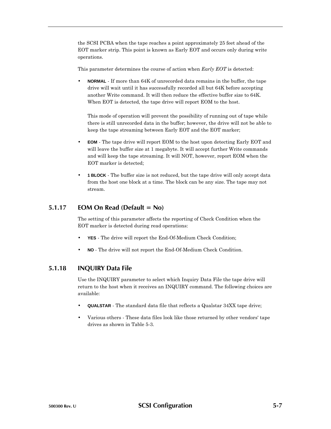the SCSI PCBA when the tape reaches a point approximately 25 feet ahead of the EOT marker strip. This point is known as Early EOT and occurs only during write operations.

This parameter determines the course of action when *Early EOT* is detected:

• **NORMAL** - If more than 64K of unrecorded data remains in the buffer, the tape drive will wait until it has successfully recorded all but 64K before accepting another Write command. It will then reduce the effective buffer size to 64K. When EOT is detected, the tape drive will report EOM to the host.

This mode of operation will prevent the possibility of running out of tape while there is still unrecorded data in the buffer; however, the drive will not be able to keep the tape streaming between Early EOT and the EOT marker;

- **EOM** The tape drive will report EOM to the host upon detecting Early EOT and will leave the buffer size at 1 megabyte. It will accept further Write commands and will keep the tape streaming. It will NOT, however, report EOM when the EOT marker is detected;
- **1 BLOCK** The buffer size is not reduced, but the tape drive will only accept data from the host one block at a time. The block can be any size. The tape may not stream.

### **5.1.17 EOM On Read (Default = No)**

The setting of this parameter affects the reporting of Check Condition when the EOT marker is detected during read operations:

- **YES** The drive will report the End-Of-Medium Check Condition;
- **NO** The drive will not report the End-Of-Medium Check Condition.

## **5.1.18 INQUIRY Data File**

Use the INQUIRY parameter to select which Inquiry Data File the tape drive will return to the host when it receives an INQUIRY command. The following choices are available:

- **QUALSTAR** The standard data file that reflects a Qualstar 34XX tape drive;
- Various others These data files look like those returned by other vendors' tape drives as shown in Table 5-3.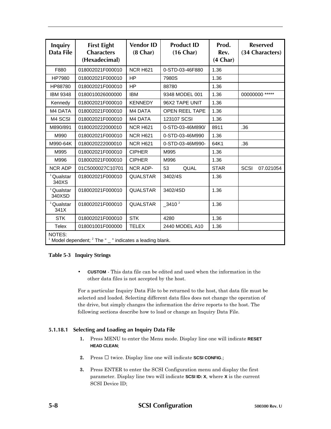| <b>Inquiry</b><br>Data File     | <b>First Eight</b><br><b>Characters</b><br>(Hexadecimal)           | <b>Vendor ID</b><br>$(8 \text{ Char})$ | <b>Product ID</b><br>$(16 \text{ Char})$ | Prod.<br>Rev.<br>(4 Char) | <b>Reserved</b><br>(34 Characters) |  |
|---------------------------------|--------------------------------------------------------------------|----------------------------------------|------------------------------------------|---------------------------|------------------------------------|--|
| F880                            | 018002021F000010                                                   | <b>NCR H621</b>                        | 0-STD-03-46F880                          | 1.36                      |                                    |  |
| HP7980                          | 018002021F000010                                                   | <b>HP</b>                              | 7980S                                    | 1.36                      |                                    |  |
| HP88780                         | 018002021F000010                                                   | <b>HP</b>                              | 88780                                    | 1.36                      |                                    |  |
| <b>IBM 9348</b>                 | 0180010026000000                                                   | <b>IBM</b>                             | 9348 MODEL 001                           | 1.36                      | 00000000 *****                     |  |
| Kennedy                         | 018002021F000010                                                   | <b>KENNEDY</b>                         | 96X2 TAPE UNIT                           | 1.36                      |                                    |  |
| M4 DATA                         | 018002021F000010                                                   | M4 DATA                                | <b>OPEN REEL TAPE</b>                    | 1.36                      |                                    |  |
| M4 SCSI                         | 018002021F000010                                                   | M4 DATA                                | 123107 SCSI                              | 1.36                      |                                    |  |
| M890/891                        | 0180020222000010                                                   | <b>NCR H621</b>                        | 0-STD-03-46M890/                         | 8911                      | .36                                |  |
| M990                            | 018002021F000010                                                   | <b>NCR H621</b>                        | 0-STD-03-46M990                          | 1.36                      |                                    |  |
| M990-64K                        | 0180020222000010                                                   | <b>NCR H621</b>                        | 0-STD-03-46M990-                         | 64K1                      | .36                                |  |
| M995                            | 018002021F000010                                                   | <b>CIPHER</b>                          | M995                                     | 1.36                      |                                    |  |
| M996                            | 018002021F000010                                                   | <b>CIPHER</b>                          | M996                                     | 1.36                      |                                    |  |
| <b>NCR ADP</b>                  | 01C5000027C10701                                                   | <b>NCR ADP-</b>                        | QUAL<br>53                               | <b>STAR</b>               | <b>SCSI</b><br>07.021054           |  |
| <sup>1</sup> Qualstar<br>340XS  | 018002021F000010                                                   | <b>QUALSTAR</b>                        | 3402/4S                                  | 1.36                      |                                    |  |
| <sup>1</sup> Qualstar<br>340XSD | 018002021F000010                                                   | <b>QUALSTAR</b>                        | 3402/4SD                                 | 1.36                      |                                    |  |
| <sup>1</sup> Qualstar<br>341X   | 018002021F000010                                                   | <b>QUALSTAR</b>                        | $-3410^{2}$                              | 1.36                      |                                    |  |
| <b>STK</b>                      | 018002021F000010                                                   | <b>STK</b>                             | 4280                                     | 1.36                      |                                    |  |
| <b>Telex</b>                    | 018001001F000000                                                   | <b>TELEX</b>                           | 2440 MODEL A10                           | 1.36                      |                                    |  |
| NOTES:                          | Model dependent; <sup>2</sup> The " _ " indicates a leading blank. |                                        |                                          |                           |                                    |  |

### **Table 5-3 Inquiry Strings**

• **CUSTOM** - This data file can be edited and used when the information in the other data files is not accepted by the host.

For a particular Inquiry Data File to be returned to the host, that data file must be selected and loaded. Selecting different data files does not change the operation of the drive, but simply changes the information the drive reports to the host. The following sections describe how to load or change an Inquiry Data File.

## **5.1.18.1 Selecting and Loading an Inquiry Data File**

- **1.** Press MENU to enter the Menu mode. Display line one will indicate **RESET HEAD CLEAN**;
- **2.** Press twice. Display line one will indicate **SCSI CONFIG**.;
- **3.** Press ENTER to enter the SCSI Configuration menu and display the first parameter. Display line two will indicate **SCSI ID: X**, where **X** is the current SCSI Device ID;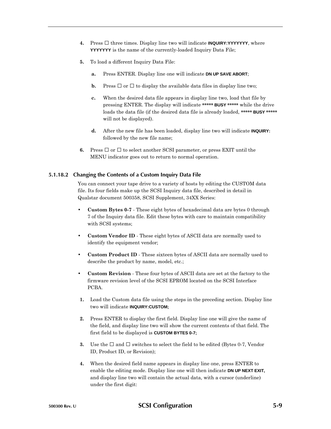- **4.** Press three times. Display line two will indicate **INQUIRY:YYYYYYY**, where **YYYYYYY** is the name of the currently-loaded Inquiry Data File;
- **5.** To load a different Inquiry Data File:
	- **a.** Press ENTER. Display line one will indicate **DN UP SAVE ABORT**;
	- **b.** Press or to display the available data files in display line two;
	- **c.** When the desired data file appears in display line two, load that file by pressing ENTER. The display will indicate **\*\*\*\*\* BUSY \*\*\*\*\*** while the drive loads the data file (if the desired data file is already loaded, **\*\*\*\*\* BUSY \*\*\*\*\*** will not be displayed).
	- **d.** After the new file has been loaded, display line two will indicate **INQUIRY:** followed by the new file name;
- **6.** Press or to select another SCSI parameter, or press EXIT until the MENU indicator goes out to return to normal operation.

#### **5.1.18.2 Changing the Contents of a Custom Inquiry Data File**

You can connect your tape drive to a variety of hosts by editing the CUSTOM data file. Its four fields make up the SCSI Inquiry data file, described in detail in Qualstar document 500358, SCSI Supplement, 34XX Series:

- **Custom Bytes 0-7** These eight bytes of hexadecimal data are bytes 0 through 7 of the Inquiry data file. Edit these bytes with care to maintain compatibility with SCSI systems;
- **Custom Vendor ID** These eight bytes of ASCII data are normally used to identify the equipment vendor;
- **Custom Product ID** These sixteen bytes of ASCII data are normally used to describe the product by name, model, etc.;
- **Custom Revision** These four bytes of ASCII data are set at the factory to the firmware revision level of the SCSI EPROM located on the SCSI Interface PCBA.
- **1.** Load the Custom data file using the steps in the preceding section. Display line two will indicate **INQUIRY:CUSTOM;**
- **2.** Press ENTER to display the first field. Display line one will give the name of the field, and display line two will show the current contents of that field. The first field to be displayed is **CUSTOM BYTES 0-7;**
- **3.** Use the and switches to select the field to be edited (Bytes 0-7, Vendor ID, Product ID, or Revision);
- **4.** When the desired field name appears in display line one, press ENTER to enable the editing mode. Display line one will then indicate **DN UP NEXT EXIT,** and display line two will contain the actual data, with a cursor (underline) under the first digit: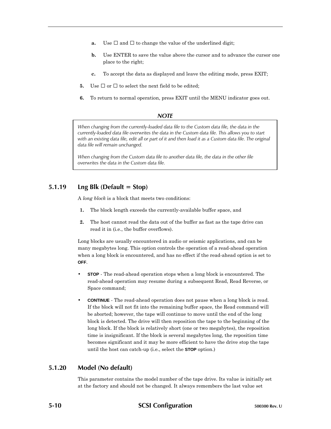- **a.** Use and to change the value of the underlined digit;
- **b.** Use ENTER to save the value above the cursor and to advance the cursor one place to the right;
- **c.** To accept the data as displayed and leave the editing mode, press EXIT;
- **5.** Use or to select the next field to be edited;
- **6.** To return to normal operation, press EXIT until the MENU indicator goes out.

### *NOTE*

*When changing from the currently-loaded data file to the Custom data file, the data in the currently-loaded data file overwrites the data in the Custom data file. This allows you to start with an existing data file, edit all or part of it and then load it as a Custom data file. The original data file will remain unchanged.*

*When changing from the Custom data file to another data file, the data in the other file overwrites the data in the Custom data file.*

# **5.1.19 Lng Blk (Default = Stop)**

A *long block* is a block that meets two conditions:

- **1.** The block length exceeds the currently-available buffer space, and
- **2.** The host cannot read the data out of the buffer as fast as the tape drive can read it in (i.e., the buffer overflows).

Long blocks are usually encountered in audio or seismic applications, and can be many megabytes long. This option controls the operation of a read-ahead operation when a long block is encountered, and has no effect if the read-ahead option is set to **OFF**.

- **STOP** The read-ahead operation stops when a long block is encountered. The read-ahead operation may resume during a subsequent Read, Read Reverse, or Space command;
- **CONTINUE** The read-ahead operation does not pause when a long block is read. If the block will not fit into the remaining buffer space, the Read command will be aborted; however, the tape will continue to move until the end of the long block is detected. The drive will then reposition the tape to the beginning of the long block. If the block is relatively short (one or two megabytes), the reposition time is insignificant. If the block is several megabytes long, the reposition time becomes significant and it may be more efficient to have the drive stop the tape until the host can catch-up (i.e., select the **STOP** option.)

# **5.1.20 Model (No default)**

This parameter contains the model number of the tape drive. Its value is initially set at the factory and should not be changed. It always remembers the last value set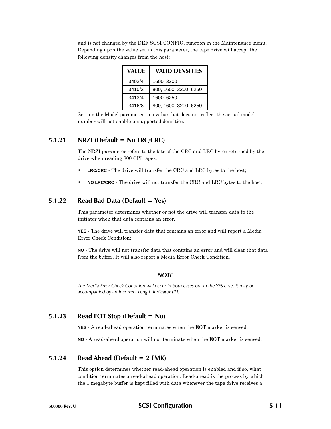| <b>VALUE</b> | <b>VALID DENSITIES</b> |
|--------------|------------------------|
| 3402/4       | 1600, 3200             |
| 3410/2       | 800, 1600, 3200, 6250  |
| 3413/4       | 1600, 6250             |
| 3416/8       | 800, 1600, 3200, 6250  |

and is not changed by the DEF SCSI CONFIG. function in the Maintenance menu. Depending upon the value set in this parameter, the tape drive will accept the following density changes from the host:

Setting the Model parameter to a value that does not reflect the actual model number will not enable unsupported densities.

## **5.1.21 NRZI (Default = No LRC/CRC)**

The NRZI parameter refers to the fate of the CRC and LRC bytes returned by the drive when reading 800 CPI tapes.

- **LRC/CRC** The drive will transfer the CRC and LRC bytes to the host;
- **NO LRC/CRC** The drive will not transfer the CRC and LRC bytes to the host.

## **5.1.22 Read Bad Data (Default = Yes)**

This parameter determines whether or not the drive will transfer data to the initiator when that data contains an error.

**YES** - The drive will transfer data that contains an error and will report a Media Error Check Condition;

**NO** - The drive will not transfer data that contains an error and will clear that data from the buffer. It will also report a Media Error Check Condition.

### *NOTE*

*The Media Error Check Condition will occur in both cases but in the YES case, it may be accompanied by an Incorrect Length Indicator (ILI).*

## **5.1.23 Read EOT Stop (Default = No)**

**YES** - A read-ahead operation terminates when the EOT marker is sensed.

**NO** - A read-ahead operation will not terminate when the EOT marker is sensed.

## **5.1.24 Read Ahead (Default = 2 FMK)**

This option determines whether read-ahead operation is enabled and if so, what condition terminates a read-ahead operation. Read-ahead is the process by which the 1 megabyte buffer is kept filled with data whenever the tape drive receives a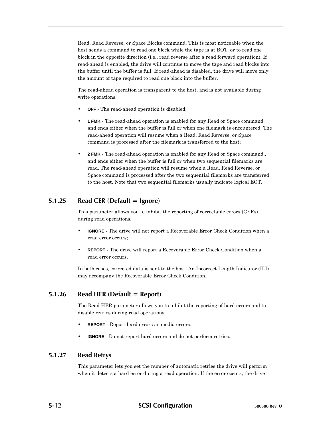Read, Read Reverse, or Space Blocks command. This is most noticeable when the host sends a command to read one block while the tape is at BOT, or to read one block in the opposite direction (i.e., read reverse after a read forward operation). If read-ahead is enabled, the drive will continue to move the tape and read blocks into the buffer until the buffer is full. If read-ahead is disabled, the drive will move only the amount of tape required to read one block into the buffer.

The read-ahead operation is transparent to the host, and is not available during write operations.

- **OFF** The read-ahead operation is disabled;
- **1 FMK** The read-ahead operation is enabled for any Read or Space command, and ends either when the buffer is full or when one filemark is encountered. The read-ahead operation will resume when a Read, Read Reverse, or Space command is processed after the filemark is transferred to the host;
- **2 FMK** The read-ahead operation is enabled for any Read or Space command., and ends either when the buffer is full or when two sequential filemarks are read. The read-ahead operation will resume when a Read, Read Reverse, or Space command is processed after the two sequential filemarks are transferred to the host. Note that two sequential filemarks usually indicate logical EOT.

## **5.1.25 Read CER (Default = Ignore)**

This parameter allows you to inhibit the reporting of correctable errors (CERs) during read operations.

- **IGNORE** The drive will not report a Recoverable Error Check Condition when a read error occurs;
- **REPORT** The drive will report a Recoverable Error Check Condition when a read error occurs.

In both cases, corrected data is sent to the host. An Incorrect Length Indicator (ILI) may accompany the Recoverable Error Check Condition.

# **5.1.26 Read HER (Default = Report)**

The Read HER parameter allows you to inhibit the reporting of hard errors and to disable retries during read operations.

- **REPORT** Report hard errors as media errors.
- **IGNORE** Do not report hard errors and do not perform retries.

### **5.1.27 Read Retrys**

This parameter lets you set the number of automatic retries the drive will perform when it detects a hard error during a read operation. If the error occurs, the drive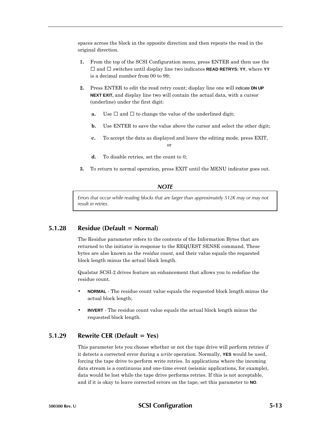spaces across the block in the opposite direction and then repeats the read in the original direction.

- **1.** From the top of the SCSI Configuration menu, press ENTER and then use the and switches until display line two indicates **READ RETRYS: YY**, where **YY** is a decimal number from 00 to 99;
- **2.** Press ENTER to edit the read retry count; display line one will indicate **DN UP NEXT EXIT,** and display line two will contain the actual data, with a cursor (underline) under the first digit:
	- **a.** Use and to change the value of the underlined digit;
	- **b.** Use ENTER to save the value above the cursor and select the other digit;
	- **c.** To accept the data as displayed and leave the editing mode, press EXIT, or
	- **d.** To disable retries, set the count to 0;
- **3.** To return to normal operation, press EXIT until the MENU indicator goes out.

### *NOTE*

*Errors that occur while reading blocks that are larger than approximately 512K may or may not result in retries.*

### **5.1.28 Residue (Default = Normal)**

The Residue parameter refers to the contents of the Information Bytes that are returned to the initiator in response to the REQUEST SENSE command. These bytes are also known as the *residue count*, and their value equals the requested block length minus the actual block length.

Qualstar SCSI-2 drives feature an enhancement that allows you to redefine the residue count.

- **NORMAL** The residue count value equals the requested block length minus the actual block length;
- **INVERT** The residue count value equals the actual block length minus the requested block length.

### **5.1.29 Rewrite CER (Default = Yes)**

This parameter lets you choose whether or not the tape drive will perform retries if it detects a corrected error during a *write* operation. Normally, **YES** would be used, forcing the tape drive to perform write retries. In applications where the incoming data stream is a continuous and one-time event (seismic applications, for example), data would be lost while the tape drive performs retries. If this is not acceptable, and if it is okay to leave corrected errors on the tape, set this parameter to **NO**.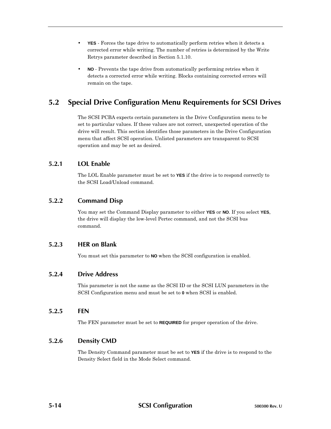- **YES** Forces the tape drive to automatically perform retries when it detects a corrected error while writing. The number of retries is determined by the Write Retrys parameter described in Section 5.1.10.
- **NO** Prevents the tape drive from automatically performing retries when it detects a corrected error while writing. Blocks containing corrected errors will remain on the tape.

# **5.2 Special Drive Configuration Menu Requirements for SCSI Drives**

The SCSI PCBA expects certain parameters in the Drive Configuration menu to be set to particular values. If these values are not correct, unexpected operation of the drive will result. This section identifies those parameters in the Drive Configuration menu that affect SCSI operation. Unlisted parameters are transparent to SCSI operation and may be set as desired.

# **5.2.1 LOL Enable**

The LOL Enable parameter must be set to **YES** if the drive is to respond correctly to the SCSI Load/Unload command.

# **5.2.2 Command Disp**

You may set the Command Display parameter to either **YES** or **NO**. If you select **YES**, the drive will display the low-level Pertec command, and not the SCSI bus command.

# **5.2.3 HER on Blank**

You must set this parameter to **NO** when the SCSI configuration is enabled.

## **5.2.4 Drive Address**

This parameter is not the same as the SCSI ID or the SCSI LUN parameters in the SCSI Configuration menu and must be set to **0** when SCSI is enabled.

## **5.2.5 FEN**

The FEN parameter must be set to **REQUIRED** for proper operation of the drive.

# **5.2.6 Density CMD**

The Density Command parameter must be set to **YES** if the drive is to respond to the Density Select field in the Mode Select command.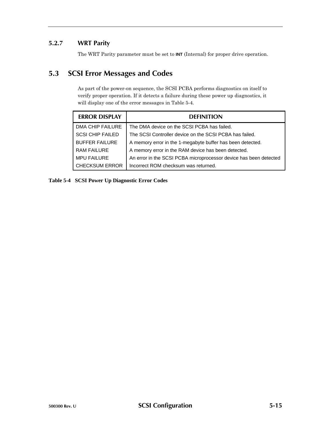# **5.2.7 WRT Parity**

The WRT Parity parameter must be set to **INT** (Internal) for proper drive operation.

# **5.3 SCSI Error Messages and Codes**

As part of the power-on sequence, the SCSI PCBA performs diagnostics on itself to verify proper operation. If it detects a failure during these power up diagnostics, it will display one of the error messages in Table 5-4.

| <b>ERROR DISPLAY</b>    | <b>DEFINITION</b>                                                 |
|-------------------------|-------------------------------------------------------------------|
| DMA CHIP FAILURE        | The DMA device on the SCSI PCBA has failed.                       |
| <b>SCSI CHIP FAILED</b> | The SCSI Controller device on the SCSI PCBA has failed.           |
| <b>BUFFER FAILURE</b>   | A memory error in the 1-megabyte buffer has been detected.        |
| RAM FAILURE             | A memory error in the RAM device has been detected.               |
| <b>MPU FAILURE</b>      | An error in the SCSI PCBA microprocessor device has been detected |
| I CHECKSUM ERROR        | Incorrect ROM checksum was returned.                              |

### **Table 5-4 SCSI Power Up Diagnostic Error Codes**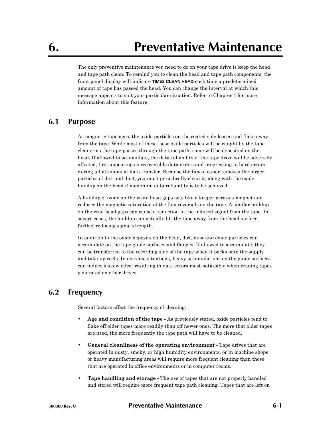The only preventive maintenance you need to do on your tape drive is keep the head and tape path clean. To remind you to clean the head and tape path components, the front panel display will indicate **TIME2 CLEAN HEAD** each time a predetermined amount of tape has passed the head. You can change the interval at which this message appears to suit your particular situation. Refer to Chapter 4 for more information about this feature.

# **6.1 Purpose**

As magnetic tape ages, the oxide particles on the coated side loosen and flake away from the tape. While most of these loose oxide particles will be caught by the tape cleaner as the tape passes through the tape path, some will be deposited on the head. If allowed to accumulate, the data reliability of the tape drive will be adversely affected, first appearing as recoverable data errors and progressing to hard errors during all attempts at data transfer. Because the tape cleaner removes the larger particles of dirt and dust, you must periodically clean it, along with the oxide buildup on the head if maximum data reliability is to be achieved.

A buildup of oxide on the write head gaps acts like a keeper across a magnet and reduces the magnetic saturation of the flux reversals on the tape. A similar buildup on the read head gaps can cause a reduction in the induced signal from the tape. In severe cases, the buildup can actually lift the tape away from the head surface, further reducing signal strength.

In addition to the oxide deposits on the head, dirt, dust and oxide particles can accumulate on the tape guide surfaces and flanges. If allowed to accumulate, they can be transferred to the recording side of the tape when it packs onto the supply and take-up reels. In extreme situations, heavy accumulations on the guide surfaces can induce a skew effect resulting in data errors most noticeable when reading tapes generated on other drives.

# **6.2 Frequency**

Several factors affect the frequency of cleaning:

- **Age and condition of the tape -** As previously stated, oxide particles tend to flake off older tapes more readily than off newer ones. The more that older tapes are used, the more frequently the tape path will have to be cleaned.
- **General cleanliness of the operating environment -** Tape drives that are operated in dusty, smoky, or high humidity environments, or in machine shops or heavy manufacturing areas will require more frequent cleaning than those that are operated in office environments or in computer rooms.
- **Tape handling and storage -** The use of tapes that are not properly handled and stored will require more frequent tape path cleaning. Tapes that are left on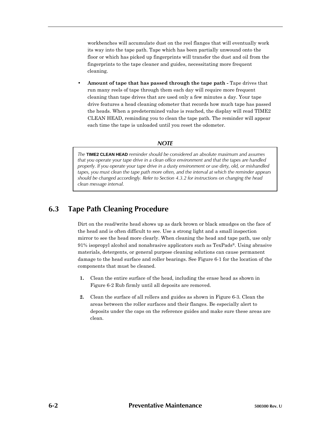workbenches will accumulate dust on the reel flanges that will eventually work its way into the tape path. Tape which has been partially unwound onto the floor or which has picked up fingerprints will transfer the dust and oil from the fingerprints to the tape cleaner and guides, necessitating more frequent cleaning.

• **Amount of tape that has passed through the tape path -** Tape drives that run many reels of tape through them each day will require more frequent cleaning than tape drives that are used only a few minutes a day. Your tape drive features a head cleaning odometer that records how much tape has passed the heads. When a predetermined value is reached, the display will read TIME2 CLEAN HEAD, reminding you to clean the tape path. The reminder will appear each time the tape is unloaded until you reset the odometer.

### *NOTE*

*The* **TIME2 CLEAN HEAD** *reminder should be considered an absolute maximum and assumes that you operate your tape drive in a clean office environment and that the tapes are handled properly. If you operate your tape drive in a dusty environment or use dirty, old, or mishandled tapes, you must clean the tape path more often, and the interval at which the reminder appears should be changed accordingly. Refer to Section 4.3.2 for instructions on changing the head clean message interval.*

# **6.3 Tape Path Cleaning Procedure**

Dirt on the read/write head shows up as dark brown or black smudges on the face of the head and is often difficult to see. Use a strong light and a small inspection mirror to see the head more clearly. When cleaning the head and tape path, use only 91% isopropyl alcohol and nonabrasive applicators such as TexPads®. Using abrasive materials, detergents, or general purpose cleaning solutions can cause permanent damage to the head surface and roller bearings. See Figure 6-1 for the location of the components that must be cleaned.

- **1.** Clean the entire surface of the head, including the erase head as shown in Figure 6-2 Rub firmly until all deposits are removed.
- **2.** Clean the surface of all rollers and guides as shown in Figure 6-3. Clean the areas between the roller surfaces and their flanges. Be especially alert to deposits under the caps on the reference guides and make sure these areas are clean.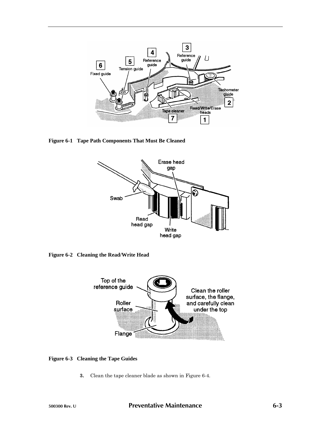

**Figure 6-1 Tape Path Components That Must Be Cleaned**



**Figure 6-2 Cleaning the Read/Write Head**



### **Figure 6-3 Cleaning the Tape Guides**

**3.** Clean the tape cleaner blade as shown in Figure 6-4.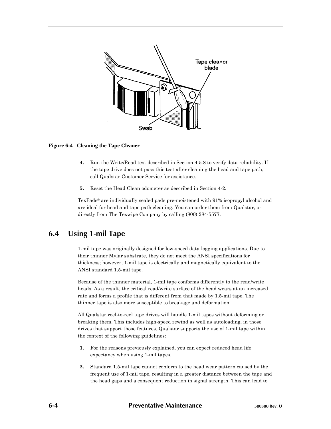

### **Figure 6-4 Cleaning the Tape Cleaner**

- **4.** Run the Write/Read test described in Section 4.5.8 to verify data reliability. If the tape drive does not pass this test after cleaning the head and tape path, call Qualstar Customer Service for assistance.
- **5.** Reset the Head Clean odometer as described in Section 4-2.

TexPads® are individually sealed pads pre-moistened with 91% isopropyl alcohol and are ideal for head and tape path cleaning. You can order them from Qualstar, or directly from The Texwipe Company by calling (800) 284-5577.

# **6.4 Using 1-mil Tape**

1-mil tape was originally designed for low-speed data logging applications. Due to their thinner Mylar substrate, they do not meet the ANSI specifications for thickness; however, 1-mil tape is electrically and magnetically equivalent to the ANSI standard 1.5-mil tape.

Because of the thinner material, 1-mil tape conforms differently to the read/write heads. As a result, the critical read/write surface of the head wears at an increased rate and forms a profile that is different from that made by 1.5-mil tape. The thinner tape is also more susceptible to breakage and deformation.

All Qualstar reel-to-reel tape drives will handle 1-mil tapes without deforming or breaking them. This includes high-speed rewind as well as autoloading, in those drives that support those features. Qualstar supports the use of 1-mil tape within the context of the following guidelines:

- **1.** For the reasons previously explained, you can expect reduced head life expectancy when using 1-mil tapes.
- **2.** Standard 1.5-mil tape cannot conform to the head wear pattern caused by the frequent use of 1-mil tape, resulting in a greater distance between the tape and the head gaps and a consequent reduction in signal strength. This can lead to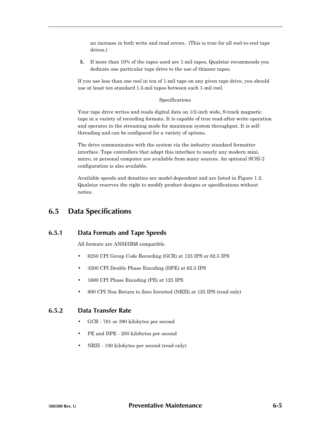an increase in both write and read errors. (This is true for all reel-to-reel tape drives.)

**3.** If more than 10% of the tapes used are 1-mil tapes, Qualstar recommends you dedicate one particular tape drive to the use of thinner tapes.

If you use less than one reel in ten of 1-mil tape on any given tape drive, you should use at least ten standard 1.5-mil tapes between each 1-mil reel.

#### Specifications

Your tape drive writes and reads digital data on 1/2-inch wide, 9-track magnetic tape in a variety of recording formats. It is capable of true read-after-write operation and operates in the streaming mode for maximum system throughput. It is selfthreading and can be configured for a variety of options.

The drive communicates with the system via the industry standard formatter interface. Tape controllers that adapt this interface to nearly any modern mini, micro, or personal computer are available from many sources. An optional SCSI-2 configuration is also available.

Available speeds and densities are model-dependent and are listed in Figure 1-2. Qualstar reserves the right to modify product designs or specifications without notice.

# **6.5 Data Specifications**

## **6.5.1 Data Formats and Tape Speeds**

All formats are ANSI/IBM compatible.

- 6250 CPI Group Code Recording (GCR) at 125 IPS or 62.5 IPS
- 3200 CPI Double Phase Encoding (DPE) at 62.5 IPS
- 1600 CPI Phase Encoding (PE) at 125 IPS
- 800 CPI Non Return to Zero Inverted (NRZI) at 125 IPS (read only)

### **6.5.2 Data Transfer Rate**

- GCR 781 or 390 kilobytes per second
- PE and DPE 200 kilobytes per second
- NRZI 100 kilobytes per second (read only)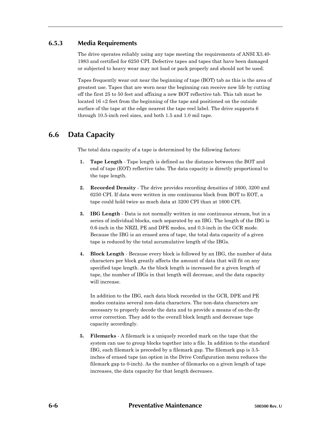## **6.5.3 Media Requirements**

The drive operates reliably using any tape meeting the requirements of ANSI X3.40- 1983 and certified for 6250 CPI. Defective tapes and tapes that have been damaged or subjected to heavy wear may not load or pack properly and should not be used.

Tapes frequently wear out near the beginning of tape (BOT) tab as this is the area of greatest use. Tapes that are worn near the beginning can receive new life by cutting off the first 25 to 50 feet and affixing a new BOT reflective tab. This tab must be located  $16 \pm 2$  feet from the beginning of the tape and positioned on the outside surface of the tape at the edge nearest the tape reel label. The drive supports 6 through 10.5-inch reel sizes, and both 1.5 and 1.0 mil tape.

# **6.6 Data Capacity**

The total data capacity of a tape is determined by the following factors:

- **1. Tape Length** Tape length is defined as the distance between the BOT and end of tape (EOT) reflective tabs. The data capacity is directly proportional to the tape length.
- **2. Recorded Density** The drive provides recording densities of 1600, 3200 and 6250 CPI. If data were written in one continuous block from BOT to EOT, a tape could hold twice as much data at 3200 CPI than at 1600 CPI.
- **3. IBG Length** Data is not normally written in one continuous stream, but in a series of individual blocks, each separated by an IBG. The length of the IBG is 0.6-inch in the NRZI, PE and DPE modes, and 0.3-inch in the GCR mode. Because the IBG is an erased area of tape, the total data capacity of a given tape is reduced by the total accumulative length of the IBGs.
- **4. Block Length** Because every block is followed by an IBG, the number of data characters per block greatly affects the amount of data that will fit on any specified tape length. As the block length is increased for a given length of tape, the number of IBGs in that length will decrease, and the data capacity will increase.

In addition to the IBG, each data block recorded in the GCR, DPE and PE modes contains several non-data characters. The non-data characters are necessary to properly decode the data and to provide a means of on-the-fly error correction. They add to the overall block length and decrease tape capacity accordingly.

**5. Filemarks** - A filemark is a uniquely recorded mark on the tape that the system can use to group blocks together into a file. In addition to the standard IBG, each filemark is preceded by a filemark gap. The filemark gap is 3.5 inches of erased tape (an option in the Drive Configuration menu reduces the filemark gap to 0-inch). As the number of filemarks on a given length of tape increases, the data capacity for that length decreases.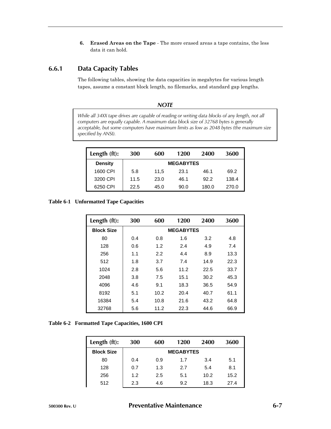**6. Erased Areas on the Tape** - The more erased areas a tape contains, the less data it can hold.

# **6.6.1 Data Capacity Tables**

The following tables, showing the data capacities in megabytes for various length tapes, assume a constant block length, no filemarks, and standard gap lengths.

*NOTE*

| While all 34XX tape drives are capable of reading or writing data blocks of any length, not all<br>computers are equally capable. A maximum data block size of 32768 bytes is generally<br>acceptable, but some computers have maximum limits as low as 2048 bytes (the maximum size<br>specified by ANSI). |
|-------------------------------------------------------------------------------------------------------------------------------------------------------------------------------------------------------------------------------------------------------------------------------------------------------------|
|                                                                                                                                                                                                                                                                                                             |

| Length $(ft)$ : | 300  | 600  | 1200             | 2400  | 3600  |
|-----------------|------|------|------------------|-------|-------|
| <b>Density</b>  |      |      | <b>MEGABYTES</b> |       |       |
| 1600 CPI        | 5.8  | 11.5 | 23.1             | 46.1  | 69.2  |
| 3200 CPI        | 11.5 | 23.0 | 46.1             | 92.2  | 138.4 |
| 6250 CPI        | 22.5 | 45.0 | 90.0             | 180.0 | 270.0 |

**Table 6-1 Unformatted Tape Capacities**

| Length (ft):      | 300 | 600  | 1200             | 2400 | 3600 |
|-------------------|-----|------|------------------|------|------|
| <b>Block Size</b> |     |      | <b>MEGABYTES</b> |      |      |
| 80                | 0.4 | 0.8  | 1.6              | 3.2  | 4.8  |
| 128               | 0.6 | 1.2  | 2.4              | 4.9  | 7.4  |
| 256               | 1.1 | 2.2  | 4.4              | 8.9  | 13.3 |
| 512               | 1.8 | 3.7  | 7.4              | 14.9 | 22.3 |
| 1024              | 2.8 | 5.6  | 11.2             | 22.5 | 33.7 |
| 2048              | 3.8 | 7.5  | 15.1             | 30.2 | 45.3 |
| 4096              | 4.6 | 9.1  | 18.3             | 36.5 | 54.9 |
| 8192              | 5.1 | 10.2 | 20.4             | 40.7 | 61.1 |
| 16384             | 5.4 | 10.8 | 21.6             | 43.2 | 64.8 |
| 32768             | 5.6 | 11.2 | 22.3             | 44.6 | 66.9 |

| Table 6-2 Formatted Tape Capacities, 1600 CPI |  |  |
|-----------------------------------------------|--|--|
|-----------------------------------------------|--|--|

| Length (ft):      | 300 | 600 | 1200             | 2400 | 3600 |
|-------------------|-----|-----|------------------|------|------|
| <b>Block Size</b> |     |     | <b>MEGABYTES</b> |      |      |
| 80                | 0.4 | 0.9 | 1.7              | 3.4  | 5.1  |
| 128               | 0.7 | 1.3 | 2.7              | 5.4  | 8.1  |
| 256               | 1.2 | 2.5 | 5.1              | 10.2 | 15.2 |
| 512               | 2.3 | 4.6 | 9.2              | 18.3 | 27.4 |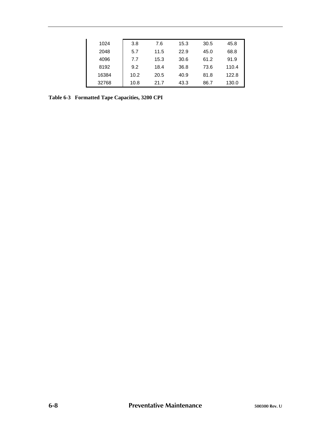| 1024  | 3.8  | 7.6  | 15.3 | 30.5 | 45.8  |
|-------|------|------|------|------|-------|
| 2048  | 5.7  | 11.5 | 22.9 | 45.0 | 68.8  |
| 4096  | 7.7  | 15.3 | 30.6 | 61.2 | 91.9  |
| 8192  | 9.2  | 18.4 | 36.8 | 73.6 | 110.4 |
| 16384 | 10.2 | 20.5 | 40.9 | 81.8 | 122.8 |
| 32768 | 10.8 | 21.7 | 43.3 | 86.7 | 130.0 |

**Table 6-3 Formatted Tape Capacities, 3200 CPI**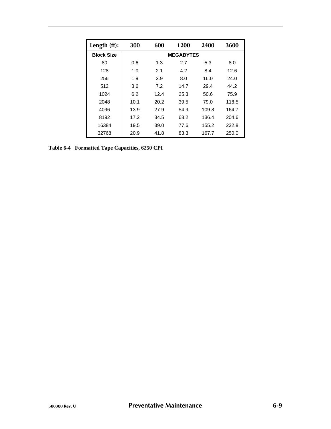| Length (ft):      | 300  | 600  | 1200             | 2400  | 3600  |
|-------------------|------|------|------------------|-------|-------|
| <b>Block Size</b> |      |      | <b>MEGABYTES</b> |       |       |
| 80                | 0.6  | 1.3  | 2.7              | 5.3   | 8.0   |
| 128               | 1.0  | 2.1  | 4.2              | 8.4   | 12.6  |
| 256               | 1.9  | 3.9  | 8.0              | 16.0  | 24.0  |
| 512               | 3.6  | 7.2  | 14.7             | 29.4  | 44.2  |
| 1024              | 6.2  | 12.4 | 25.3             | 50.6  | 75.9  |
| 2048              | 10.1 | 20.2 | 39.5             | 79.0  | 118.5 |
| 4096              | 13.9 | 27.9 | 54.9             | 109.8 | 164.7 |
| 8192              | 17.2 | 34.5 | 68.2             | 136.4 | 204.6 |
| 16384             | 19.5 | 39.0 | 77.6             | 155.2 | 232.8 |
| 32768             | 20.9 | 41.8 | 83.3             | 167.7 | 250.0 |

**Table 6-4 Formatted Tape Capacities, 6250 CPI**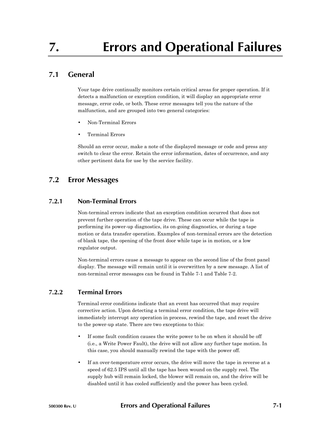# **7.1 General**

Your tape drive continually monitors certain critical areas for proper operation. If it detects a malfunction or exception condition, it will display an appropriate error message, error code, or both. These error messages tell you the nature of the malfunction, and are grouped into two general categories:

- Non-Terminal Errors
- Terminal Errors

Should an error occur, make a note of the displayed message or code and press any switch to clear the error. Retain the error information, dates of occurrence, and any other pertinent data for use by the service facility.

# **7.2 Error Messages**

## **7.2.1 Non-Terminal Errors**

Non-terminal errors indicate that an exception condition occurred that does not prevent further operation of the tape drive. These can occur while the tape is performing its power-up diagnostics, its on-going diagnostics, or during a tape motion or data transfer operation. Examples of non-terminal errors are the detection of blank tape, the opening of the front door while tape is in motion, or a low regulator output.

Non-terminal errors cause a message to appear on the second line of the front panel display. The message will remain until it is overwritten by a new message. A list of non-terminal error messages can be found in Table 7-1 and Table 7-2.

## **7.2.2 Terminal Errors**

Terminal error conditions indicate that an event has occurred that may require corrective action. Upon detecting a terminal error condition, the tape drive will immediately interrupt any operation in process, rewind the tape, and reset the drive to the power-up state. There are two exceptions to this:

- If some fault condition causes the write power to be on when it should be off (i.e., a Write Power Fault), the drive will not allow any further tape motion. In this case, you should manually rewind the tape with the power off.
- If an over-temperature error occurs, the drive will move the tape in reverse at a speed of 62.5 IPS until all the tape has been wound on the supply reel. The supply hub will remain locked, the blower will remain on, and the drive will be disabled until it has cooled sufficiently and the power has been cycled.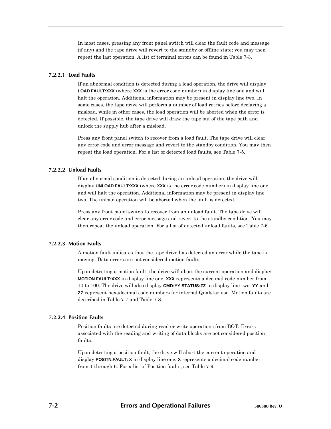In most cases, pressing any front panel switch will clear the fault code and message (if any) and the tape drive will revert to the standby or offline state; you may then repeat the last operation. A list of terminal errors can be found in Table 7-3.

### **7.2.2.1 Load Faults**

If an abnormal condition is detected during a load operation, the drive will display **LOAD FAULT:XXX** (where **XXX** is the error code number) in display line one and will halt the operation. Additional information may be present in display line two. In some cases, the tape drive will perform a number of load retries before declaring a misload, while in other cases, the load operation will be aborted when the error is detected. If possible, the tape drive will draw the tape out of the tape path and unlock the supply hub after a misload.

Press any front panel switch to recover from a load fault. The tape drive will clear any error code and error message and revert to the standby condition. You may then repeat the load operation. For a list of detected load faults, see Table 7-5.

### **7.2.2.2 Unload Faults**

If an abnormal condition is detected during an unload operation, the drive will display **UNLOAD FAULT:XXX** (where **XXX** is the error code number) in display line one and will halt the operation. Additional information may be present in display line two. The unload operation will be aborted when the fault is detected.

Press any front panel switch to recover from an unload fault. The tape drive will clear any error code and error message and revert to the standby condition. You may then repeat the unload operation. For a list of detected unload faults, see Table 7-6.

#### **7.2.2.3 Motion Faults**

A motion fault indicates that the tape drive has detected an error while the tape is moving. Data errors are not considered motion faults.

Upon detecting a motion fault, the drive will abort the current operation and display **MOTION FAULT:XXX** in display line one. **XXX** represents a decimal code number from 10 to 100. The drive will also display **CMD:YY STATUS:ZZ** in display line two. **YY** and **ZZ** represent hexadecimal code numbers for internal Qualstar use. Motion faults are described in Table 7-7 and Table 7-8.

#### **7.2.2.4 Position Faults**

Position faults are detected during read or write operations from BOT. Errors associated with the reading and writing of data blocks are not considered position faults.

Upon detecting a position fault, the drive will abort the current operation and display **POSITN.FAULT: X** in display line one. **X** represents a decimal code number from 1 through 6. For a list of Position faults, see Table 7-9.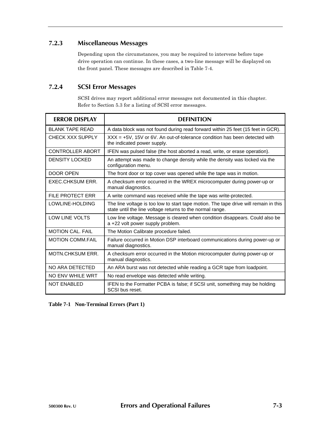# **7.2.3 Miscellaneous Messages**

Depending upon the circumstances, you may be required to intervene before tape drive operation can continue. In these cases, a two-line message will be displayed on the front panel. These messages are described in Table 7-4.

# **7.2.4 SCSI Error Messages**

SCSI drives may report additional error messages not documented in this chapter. Refer to Section 5.3 for a listing of SCSI error messages.

| <b>FRROR DISPLAY</b>    | <b>DEFINITION</b>                                                                                                                                 |
|-------------------------|---------------------------------------------------------------------------------------------------------------------------------------------------|
| <b>BLANK TAPE READ</b>  | A data block was not found during read forward within 25 feet (15 feet in GCR).                                                                   |
| CHECK XXX SUPPLY        | $XXX = +5V$ , 15V or 6V. An out-of-tolerance condition has been detected with<br>the indicated power supply.                                      |
| CONTROLLER ABORT        | IFEN was pulsed false (the host aborted a read, write, or erase operation).                                                                       |
| <b>DENSITY LOCKED</b>   | An attempt was made to change density while the density was locked via the<br>configuration menu.                                                 |
| <b>DOOR OPEN</b>        | The front door or top cover was opened while the tape was in motion.                                                                              |
| EXEC.CHKSUM ERR.        | A checksum error occurred in the WREX microcomputer during power-up or<br>manual diagnostics.                                                     |
| FILE PROTECT ERR        | A write command was received while the tape was write-protected.                                                                                  |
| LOWLINE-HOLDING         | The line voltage is too low to start tape motion. The tape drive will remain in this<br>state until the line voltage returns to the normal range. |
| LOW LINE VOLTS          | Low line voltage. Message is cleared when condition disappears. Could also be<br>a +22 volt power supply problem.                                 |
| <b>MOTION CAL, FAIL</b> | The Motion Calibrate procedure failed.                                                                                                            |
| <b>MOTION COMM.FAIL</b> | Failure occurred in Motion DSP interboard communications during power-up or<br>manual diagnostics.                                                |
| <b>MOTN CHKSUM ERR.</b> | A checksum error occurred in the Motion microcomputer during power-up or<br>manual diagnostics.                                                   |
| NO ARA DETECTED         | An ARA burst was not detected while reading a GCR tape from loadpoint.                                                                            |
| NO ENV WHILE WRT        | No read envelope was detected while writing.                                                                                                      |
| <b>NOT ENABLED</b>      | IFEN to the Formatter PCBA is false; if SCSI unit, something may be holding<br>SCSI bus reset.                                                    |

**Table 7-1 Non-Terminal Errors (Part 1)**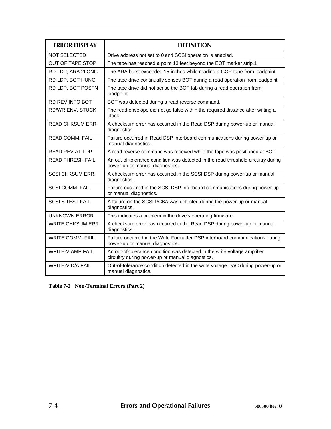| <b>FRROR DISPLAY</b>     | <b>DEFINITION</b>                                                                                                             |  |
|--------------------------|-------------------------------------------------------------------------------------------------------------------------------|--|
| <b>NOT SELECTED</b>      | Drive address not set to 0 and SCSI operation is enabled.                                                                     |  |
| <b>OUT OF TAPE STOP</b>  | The tape has reached a point 13 feet beyond the EOT marker strip.1                                                            |  |
| RD-LDP, ARA 2LONG        | The ARA burst exceeded 15-inches while reading a GCR tape from loadpoint.                                                     |  |
| RD-LDP, BOT HUNG         | The tape drive continually senses BOT during a read operation from loadpoint.                                                 |  |
| RD-LDP, BOT POSTN        | The tape drive did not sense the BOT tab during a read operation from<br>loadpoint.                                           |  |
| <b>RD REV INTO BOT</b>   | BOT was detected during a read reverse command.                                                                               |  |
| <b>RD/WR ENV. STUCK</b>  | The read envelope did not go false within the required distance after writing a<br>block.                                     |  |
| <b>READ CHKSUM ERR.</b>  | A checksum error has occurred in the Read DSP during power-up or manual<br>diagnostics.                                       |  |
| READ COMM. FAIL          | Failure occurred in Read DSP interboard communications during power-up or<br>manual diagnostics.                              |  |
| <b>READ REV AT LDP</b>   | A read reverse command was received while the tape was positioned at BOT.                                                     |  |
| <b>READ THRESH FAIL</b>  | An out-of-tolerance condition was detected in the read threshold circuitry during<br>power-up or manual diagnostics.          |  |
| <b>SCSI CHKSUM ERR.</b>  | A checksum error has occurred in the SCSI DSP during power-up or manual<br>diagnostics.                                       |  |
| <b>SCSI COMM. FAIL</b>   | Failure occurred in the SCSI DSP interboard communications during power-up<br>or manual diagnostics.                          |  |
| <b>SCSI S.TEST FAIL</b>  | A failure on the SCSI PCBA was detected during the power-up or manual<br>diagnostics.                                         |  |
| <b>UNKNOWN ERROR</b>     | This indicates a problem in the drive's operating firmware.                                                                   |  |
| <b>WRITE CHKSUM ERR.</b> | A checksum error has occurred in the Read DSP during power-up or manual<br>diagnostics.                                       |  |
| <b>WRITE COMM. FAIL</b>  | Failure occurred in the Write Formatter DSP interboard communications during<br>power-up or manual diagnostics.               |  |
| <b>WRITE-V AMP FAIL</b>  | An out-of-tolerance condition was detected in the write voltage amplifier<br>circuitry during power-up or manual diagnostics. |  |
| WRITE-V D/A FAIL         | Out-of-tolerance condition detected in the write voltage DAC during power-up or<br>manual diagnostics.                        |  |

**Table 7-2 Non-Terminal Errors (Part 2)**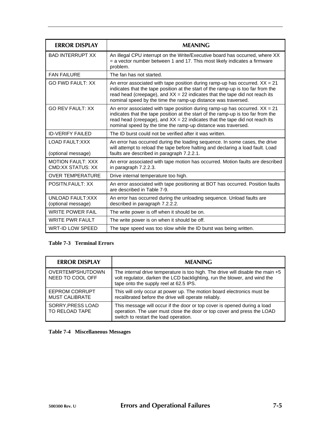| <b>ERROR DISPLAY</b>                          | <b>MFANING</b>                                                                                                                                                                                                                                                                                                      |
|-----------------------------------------------|---------------------------------------------------------------------------------------------------------------------------------------------------------------------------------------------------------------------------------------------------------------------------------------------------------------------|
| <b>BAD INTERRUPT XX</b>                       | An illegal CPU interrupt on the Write/Executive board has occurred, where XX<br>= a vector number between 1 and 17. This most likely indicates a firmware<br>problem.                                                                                                                                               |
| <b>FAN FAILURE</b>                            | The fan has not started.                                                                                                                                                                                                                                                                                            |
| <b>GO FWD FAULT: XX</b>                       | An error associated with tape position during ramp-up has occurred. $XX = 21$<br>indicates that the tape position at the start of the ramp-up is too far from the<br>read head (creepage), and $XX = 22$ indicates that the tape did not reach its<br>nominal speed by the time the ramp-up distance was traversed. |
| <b>GO REV FAULT: XX</b>                       | An error associated with tape position during ramp-up has occurred. $XX = 21$<br>indicates that the tape position at the start of the ramp-up is too far from the<br>read head (creepage), and $XX = 22$ indicates that the tape did not reach its<br>nominal speed by the time the ramp-up distance was traversed. |
| <b>ID-VERIFY FAILED</b>                       | The ID burst could not be verified after it was written.                                                                                                                                                                                                                                                            |
| <b>LOAD FAULT:XXX</b><br>(optional message)   | An error has occurred during the loading sequence. In some cases, the drive<br>will attempt to reload the tape before halting and declaring a load fault. Load<br>faults are described in paragraph 7.2.2.1.                                                                                                        |
| <b>MOTION FAULT: XXX</b><br>CMD:XX STATUS: XX | An error associated with tape motion has occurred. Motion faults are described<br>in paragraph 7.2.2.3.                                                                                                                                                                                                             |
| <b>OVER TEMPERATURE</b>                       | Drive internal temperature too high.                                                                                                                                                                                                                                                                                |
| POSITN.FAULT: XX                              | An error associated with tape positioning at BOT has occurred. Position faults<br>are described in Table 7-9.                                                                                                                                                                                                       |
| UNLOAD FAULT:XXX<br>(optional message)        | An error has occurred during the unloading sequence. Unload faults are<br>described in paragraph 7.2.2.2.                                                                                                                                                                                                           |
| <b>WRITE POWER FAIL</b>                       | The write power is off when it should be on.                                                                                                                                                                                                                                                                        |
| <b>WRITE PWR FAULT</b>                        | The write power is on when it should be off.                                                                                                                                                                                                                                                                        |
| WRT-ID LOW SPEED                              | The tape speed was too slow while the ID burst was being written.                                                                                                                                                                                                                                                   |

# **Table 7-3 Terminal Errors**

| <b>ERROR DISPLAY</b>                        | <b>MEANING</b>                                                                                                                                                                                          |
|---------------------------------------------|---------------------------------------------------------------------------------------------------------------------------------------------------------------------------------------------------------|
| <b>OVERTEMPSHUTDOWN</b><br>NEED TO COOL OFF | The internal drive temperature is too high. The drive will disable the main $+5$<br>volt regulator, darken the LCD backlighting, run the blower, and wind the<br>tape onto the supply reel at 62.5 IPS. |
| EEPROM CORRUPT<br><b>MUST CALIBRATE</b>     | This will only occur at power up. The motion board electronics must be<br>recalibrated before the drive will operate reliably.                                                                          |
| SORRY.PRESS LOAD<br>TO RELOAD TAPE          | This message will occur if the door or top cover is opened during a load<br>operation. The user must close the door or top cover and press the LOAD<br>switch to restart the load operation.            |

# **Table 7-4 Miscellaneous Messages**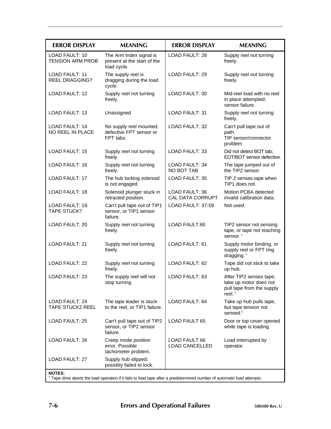| <b>ERROR DISPLAY</b>                                                                                                                    | <b>MEANING</b>                                                        | <b>ERROR DISPLAY</b>                             | <b>MEANING</b>                                                                              |
|-----------------------------------------------------------------------------------------------------------------------------------------|-----------------------------------------------------------------------|--------------------------------------------------|---------------------------------------------------------------------------------------------|
| <b>LOAD FAULT: 10</b><br><b>TENSION ARM PROB</b>                                                                                        | The Arm Index signal is<br>present at the start of the<br>load cycle. | <b>LOAD FAULT: 28</b>                            | Supply reel not turning<br>freely.                                                          |
| <b>LOAD FAULT: 11</b><br><b>REEL DRAGGING?</b>                                                                                          | The supply reel is<br>dragging during the load<br>cycle.              | <b>LOAD FAULT: 29</b>                            | Supply reel not turning<br>freely.                                                          |
| LOAD FAULT: 12                                                                                                                          | Supply reel not turning<br>freely.                                    | <b>LOAD FAULT: 30</b>                            | Mid-reel load with no reel<br>in place attempted;<br>sensor failure.                        |
| LOAD FAULT: 13                                                                                                                          | Unassigned                                                            | LOAD FAULT: 31                                   | Supply reel not turning<br>freely.                                                          |
| <b>LOAD FAULT: 14</b><br>NO REEL IN PLACE                                                                                               | No supply reel mounted;<br>defective FPT sensor or<br>FPT tabs.       | <b>LOAD FAULT: 32</b>                            | Can't pull tape out of<br>path.<br>TIP sensor/connector<br>problem                          |
| <b>LOAD FAULT: 15</b>                                                                                                                   | Supply reel not turning<br>freely.                                    | LOAD FAULT: 33                                   | Did not detect BOT tab;<br>EOT/BOT sensor defective.                                        |
| LOAD FAULT: 16                                                                                                                          | Supply reel not turning<br>freely.                                    | LOAD FAULT: 34<br>NO BOT TAB                     | The tape jumped out of<br>the TIP2 sensor.                                                  |
| <b>LOAD FAULT: 17</b>                                                                                                                   | The hub locking solenoid<br>is not engaged.                           | <b>LOAD FAULT: 35</b>                            | TIP 2 senses tape when<br>TIP1 does not.                                                    |
| LOAD FAULT: 18                                                                                                                          | Solenoid plunger stuck in<br>retracted position.                      | <b>LOAD FAULT: 36</b><br><b>CAL DATA CORRUPT</b> | Motion PCBA detected<br>invalid calibration data.                                           |
| <b>LOAD FAULT: 19</b><br><b>TAPE STUCK?</b>                                                                                             | Can't pull tape out of TIP1<br>sensor, or TIP1 sensor<br>failure.     | LOAD FAULT: 37-59                                | Not used.                                                                                   |
| <b>LOAD FAULT: 20</b>                                                                                                                   | Supply reel not turning<br>freely.                                    | <b>LOAD FAULT:60</b>                             | TIP2 sensor not sensing<br>tape, or tape not reaching<br>sensor. $1$                        |
| <b>LOAD FAULT: 21</b>                                                                                                                   | Supply reel not turning<br>freely.                                    | LOAD FAULT: 61                                   | Supply motor binding, or<br>supply reel or FPT ring<br>dragging. $1$                        |
| <b>LOAD FAULT: 22</b>                                                                                                                   | Supply reel not turning<br>freely.                                    | LOAD FAULT: 62                                   | Tape did not stick to take<br>up hub.                                                       |
| LOAD FAULT: 23                                                                                                                          | The supply reel will not<br>stop turning.                             | LOAD FAULT: 63                                   | After TIP2 senses tape,<br>take up motor does not<br>pull tape from the supply<br>reel. $1$ |
| <b>LOAD FAULT: 24</b><br><b>TAPE STUCK2 REEL</b>                                                                                        | The tape leader is stuck<br>to the reel, or TIP1 failure.             | LOAD FAULT: 64                                   | Take up hub pulls tape,<br>but tape tension not<br>sensed. $1$                              |
| <b>LOAD FAULT: 25</b>                                                                                                                   | Can't pull tape out of TIP2<br>sensor, or TIP2 sensor<br>failure.     | <b>LOAD FAULT 65</b>                             | Door or top cover opened<br>while tape is loading.                                          |
| LOAD FAULT: 26                                                                                                                          | Creep mode position<br>error. Possible<br>tachometer problem.         | <b>LOAD FAULT 66</b><br><b>LOAD CANCELLED</b>    | Load interrupted by<br>operator.                                                            |
| LOAD FAULT: 27                                                                                                                          | Supply hub slipped;<br>possibly failed to lock.                       |                                                  |                                                                                             |
| <b>NOTES:</b><br>Tape drive aborts the load operation if it fails to load tape after a predetermined number of automatic load attempts. |                                                                       |                                                  |                                                                                             |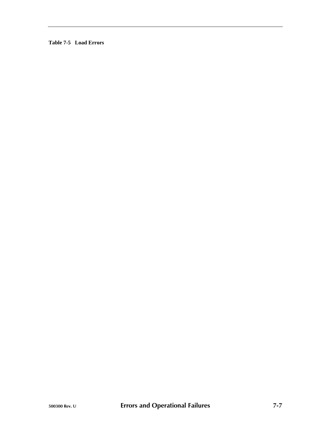**Table 7-5 Load Errors**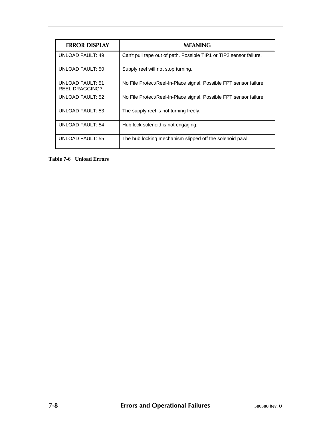| <b>ERROR DISPLAY</b>               | <b>MEANING</b>                                                     |
|------------------------------------|--------------------------------------------------------------------|
| UNLOAD FAULT: 49                   | Can't pull tape out of path. Possible TIP1 or TIP2 sensor failure. |
| <b>UNLOAD FAULT: 50</b>            | Supply reel will not stop turning.                                 |
| UNLOAD FAULT: 51<br>REEL DRAGGING? | No File Protect/Reel-In-Place signal. Possible FPT sensor failure. |
| <b>UNLOAD FAULT: 52</b>            | No File Protect/Reel-In-Place signal. Possible FPT sensor failure. |
| <b>UNLOAD FAULT: 53</b>            | The supply reel is not turning freely.                             |
| UNLOAD FAULT: 54                   | Hub lock solenoid is not engaging.                                 |
| UNLOAD FAULT: 55                   | The hub locking mechanism slipped off the solenoid pawl.           |

**Table 7-6 Unload Errors**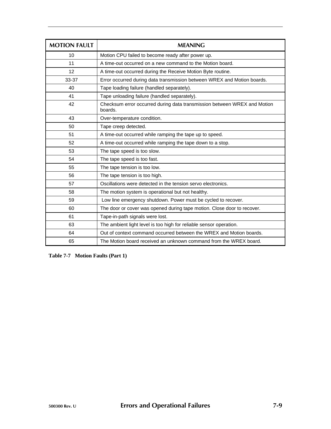| <b>MOTION FAULT</b> | <b>MEANING</b>                                                                      |
|---------------------|-------------------------------------------------------------------------------------|
| 10                  | Motion CPU failed to become ready after power up.                                   |
| 11                  | A time-out occurred on a new command to the Motion board.                           |
| 12                  | A time-out occurred during the Receive Motion Byte routine.                         |
| 33-37               | Error occurred during data transmission between WREX and Motion boards.             |
| 40                  | Tape loading failure (handled separately).                                          |
| 41                  | Tape unloading failure (handled separately).                                        |
| 42                  | Checksum error occurred during data transmission between WREX and Motion<br>boards. |
| 43                  | Over-temperature condition.                                                         |
| 50                  | Tape creep detected.                                                                |
| 51                  | A time-out occurred while ramping the tape up to speed.                             |
| 52                  | A time-out occurred while ramping the tape down to a stop.                          |
| 53                  | The tape speed is too slow.                                                         |
| 54                  | The tape speed is too fast.                                                         |
| 55                  | The tape tension is too low.                                                        |
| 56                  | The tape tension is too high.                                                       |
| 57                  | Oscillations were detected in the tension servo electronics.                        |
| 58                  | The motion system is operational but not healthy.                                   |
| 59                  | Low line emergency shutdown. Power must be cycled to recover.                       |
| 60                  | The door or cover was opened during tape motion. Close door to recover.             |
| 61                  | Tape-in-path signals were lost.                                                     |
| 63                  | The ambient light level is too high for reliable sensor operation.                  |
| 64                  | Out of context command occurred between the WREX and Motion boards.                 |
| 65                  | The Motion board received an unknown command from the WREX board.                   |

**Table 7-7 Motion Faults (Part 1)**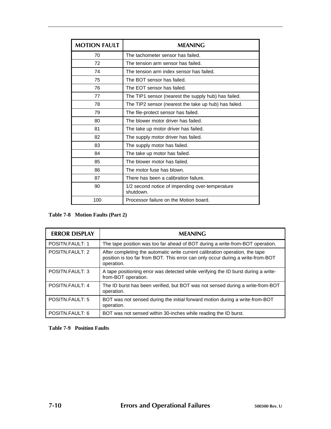| <b>MOTION FAULT</b> | <b>MEANING</b>                                               |
|---------------------|--------------------------------------------------------------|
| 70                  | The tachometer sensor has failed.                            |
| 72                  | The tension arm sensor has failed.                           |
| 74                  | The tension arm index sensor has failed.                     |
| 75                  | The BOT sensor has failed.                                   |
| 76                  | The EOT sensor has failed.                                   |
| 77                  | The TIP1 sensor (nearest the supply hub) has failed.         |
| 78                  | The TIP2 sensor (nearest the take up hub) has failed.        |
| 79                  | The file-protect sensor has failed.                          |
| 80                  | The blower motor driver has failed.                          |
| 81                  | The take up motor driver has failed.                         |
| 82                  | The supply motor driver has failed.                          |
| 83                  | The supply motor has failed.                                 |
| 84                  | The take up motor has failed.                                |
| 85                  | The blower motor has failed.                                 |
| 86                  | The motor fuse has blown.                                    |
| 87                  | There has been a calibration failure.                        |
| 90                  | 1/2 second notice of impending over-temperature<br>shutdown. |
| 100                 | Processor failure on the Motion board.                       |

# **Table 7-8 Motion Faults (Part 2)**

| <b>ERROR DISPLAY</b> | <b>MEANING</b>                                                                                                                                                                |
|----------------------|-------------------------------------------------------------------------------------------------------------------------------------------------------------------------------|
| POSITN.FAULT: 1      | The tape position was too far ahead of BOT during a write-from-BOT operation.                                                                                                 |
| POSITN.FAULT: 2      | After completing the automatic write current calibration operation, the tape<br>position is too far from BOT. This error can only occur during a write-from-BOT<br>operation. |
| POSITN.FAULT: 3      | A tape positioning error was detected while verifying the ID burst during a write-<br>from-BOT operation.                                                                     |
| POSITN.FAULT: 4      | The ID burst has been verified, but BOT was not sensed during a write-from-BOT<br>operation.                                                                                  |
| POSITN.FAULT: 5      | BOT was not sensed during the initial forward motion during a write-from-BOT<br>operation.                                                                                    |
| POSITN.FAULT: 6      | BOT was not sensed within 30-inches while reading the ID burst.                                                                                                               |

# **Table 7-9 Position Faults**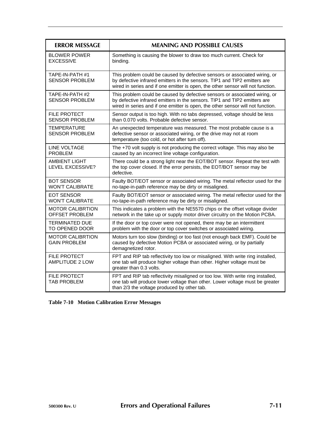| <b>ERROR MESSAGE</b>                             | <b>MEANING AND POSSIBLE CAUSES</b>                                                                                                                                                                                                         |
|--------------------------------------------------|--------------------------------------------------------------------------------------------------------------------------------------------------------------------------------------------------------------------------------------------|
| <b>BLOWER POWER</b><br><b>EXCESSIVE</b>          | Something is causing the blower to draw too much current. Check for<br>binding.                                                                                                                                                            |
| TAPE-IN-PATH #1<br><b>SENSOR PROBLEM</b>         | This problem could be caused by defective sensors or associated wiring, or<br>by defective infrared emitters in the sensors. TIP1 and TIP2 emitters are<br>wired in series and if one emitter is open, the other sensor will not function. |
| TAPE-IN-PATH #2<br><b>SENSOR PROBLEM</b>         | This problem could be caused by defective sensors or associated wiring, or<br>by defective infrared emitters in the sensors. TIP1 and TIP2 emitters are<br>wired in series and if one emitter is open, the other sensor will not function. |
| <b>FILE PROTECT</b><br>SENSOR PROBLEM            | Sensor output is too high. With no tabs depressed, voltage should be less<br>than 0.070 volts. Probable defective sensor.                                                                                                                  |
| <b>TEMPERATURE</b><br><b>SENSOR PROBLEM</b>      | An unexpected temperature was measured. The most probable cause is a<br>defective sensor or associated wiring, or the drive may not at room<br>temperature (too cold, or hot after turn off).                                              |
| <b>LINE VOLTAGE</b><br><b>PROBLEM</b>            | The +70 volt supply is not producing the correct voltage. This may also be<br>caused by an incorrect line voltage configuration.                                                                                                           |
| <b>AMBIENT LIGHT</b><br>LEVEL EXCESSIVE?         | There could be a strong light near the EOT/BOT sensor. Repeat the test with<br>the top cover closed. If the error persists, the EOT/BOT sensor may be<br>defective.                                                                        |
| <b>BOT SENSOR</b><br><b>WON'T CALIBRATE</b>      | Faulty BOT/EOT sensor or associated wiring. The metal reflector used for the<br>no-tape-in-path reference may be dirty or misaligned.                                                                                                      |
| EOT SENSOR<br><b>WON'T CALIBRATE</b>             | Faulty BOT/EOT sensor or associated wiring. The metal reflector used for the<br>no-tape-in-path reference may be dirty or misaligned.                                                                                                      |
| <b>MOTOR CALIBRTION</b><br><b>OFFSET PROBLEM</b> | This indicates a problem with the NE5570 chips or the offset voltage divider<br>network in the take up or supply motor driver circuitry on the Motion PCBA.                                                                                |
| <b>TERMINATED DUE</b><br>TO OPENED DOOR          | If the door or top cover were not opened, there may be an intermittent<br>problem with the door or top cover switches or associated wiring.                                                                                                |
| <b>MOTOR CALIBRTION</b><br><b>GAIN PROBLEM</b>   | Motors turn too slow (binding) or too fast (not enough back EMF). Could be<br>caused by defective Motion PCBA or associated wiring, or by partially<br>demagnetized rotor.                                                                 |
| <b>FILE PROTECT</b><br>AMPLITUDE 2 LOW           | FPT and RIP tab reflectivity too low or misaligned. With write ring installed,<br>one tab will produce higher voltage than other. Higher voltage must be<br>greater than 0.3 volts.                                                        |
| <b>FILE PROTECT</b><br><b>TAB PROBLEM</b>        | FPT and RIP tab reflectivity misaligned or too low. With write ring installed,<br>one tab will produce lower voltage than other. Lower voltage must be greater<br>than 2/3 the voltage produced by other tab.                              |

# **Table 7-10 Motion Calibration Error Messages**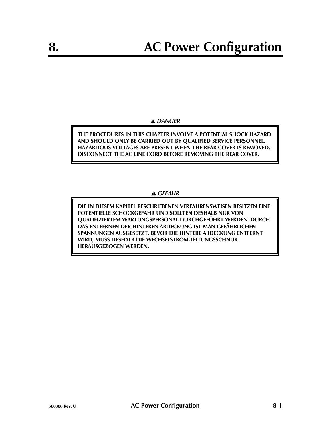# *DANGER*

**THE PROCEDURES IN THIS CHAPTER INVOLVE A POTENTIAL SHOCK HAZARD AND SHOULD ONLY BE CARRIED OUT BY QUALIFIED SERVICE PERSONNEL. HAZARDOUS VOLTAGES ARE PRESENT WHEN THE REAR COVER IS REMOVED. DISCONNECT THE AC LINE CORD BEFORE REMOVING THE REAR COVER.**

# *GEFAHR*

**DIE IN DIESEM KAPITEL BESCHRIEBENEN VERFAHRENSWEISEN BESITZEN EINE POTENTIELLE SCHOCKGEFAHR UND SOLLTEN DESHALB NUR VON QUALIFIZIERTEM WARTUNGSPERSONAL DURCHGEFÜHRT WERDEN. DURCH DAS ENTFERNEN DER HINTEREN ABDECKUNG IST MAN GEFÄHRLICHEN SPANNUNGEN AUSGESETZT. BEVOR DIE HINTERE ABDECKUNG ENTFERNT WIRD, MUSS DESHALB DIE WECHSELSTROM-LEITUNGSSCHNUR HERAUSGEZOGEN WERDEN.**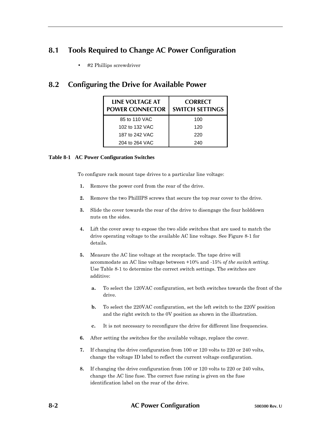# **8.1 Tools Required to Change AC Power Configuration**

• #2 Phillips screwdriver

# **8.2 Configuring the Drive for Available Power**

| <b>LINE VOLTAGE AT</b><br><b>POWER CONNECTOR</b> | <b>CORRECT</b><br><b>SWITCH SETTINGS</b> |
|--------------------------------------------------|------------------------------------------|
| 85 to 110 VAC                                    | 100                                      |
| 102 to 132 VAC                                   | 120                                      |
| 187 to 242 VAC                                   | 220                                      |
| 204 to 264 VAC                                   | 240                                      |

## **Table 8-1 AC Power Configuration Switches**

To configure rack mount tape drives to a particular line voltage:

- **1.** Remove the power cord from the rear of the drive.
- **2.** Remove the two PhillIPS screws that secure the top rear cover to the drive.
- **3.** Slide the cover towards the rear of the drive to disengage the four holddown nuts on the sides.
- **4.** Lift the cover away to expose the two slide switches that are used to match the drive operating voltage to the available AC line voltage. See Figure 8-1 for details.
- **5.** Measure the AC line voltage at the receptacle. The tape drive will accommodate an AC line voltage between +10% and -15% *of the switch setting*. Use Table 8-1 to determine the correct switch settings. The switches are additive:
	- **a.** To select the 120VAC configuration, set both switches towards the front of the drive.
	- **b.** To select the 220VAC configuration, set the left switch to the 220V position and the right switch to the 0V position as shown in the illustration.
	- **c.** It is not necessary to reconfigure the drive for different line frequencies.
- **6.** After setting the switches for the available voltage, replace the cover.
- **7.** If changing the drive configuration from 100 or 120 volts to 220 or 240 volts, change the voltage ID label to reflect the current voltage configuration.
- **8.** If changing the drive configuration from 100 or 120 volts to 220 or 240 volts, change the AC line fuse. The correct fuse rating is given on the fuse identification label on the rear of the drive.